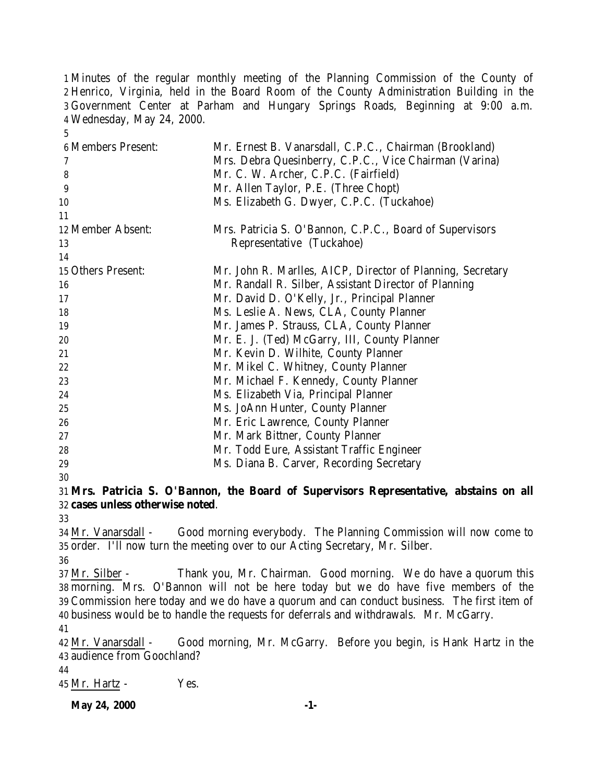Minutes of the regular monthly meeting of the Planning Commission of the County of Henrico, Virginia, held in the Board Room of the County Administration Building in the Government Center at Parham and Hungary Springs Roads, Beginning at 9:00 a.m. Wednesday, May 24, 2000.

| <b>6 Members Present:</b> | Mr. Ernest B. Vanarsdall, C.P.C., Chairman (Brookland)     |
|---------------------------|------------------------------------------------------------|
| 7                         | Mrs. Debra Quesinberry, C.P.C., Vice Chairman (Varina)     |
| 8                         | Mr. C. W. Archer, C.P.C. (Fairfield)                       |
| 9                         | Mr. Allen Taylor, P.E. (Three Chopt)                       |
| 10                        | Ms. Elizabeth G. Dwyer, C.P.C. (Tuckahoe)                  |
| 11                        |                                                            |
| 12 Member Absent:         | Mrs. Patricia S. O'Bannon, C.P.C., Board of Supervisors    |
| 13                        | Representative (Tuckahoe)                                  |
| 14                        |                                                            |
| 15 Others Present:        | Mr. John R. Marlles, AICP, Director of Planning, Secretary |
| 16                        | Mr. Randall R. Silber, Assistant Director of Planning      |
| 17                        | Mr. David D. O'Kelly, Jr., Principal Planner               |
| 18                        | Ms. Leslie A. News, CLA, County Planner                    |
| 19                        | Mr. James P. Strauss, CLA, County Planner                  |
| 20                        | Mr. E. J. (Ted) McGarry, III, County Planner               |
| 21                        | Mr. Kevin D. Wilhite, County Planner                       |
| $22\,$                    | Mr. Mikel C. Whitney, County Planner                       |
| 23                        | Mr. Michael F. Kennedy, County Planner                     |
| 24                        | Ms. Elizabeth Via, Principal Planner                       |
| 25                        | Ms. JoAnn Hunter, County Planner                           |
| 26                        | Mr. Eric Lawrence, County Planner                          |
| 27                        | Mr. Mark Bittner, County Planner                           |
| 28                        | Mr. Todd Eure, Assistant Traffic Engineer                  |
| 29                        | Ms. Diana B. Carver, Recording Secretary                   |
| 30                        |                                                            |

 **Mrs. Patricia S. O'Bannon, the Board of Supervisors Representative, abstains on all cases unless otherwise noted**.

 Mr. Vanarsdall - Good morning everybody. The Planning Commission will now come to order. I'll now turn the meeting over to our Acting Secretary, Mr. Silber.

37 Mr. Silber - Thank you, Mr. Chairman. Good morning. We do have a quorum this morning. Mrs. O'Bannon will not be here today but we do have five members of the Commission here today and we do have a quorum and can conduct business. The first item of business would be to handle the requests for deferrals and withdrawals. Mr. McGarry. 

 Mr. Vanarsdall - Good morning, Mr. McGarry. Before you begin, is Hank Hartz in the audience from Goochland?

Mr. Hartz - Yes.

**May 24, 2000** -1-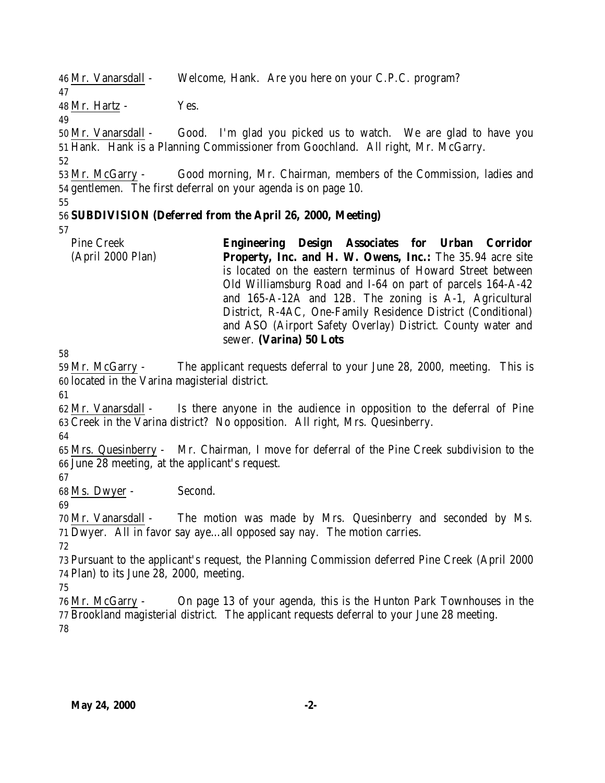46 Mr. Vanarsdall - Welcome, Hank. Are you here on your C.P.C. program?

Mr. Hartz - Yes.

 Mr. Vanarsdall - Good. I'm glad you picked us to watch. We are glad to have you Hank. Hank is a Planning Commissioner from Goochland. All right, Mr. McGarry.

 Mr. McGarry - Good morning, Mr. Chairman, members of the Commission, ladies and gentlemen. The first deferral on your agenda is on page 10.

# **SUBDIVISION (Deferred from the April 26, 2000, Meeting)**

Pine Creek (April 2000 Plan) **Engineering Design Associates for Urban Corridor Property, Inc. and H. W. Owens, Inc.:** The 35.94 acre site is located on the eastern terminus of Howard Street between Old Williamsburg Road and I-64 on part of parcels 164-A-42 and 165-A-12A and 12B. The zoning is A-1, Agricultural District, R-4AC, One-Family Residence District (Conditional) and ASO (Airport Safety Overlay) District. County water and sewer. **(Varina) 50 Lots** 

 Mr. McGarry - The applicant requests deferral to your June 28, 2000, meeting. This is located in the Varina magisterial district.

 Mr. Vanarsdall - Is there anyone in the audience in opposition to the deferral of Pine Creek in the Varina district? No opposition. All right, Mrs. Quesinberry.

 Mrs. Quesinberry - Mr. Chairman, I move for deferral of the Pine Creek subdivision to the June 28 meeting, at the applicant's request.

Ms. Dwyer - Second.

 Mr. Vanarsdall - The motion was made by Mrs. Quesinberry and seconded by Ms. Dwyer. All in favor say aye…all opposed say nay. The motion carries.

 Pursuant to the applicant's request, the Planning Commission deferred Pine Creek (April 2000 Plan) to its June 28, 2000, meeting.

 Mr. McGarry - On page 13 of your agenda, this is the Hunton Park Townhouses in the Brookland magisterial district. The applicant requests deferral to your June 28 meeting.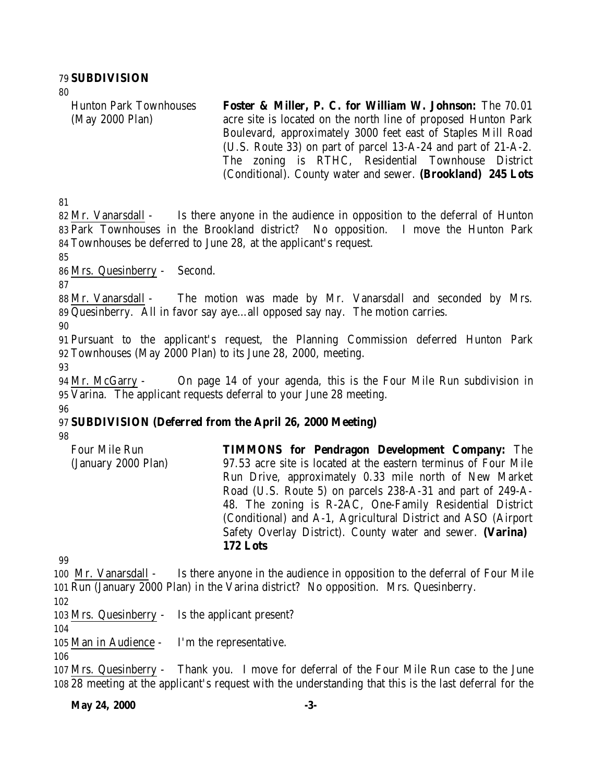#### 79 **SUBDIVISION**

 $80$ 

Hunton Park Townhouses (May 2000 Plan) **Foster & Miller, P. C. for William W. Johnson:** The 70.01 acre site is located on the north line of proposed Hunton Park Boulevard, approximately 3000 feet east of Staples Mill Road (U.S. Route 33) on part of parcel 13-A-24 and part of 21-A-2. The zoning is RTHC, Residential Townhouse District (Conditional). County water and sewer. **(Brookland) 245 Lots**

81

82 Mr. Vanarsdall - Is there anyone in the audience in opposition to the deferral of Hunton 83 Park Townhouses in the Brookland district? No opposition. I move the Hunton Park 84 Townhouses be deferred to June 28, at the applicant's request.

85

86 Mrs. Quesinberry - Second.

87

88 Mr. Vanarsdall - The motion was made by Mr. Vanarsdall and seconded by Mrs. 89 Quesinberry. All in favor say aye…all opposed say nay. The motion carries.

90

91 Pursuant to the applicant's request, the Planning Commission deferred Hunton Park 92 Townhouses (May 2000 Plan) to its June 28, 2000, meeting.

93

94 Mr. McGarry - On page 14 of your agenda, this is the Four Mile Run subdivision in 95 Varina. The applicant requests deferral to your June 28 meeting. 96

# 97 **SUBDIVISION (Deferred from the April 26, 2000 Meeting)**

98

Four Mile Run (January 2000 Plan) **TIMMONS for Pendragon Development Company:** The 97.53 acre site is located at the eastern terminus of Four Mile Run Drive, approximately 0.33 mile north of New Market Road (U.S. Route 5) on parcels 238-A-31 and part of 249-A-48. The zoning is R-2AC, One-Family Residential District (Conditional) and A-1, Agricultural District and ASO (Airport Safety Overlay District). County water and sewer. **(Varina) 172 Lots**

99

100 Mr. Vanarsdall - Is there anyone in the audience in opposition to the deferral of Four Mile 101 Run (January 2000 Plan) in the Varina district? No opposition. Mrs. Quesinberry.

102

103 Mrs. Quesinberry - Is the applicant present?

104

105 Man in Audience - I'm the representative.

106

107 Mrs. Quesinberry - Thank you. I move for deferral of the Four Mile Run case to the June 108 28 meeting at the applicant's request with the understanding that this is the last deferral for the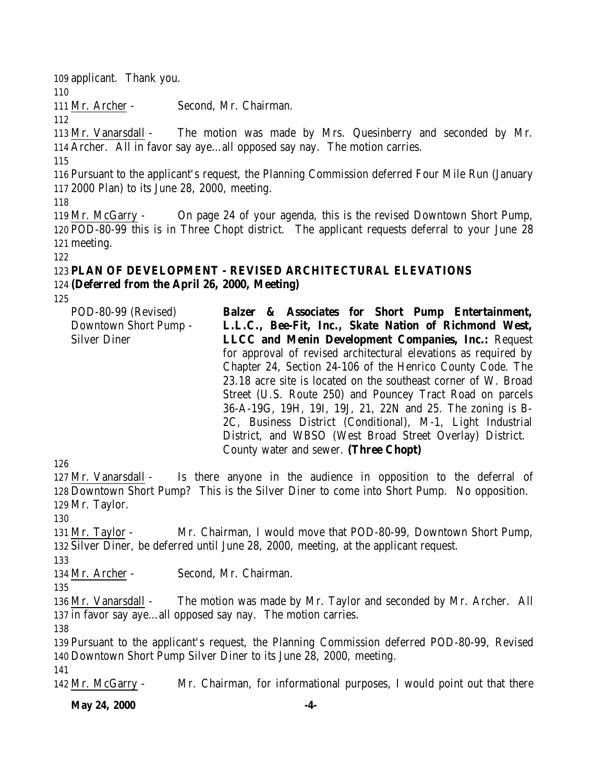applicant. Thank you. Mr. Archer - Second, Mr. Chairman. Mr. Vanarsdall - The motion was made by Mrs. Quesinberry and seconded by Mr. Archer. All in favor say aye…all opposed say nay. The motion carries. Pursuant to the applicant's request, the Planning Commission deferred Four Mile Run (January 2000 Plan) to its June 28, 2000, meeting. Mr. McGarry - On page 24 of your agenda, this is the revised Downtown Short Pump, POD-80-99 this is in Three Chopt district. The applicant requests deferral to your June 28 meeting. **PLAN OF DEVELOPMENT - REVISED ARCHITECTURAL ELEVATIONS (Deferred from the April 26, 2000, Meeting)**

POD-80-99 (Revised) Downtown Short Pump - Silver Diner **Balzer & Associates for Short Pump Entertainment, L.L.C., Bee-Fit, Inc., Skate Nation of Richmond West, LLCC and Menin Development Companies, Inc.:** Request for approval of revised architectural elevations as required by Chapter 24, Section 24-106 of the Henrico County Code. The 23.18 acre site is located on the southeast corner of W. Broad Street (U.S. Route 250) and Pouncey Tract Road on parcels 36-A-19G, 19H, 19I, 19J, 21, 22N and 25. The zoning is B-2C, Business District (Conditional), M-1, Light Industrial District, and WBSO (West Broad Street Overlay) District. County water and sewer. **(Three Chopt)**

 Mr. Vanarsdall - Is there anyone in the audience in opposition to the deferral of Downtown Short Pump? This is the Silver Diner to come into Short Pump. No opposition. Mr. Taylor.

 Mr. Taylor - Mr. Chairman, I would move that POD-80-99, Downtown Short Pump, Silver Diner, be deferred until June 28, 2000, meeting, at the applicant request.

Mr. Archer - Second, Mr. Chairman.

 Mr. Vanarsdall - The motion was made by Mr. Taylor and seconded by Mr. Archer. All in favor say aye…all opposed say nay. The motion carries.

 Pursuant to the applicant's request, the Planning Commission deferred POD-80-99, Revised Downtown Short Pump Silver Diner to its June 28, 2000, meeting. 

Mr. McGarry - Mr. Chairman, for informational purposes, I would point out that there

**May 24, 2000** -4-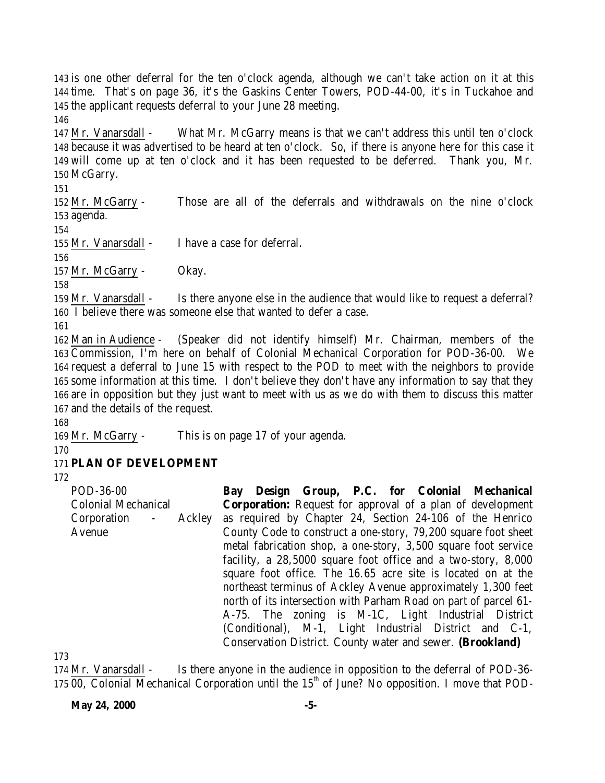is one other deferral for the ten o'clock agenda, although we can't take action on it at this time. That's on page 36, it's the Gaskins Center Towers, POD-44-00, it's in Tuckahoe and the applicant requests deferral to your June 28 meeting. 

 Mr. Vanarsdall - What Mr. McGarry means is that we can't address this until ten o'clock because it was advertised to be heard at ten o'clock. So, if there is anyone here for this case it will come up at ten o'clock and it has been requested to be deferred. Thank you, Mr. McGarry.

 Mr. McGarry - Those are all of the deferrals and withdrawals on the nine o'clock agenda.

Mr. Vanarsdall - I have a case for deferral.

 Mr. McGarry - Okay.

 Mr. Vanarsdall - Is there anyone else in the audience that would like to request a deferral? I believe there was someone else that wanted to defer a case.

 Man in Audience - (Speaker did not identify himself) Mr. Chairman, members of the Commission, I'm here on behalf of Colonial Mechanical Corporation for POD-36-00. We request a deferral to June 15 with respect to the POD to meet with the neighbors to provide some information at this time. I don't believe they don't have any information to say that they are in opposition but they just want to meet with us as we do with them to discuss this matter and the details of the request.

Mr. McGarry - This is on page 17 of your agenda.

# **PLAN OF DEVELOPMENT**

POD-36-00 Colonial Mechanical Corporation - Ackley Avenue **Bay Design Group, P.C. for Colonial Mechanical Corporation:** Request for approval of a plan of development as required by Chapter 24, Section 24-106 of the Henrico County Code to construct a one-story, 79,200 square foot sheet metal fabrication shop, a one-story, 3,500 square foot service facility, a 28,5000 square foot office and a two-story, 8,000 square foot office. The 16.65 acre site is located on at the northeast terminus of Ackley Avenue approximately 1,300 feet north of its intersection with Parham Road on part of parcel 61- A-75. The zoning is M-1C, Light Industrial District (Conditional), M-1, Light Industrial District and C-1, Conservation District. County water and sewer. **(Brookland)**

 Mr. Vanarsdall - Is there anyone in the audience in opposition to the deferral of POD-36- 175  $\overline{00}$ , Colonial Mechanical Corporation until the 15<sup>th</sup> of June? No opposition. I move that POD-

**May 24, 2000** -5-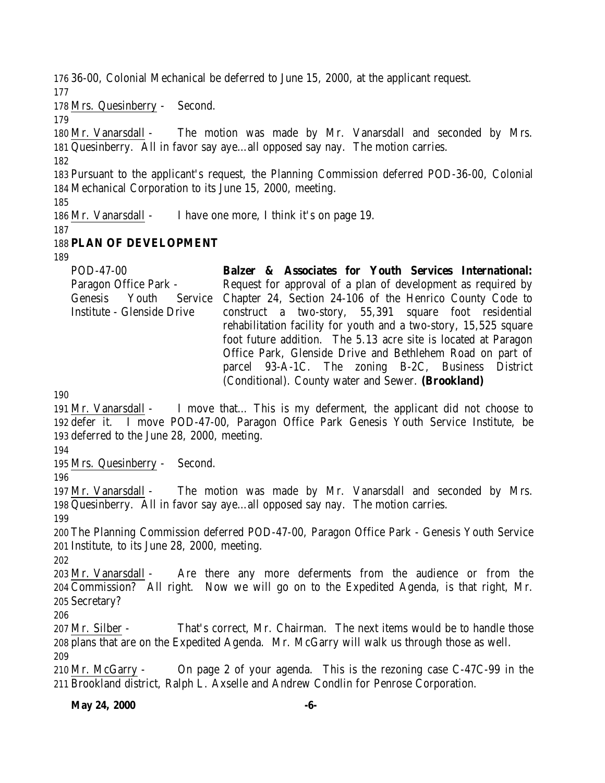36-00, Colonial Mechanical be deferred to June 15, 2000, at the applicant request.

Mrs. Quesinberry - Second.

 Mr. Vanarsdall - The motion was made by Mr. Vanarsdall and seconded by Mrs. Quesinberry. All in favor say aye…all opposed say nay. The motion carries.

 Pursuant to the applicant's request, the Planning Commission deferred POD-36-00, Colonial Mechanical Corporation to its June 15, 2000, meeting.

Mr. Vanarsdall - I have one more, I think it's on page 19.

# **PLAN OF DEVELOPMENT**

| POD-47-00                  | Balzer & Associates for Youth Services International:                          |
|----------------------------|--------------------------------------------------------------------------------|
| Paragon Office Park -      | Request for approval of a plan of development as required by                   |
|                            | Genesis Youth Service Chapter 24, Section 24-106 of the Henrico County Code to |
| Institute - Glenside Drive | construct a two-story, 55,391 square foot residential                          |
|                            | rehabilitation facility for youth and a two-story, 15,525 square               |
|                            | foot future addition. The 5.13 acre site is located at Paragon                 |
|                            | Office Park, Glenside Drive and Bethlehem Road on part of                      |
|                            | parcel 93-A-1C. The zoning B-2C, Business District                             |
|                            | (Conditional). County water and Sewer. (Brookland)                             |

 Mr. Vanarsdall - I move that… This is my deferment, the applicant did not choose to defer it. I move POD-47-00, Paragon Office Park Genesis Youth Service Institute, be deferred to the June 28, 2000, meeting.

Mrs. Quesinberry - Second.

 Mr. Vanarsdall - The motion was made by Mr. Vanarsdall and seconded by Mrs. Quesinberry. All in favor say aye…all opposed say nay. The motion carries. 

 The Planning Commission deferred POD-47-00, Paragon Office Park - Genesis Youth Service Institute, to its June 28, 2000, meeting.

 Mr. Vanarsdall - Are there any more deferments from the audience or from the Commission? All right. Now we will go on to the Expedited Agenda, is that right, Mr. Secretary?

 Mr. Silber - That's correct, Mr. Chairman. The next items would be to handle those plans that are on the Expedited Agenda. Mr. McGarry will walk us through those as well. 

 Mr. McGarry - On page 2 of your agenda. This is the rezoning case C-47C-99 in the Brookland district, Ralph L. Axselle and Andrew Condlin for Penrose Corporation.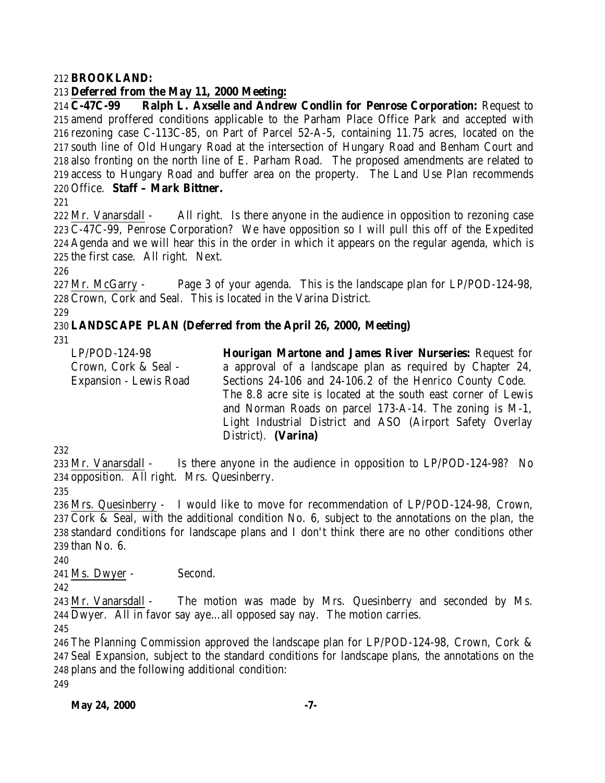### **BROOKLAND:**

# **Deferred from the May 11, 2000 Meeting:**

 **C-47C-99 Ralph L. Axselle and Andrew Condlin for Penrose Corporation:** Request to amend proffered conditions applicable to the Parham Place Office Park and accepted with rezoning case C-113C-85, on Part of Parcel 52-A-5, containing 11.75 acres, located on the south line of Old Hungary Road at the intersection of Hungary Road and Benham Court and also fronting on the north line of E. Parham Road. The proposed amendments are related to access to Hungary Road and buffer area on the property. The Land Use Plan recommends Office. **Staff – Mark Bittner.**

 Mr. Vanarsdall - All right. Is there anyone in the audience in opposition to rezoning case C-47C-99, Penrose Corporation? We have opposition so I will pull this off of the Expedited Agenda and we will hear this in the order in which it appears on the regular agenda, which is the first case. All right. Next.

 Mr. McGarry - Page 3 of your agenda. This is the landscape plan for LP/POD-124-98, Crown, Cork and Seal. This is located in the Varina District.

# **LANDSCAPE PLAN (Deferred from the April 26, 2000, Meeting)**

LP/POD-124-98 Crown, Cork & Seal - Expansion - Lewis Road **Hourigan Martone and James River Nurseries:** Request for a approval of a landscape plan as required by Chapter 24, Sections 24-106 and 24-106.2 of the Henrico County Code. The 8.8 acre site is located at the south east corner of Lewis and Norman Roads on parcel 173-A-14. The zoning is M-1, Light Industrial District and ASO (Airport Safety Overlay District). **(Varina)** 

 Mr. Vanarsdall - Is there anyone in the audience in opposition to LP/POD-124-98? No opposition. All right. Mrs. Quesinberry.

 Mrs. Quesinberry - I would like to move for recommendation of LP/POD-124-98, Crown, Cork & Seal, with the additional condition No. 6, subject to the annotations on the plan, the standard conditions for landscape plans and I don't think there are no other conditions other than No. 6.

Ms. Dwyer - Second.

 Mr. Vanarsdall - The motion was made by Mrs. Quesinberry and seconded by Ms. Dwyer. All in favor say aye…all opposed say nay. The motion carries.

 The Planning Commission approved the landscape plan for LP/POD-124-98, Crown, Cork & Seal Expansion, subject to the standard conditions for landscape plans, the annotations on the plans and the following additional condition: 

**May 24, 2000** -7-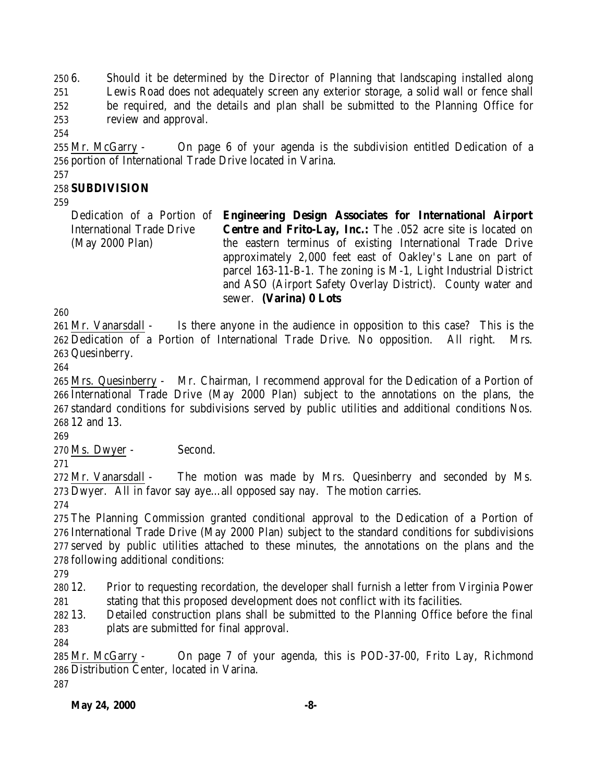6. Should it be determined by the Director of Planning that landscaping installed along Lewis Road does not adequately screen any exterior storage, a solid wall or fence shall be required, and the details and plan shall be submitted to the Planning Office for

review and approval.

 Mr. McGarry - On page 6 of your agenda is the subdivision entitled Dedication of a portion of International Trade Drive located in Varina.

### 

# **SUBDIVISION**

Dedication of a Portion of **Engineering Design Associates for International Airport** International Trade Drive (May 2000 Plan) **Centre and Frito-Lay, Inc.:** The .052 acre site is located on the eastern terminus of existing International Trade Drive approximately 2,000 feet east of Oakley's Lane on part of parcel 163-11-B-1. The zoning is M-1, Light Industrial District and ASO (Airport Safety Overlay District). County water and sewer. **(Varina) 0 Lots** 

 Mr. Vanarsdall - Is there anyone in the audience in opposition to this case? This is the Dedication of a Portion of International Trade Drive. No opposition. All right. Mrs. Quesinberry.

 Mrs. Quesinberry - Mr. Chairman, I recommend approval for the Dedication of a Portion of International Trade Drive (May 2000 Plan) subject to the annotations on the plans, the standard conditions for subdivisions served by public utilities and additional conditions Nos. 12 and 13.

Ms. Dwyer - Second.

272 Mr. Vanarsdall - The motion was made by Mrs. Quesinberry and seconded by Ms. Dwyer. All in favor say aye…all opposed say nay. The motion carries.

 The Planning Commission granted conditional approval to the Dedication of a Portion of International Trade Drive (May 2000 Plan) subject to the standard conditions for subdivisions served by public utilities attached to these minutes, the annotations on the plans and the following additional conditions:

 12. Prior to requesting recordation, the developer shall furnish a letter from Virginia Power stating that this proposed development does not conflict with its facilities.

 13. Detailed construction plans shall be submitted to the Planning Office before the final plats are submitted for final approval.

 Mr. McGarry - On page 7 of your agenda, this is POD-37-00, Frito Lay, Richmond Distribution Center, located in Varina.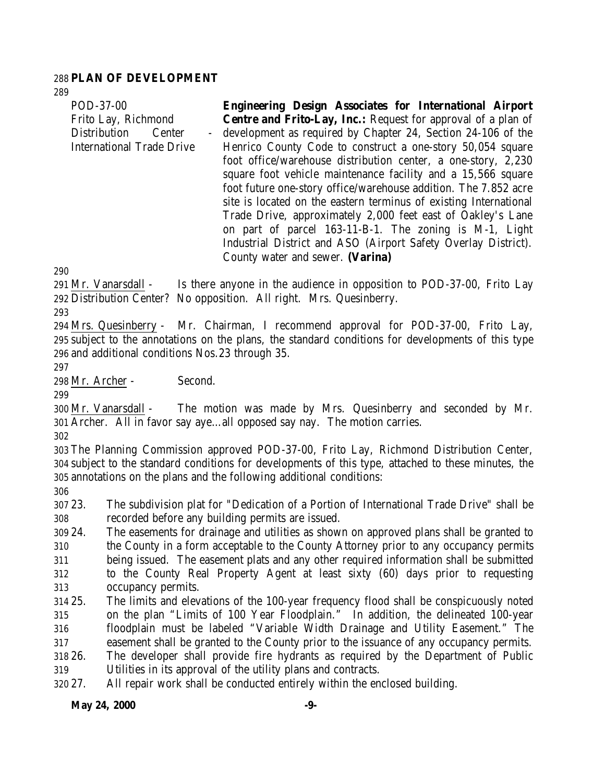#### **PLAN OF DEVELOPMENT**

| POD-37-00                        | <b>Engineering Design Associates for International Airport</b>       |
|----------------------------------|----------------------------------------------------------------------|
| Frito Lay, Richmond              | <b>Centre and Frito-Lay, Inc.:</b> Request for approval of a plan of |
| <b>Distribution</b><br>Center    | - development as required by Chapter 24, Section 24-106 of the       |
| <b>International Trade Drive</b> | Henrico County Code to construct a one-story 50,054 square           |
|                                  | foot office/warehouse distribution center, a one-story, 2,230        |
|                                  | square foot vehicle maintenance facility and a 15,566 square         |
|                                  | foot future one-story office/warehouse addition. The 7.852 acre      |
|                                  | site is located on the eastern terminus of existing International    |
|                                  | Trade Drive, approximately 2,000 feet east of Oakley's Lane          |
|                                  | on part of parcel 163-11-B-1. The zoning is M-1, Light               |
|                                  | Industrial District and ASO (Airport Safety Overlay District).       |
|                                  | County water and sewer. (Varina)                                     |

 Mr. Vanarsdall - Is there anyone in the audience in opposition to POD-37-00, Frito Lay Distribution Center? No opposition. All right. Mrs. Quesinberry.

 Mrs. Quesinberry - Mr. Chairman, I recommend approval for POD-37-00, Frito Lay, subject to the annotations on the plans, the standard conditions for developments of this type and additional conditions Nos.23 through 35.

Mr. Archer - Second.

 Mr. Vanarsdall - The motion was made by Mrs. Quesinberry and seconded by Mr. Archer. All in favor say aye…all opposed say nay. The motion carries.

 The Planning Commission approved POD-37-00, Frito Lay, Richmond Distribution Center, subject to the standard conditions for developments of this type, attached to these minutes, the annotations on the plans and the following additional conditions:

 23. The subdivision plat for "Dedication of a Portion of International Trade Drive" shall be recorded before any building permits are issued.

 24. The easements for drainage and utilities as shown on approved plans shall be granted to the County in a form acceptable to the County Attorney prior to any occupancy permits being issued. The easement plats and any other required information shall be submitted to the County Real Property Agent at least sixty (60) days prior to requesting occupancy permits.

 25. The limits and elevations of the 100-year frequency flood shall be conspicuously noted on the plan "Limits of 100 Year Floodplain." In addition, the delineated 100-year floodplain must be labeled "Variable Width Drainage and Utility Easement." The easement shall be granted to the County prior to the issuance of any occupancy permits.

 26. The developer shall provide fire hydrants as required by the Department of Public Utilities in its approval of the utility plans and contracts.

27. All repair work shall be conducted entirely within the enclosed building.

### **May 24, 2000 -9-**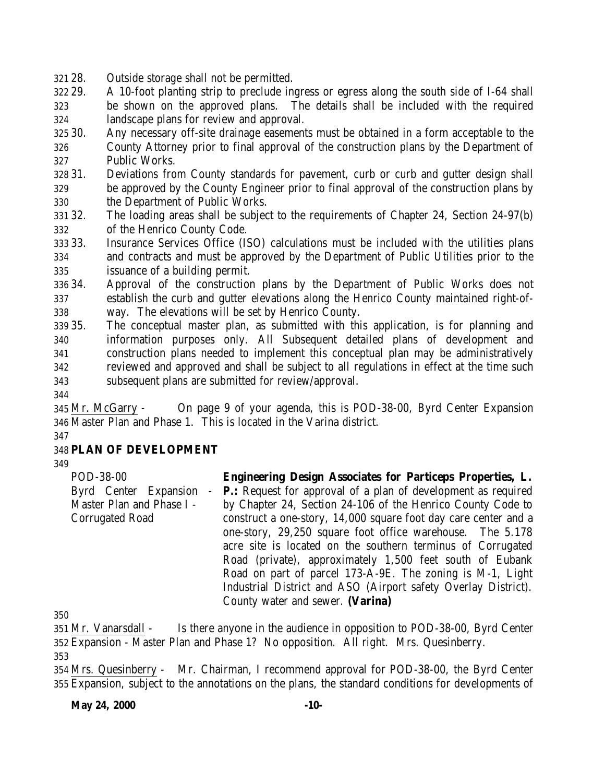28. Outside storage shall not be permitted.

 29. A 10-foot planting strip to preclude ingress or egress along the south side of I-64 shall be shown on the approved plans. The details shall be included with the required landscape plans for review and approval.

 30. Any necessary off-site drainage easements must be obtained in a form acceptable to the County Attorney prior to final approval of the construction plans by the Department of Public Works.

 31. Deviations from County standards for pavement, curb or curb and gutter design shall be approved by the County Engineer prior to final approval of the construction plans by the Department of Public Works.

 32. The loading areas shall be subject to the requirements of Chapter 24, Section 24-97(b) of the Henrico County Code.

 33. Insurance Services Office (ISO) calculations must be included with the utilities plans and contracts and must be approved by the Department of Public Utilities prior to the issuance of a building permit.

 34. Approval of the construction plans by the Department of Public Works does not establish the curb and gutter elevations along the Henrico County maintained right-of-way. The elevations will be set by Henrico County.

 35. The conceptual master plan, as submitted with this application, is for planning and information purposes only. All Subsequent detailed plans of development and construction plans needed to implement this conceptual plan may be administratively reviewed and approved and shall be subject to all regulations in effect at the time such subsequent plans are submitted for review/approval.

 Mr. McGarry - On page 9 of your agenda, this is POD-38-00, Byrd Center Expansion Master Plan and Phase 1. This is located in the Varina district.

### **PLAN OF DEVELOPMENT**

POD-38-00 Byrd Center Expansion - Master Plan and Phase I - Corrugated Road **Engineering Design Associates for Particeps Properties, L. P.:** Request for approval of a plan of development as required by Chapter 24, Section 24-106 of the Henrico County Code to construct a one-story, 14,000 square foot day care center and a one-story, 29,250 square foot office warehouse. The 5.178 acre site is located on the southern terminus of Corrugated Road (private), approximately 1,500 feet south of Eubank Road on part of parcel 173-A-9E. The zoning is M-1, Light Industrial District and ASO (Airport safety Overlay District). County water and sewer. **(Varina)**

 Mr. Vanarsdall - Is there anyone in the audience in opposition to POD-38-00, Byrd Center Expansion - Master Plan and Phase 1? No opposition. All right. Mrs. Quesinberry.

354 Mrs. Quesinberry - Mr. Chairman, I recommend approval for POD-38-00, the Byrd Center Expansion, subject to the annotations on the plans, the standard conditions for developments of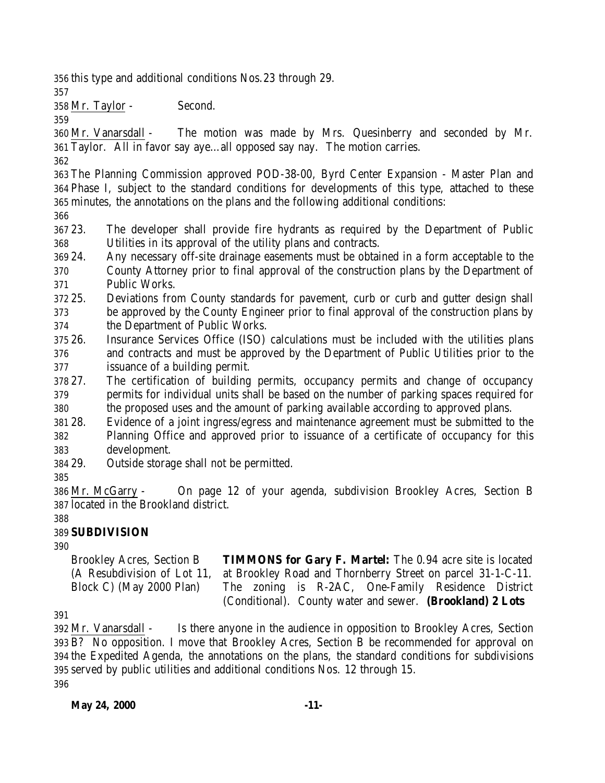this type and additional conditions Nos.23 through 29.

Mr. Taylor - Second.

 Mr. Vanarsdall - The motion was made by Mrs. Quesinberry and seconded by Mr. Taylor. All in favor say aye…all opposed say nay. The motion carries.

 The Planning Commission approved POD-38-00, Byrd Center Expansion - Master Plan and Phase I, subject to the standard conditions for developments of this type, attached to these minutes, the annotations on the plans and the following additional conditions:

 23. The developer shall provide fire hydrants as required by the Department of Public Utilities in its approval of the utility plans and contracts.

- 24. Any necessary off-site drainage easements must be obtained in a form acceptable to the County Attorney prior to final approval of the construction plans by the Department of Public Works.
- 25. Deviations from County standards for pavement, curb or curb and gutter design shall be approved by the County Engineer prior to final approval of the construction plans by the Department of Public Works.
- 26. Insurance Services Office (ISO) calculations must be included with the utilities plans and contracts and must be approved by the Department of Public Utilities prior to the issuance of a building permit.
- 27. The certification of building permits, occupancy permits and change of occupancy permits for individual units shall be based on the number of parking spaces required for the proposed uses and the amount of parking available according to approved plans.
- 28. Evidence of a joint ingress/egress and maintenance agreement must be submitted to the Planning Office and approved prior to issuance of a certificate of occupancy for this development.
- 29. Outside storage shall not be permitted.
- 

 Mr. McGarry - On page 12 of your agenda, subdivision Brookley Acres, Section B located in the Brookland district.

# 

# **SUBDIVISION**

Brookley Acres, Section B (A Resubdivision of Lot 11, Block C) (May 2000 Plan) **TIMMONS for Gary F. Martel:** The 0.94 acre site is located at Brookley Road and Thornberry Street on parcel 31-1-C-11. The zoning is R-2AC, One-Family Residence District (Conditional). County water and sewer. **(Brookland) 2 Lots** 

 Mr. Vanarsdall - Is there anyone in the audience in opposition to Brookley Acres, Section B? No opposition. I move that Brookley Acres, Section B be recommended for approval on the Expedited Agenda, the annotations on the plans, the standard conditions for subdivisions served by public utilities and additional conditions Nos. 12 through 15.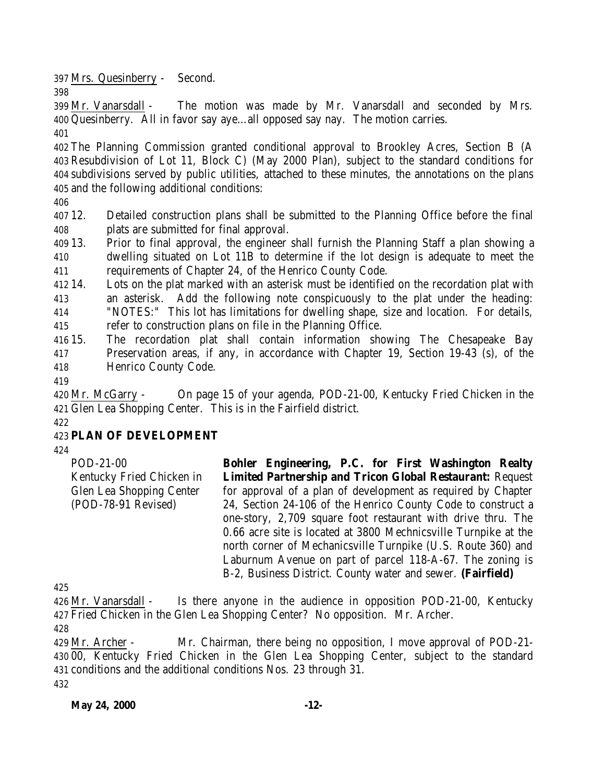Mrs. Quesinberry - Second.

 Mr. Vanarsdall - The motion was made by Mr. Vanarsdall and seconded by Mrs. Quesinberry. All in favor say aye…all opposed say nay. The motion carries.

 The Planning Commission granted conditional approval to Brookley Acres, Section B (A Resubdivision of Lot 11, Block C) (May 2000 Plan), subject to the standard conditions for subdivisions served by public utilities, attached to these minutes, the annotations on the plans and the following additional conditions:

 12. Detailed construction plans shall be submitted to the Planning Office before the final plats are submitted for final approval.

 13. Prior to final approval, the engineer shall furnish the Planning Staff a plan showing a dwelling situated on Lot 11B to determine if the lot design is adequate to meet the requirements of Chapter 24, of the Henrico County Code.

 14. Lots on the plat marked with an asterisk must be identified on the recordation plat with an asterisk. Add the following note conspicuously to the plat under the heading: "NOTES:" This lot has limitations for dwelling shape, size and location. For details, refer to construction plans on file in the Planning Office.

15. The recordation plat shall contain information showing The Chesapeake Bay

 Preservation areas, if any, in accordance with Chapter 19, Section 19-43 (s), of the Henrico County Code.

 Mr. McGarry - On page 15 of your agenda, POD-21-00, Kentucky Fried Chicken in the Glen Lea Shopping Center. This is in the Fairfield district.

#### **PLAN OF DEVELOPMENT**

POD-21-00 Kentucky Fried Chicken in Glen Lea Shopping Center (POD-78-91 Revised) **Bohler Engineering, P.C. for First Washington Realty Limited Partnership and Tricon Global Restaurant:** Request for approval of a plan of development as required by Chapter 24, Section 24-106 of the Henrico County Code to construct a one-story, 2,709 square foot restaurant with drive thru. The 0.66 acre site is located at 3800 Mechnicsville Turnpike at the north corner of Mechanicsville Turnpike (U.S. Route 360) and Laburnum Avenue on part of parcel 118-A-67. The zoning is B-2, Business District. County water and sewer. **(Fairfield)**

 Mr. Vanarsdall - Is there anyone in the audience in opposition POD-21-00, Kentucky Fried Chicken in the Glen Lea Shopping Center? No opposition. Mr. Archer.

 Mr. Archer - Mr. Chairman, there being no opposition, I move approval of POD-21- 00, Kentucky Fried Chicken in the Glen Lea Shopping Center, subject to the standard conditions and the additional conditions Nos. 23 through 31.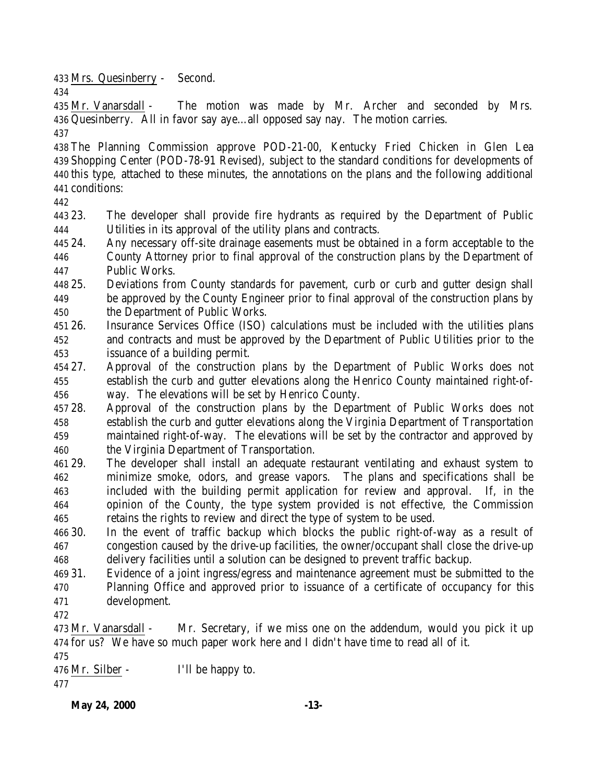Mrs. Quesinberry - Second.

 Mr. Vanarsdall - The motion was made by Mr. Archer and seconded by Mrs. Quesinberry. All in favor say aye…all opposed say nay. The motion carries.

 The Planning Commission approve POD-21-00, Kentucky Fried Chicken in Glen Lea Shopping Center (POD-78-91 Revised), subject to the standard conditions for developments of this type, attached to these minutes, the annotations on the plans and the following additional conditions:

 23. The developer shall provide fire hydrants as required by the Department of Public Utilities in its approval of the utility plans and contracts.

 24. Any necessary off-site drainage easements must be obtained in a form acceptable to the County Attorney prior to final approval of the construction plans by the Department of Public Works.

 25. Deviations from County standards for pavement, curb or curb and gutter design shall be approved by the County Engineer prior to final approval of the construction plans by the Department of Public Works.

 26. Insurance Services Office (ISO) calculations must be included with the utilities plans and contracts and must be approved by the Department of Public Utilities prior to the issuance of a building permit.

 27. Approval of the construction plans by the Department of Public Works does not establish the curb and gutter elevations along the Henrico County maintained right-of-way. The elevations will be set by Henrico County.

 28. Approval of the construction plans by the Department of Public Works does not establish the curb and gutter elevations along the Virginia Department of Transportation maintained right-of-way. The elevations will be set by the contractor and approved by the Virginia Department of Transportation.

 29. The developer shall install an adequate restaurant ventilating and exhaust system to minimize smoke, odors, and grease vapors. The plans and specifications shall be included with the building permit application for review and approval. If, in the opinion of the County, the type system provided is not effective, the Commission retains the rights to review and direct the type of system to be used.

 30. In the event of traffic backup which blocks the public right-of-way as a result of congestion caused by the drive-up facilities, the owner/occupant shall close the drive-up delivery facilities until a solution can be designed to prevent traffic backup.

 31. Evidence of a joint ingress/egress and maintenance agreement must be submitted to the Planning Office and approved prior to issuance of a certificate of occupancy for this development.

 Mr. Vanarsdall - Mr. Secretary, if we miss one on the addendum, would you pick it up for us? We have so much paper work here and I didn't have time to read all of it.

Mr. Silber - I'll be happy to.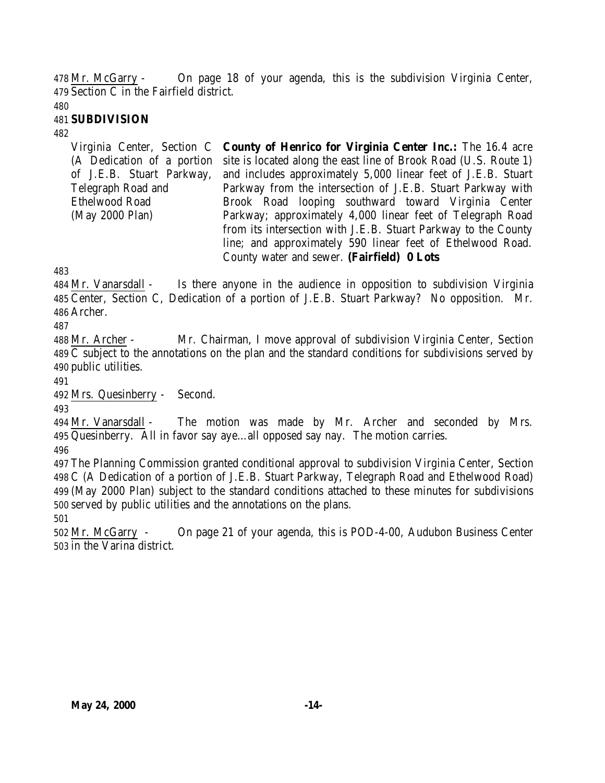Mr. McGarry - On page 18 of your agenda, this is the subdivision Virginia Center, Section C in the Fairfield district.

### **SUBDIVISION**

Virginia Center, Section C (A Dedication of a portion of J.E.B. Stuart Parkway, Telegraph Road and Ethelwood Road (May 2000 Plan) **County of Henrico for Virginia Center Inc.:** The 16.4 acre site is located along the east line of Brook Road (U.S. Route 1) and includes approximately 5,000 linear feet of J.E.B. Stuart Parkway from the intersection of J.E.B. Stuart Parkway with Brook Road looping southward toward Virginia Center Parkway; approximately 4,000 linear feet of Telegraph Road from its intersection with J.E.B. Stuart Parkway to the County line; and approximately 590 linear feet of Ethelwood Road. County water and sewer. **(Fairfield) 0 Lots** 

 Mr. Vanarsdall - Is there anyone in the audience in opposition to subdivision Virginia Center, Section C, Dedication of a portion of J.E.B. Stuart Parkway? No opposition. Mr. Archer.

 Mr. Archer - Mr. Chairman, I move approval of subdivision Virginia Center, Section C subject to the annotations on the plan and the standard conditions for subdivisions served by public utilities.

Mrs. Quesinberry - Second.

 Mr. Vanarsdall - The motion was made by Mr. Archer and seconded by Mrs. Quesinberry. All in favor say aye…all opposed say nay. The motion carries.

 The Planning Commission granted conditional approval to subdivision Virginia Center, Section C (A Dedication of a portion of J.E.B. Stuart Parkway, Telegraph Road and Ethelwood Road) (May 2000 Plan) subject to the standard conditions attached to these minutes for subdivisions served by public utilities and the annotations on the plans.

 Mr. McGarry - On page 21 of your agenda, this is POD-4-00, Audubon Business Center in the Varina district.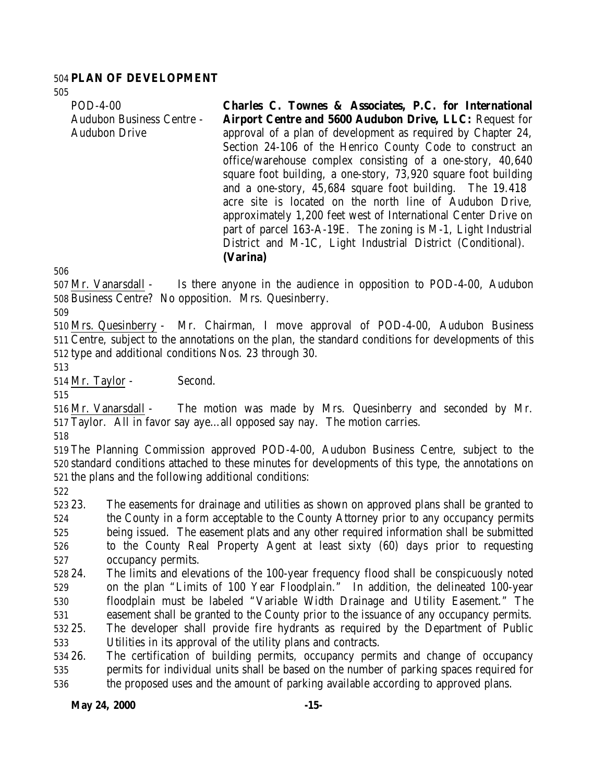### **PLAN OF DEVELOPMENT**

| $POD-4-00$<br><b>Audubon Business Centre -</b> | Charles C. Townes & Associates, P.C. for International<br><b>Airport Centre and 5600 Audubon Drive, LLC: Request for</b> |
|------------------------------------------------|--------------------------------------------------------------------------------------------------------------------------|
| <b>Audubon Drive</b>                           | approval of a plan of development as required by Chapter 24,                                                             |
|                                                | Section 24-106 of the Henrico County Code to construct an<br>office/warehouse complex consisting of a one-story, 40,640  |
|                                                | square foot building, a one-story, 73,920 square foot building                                                           |
|                                                | and a one-story, 45,684 square foot building. The 19.418<br>acre site is located on the north line of Audubon Drive,     |
|                                                | approximately 1,200 feet west of International Center Drive on                                                           |
|                                                | part of parcel 163-A-19E. The zoning is M-1, Light Industrial                                                            |
|                                                | District and M-1C, Light Industrial District (Conditional).                                                              |
|                                                | (Varina)                                                                                                                 |

 Mr. Vanarsdall - Is there anyone in the audience in opposition to POD-4-00, Audubon Business Centre? No opposition. Mrs. Quesinberry.

 Mrs. Quesinberry - Mr. Chairman, I move approval of POD-4-00, Audubon Business Centre, subject to the annotations on the plan, the standard conditions for developments of this type and additional conditions Nos. 23 through 30.

Mr. Taylor - Second.

 Mr. Vanarsdall - The motion was made by Mrs. Quesinberry and seconded by Mr. Taylor. All in favor say aye…all opposed say nay. The motion carries.

 The Planning Commission approved POD-4-00, Audubon Business Centre, subject to the standard conditions attached to these minutes for developments of this type, the annotations on the plans and the following additional conditions:

 23. The easements for drainage and utilities as shown on approved plans shall be granted to the County in a form acceptable to the County Attorney prior to any occupancy permits being issued. The easement plats and any other required information shall be submitted to the County Real Property Agent at least sixty (60) days prior to requesting occupancy permits.

 24. The limits and elevations of the 100-year frequency flood shall be conspicuously noted on the plan "Limits of 100 Year Floodplain." In addition, the delineated 100-year floodplain must be labeled "Variable Width Drainage and Utility Easement." The easement shall be granted to the County prior to the issuance of any occupancy permits. 25. The developer shall provide fire hydrants as required by the Department of Public

Utilities in its approval of the utility plans and contracts.

 26. The certification of building permits, occupancy permits and change of occupancy permits for individual units shall be based on the number of parking spaces required for the proposed uses and the amount of parking available according to approved plans.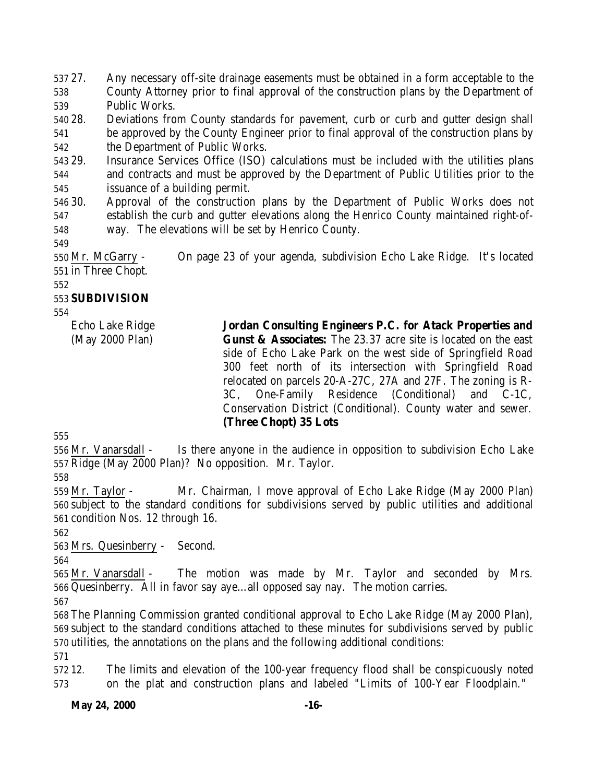27. Any necessary off-site drainage easements must be obtained in a form acceptable to the County Attorney prior to final approval of the construction plans by the Department of Public Works.

 28. Deviations from County standards for pavement, curb or curb and gutter design shall be approved by the County Engineer prior to final approval of the construction plans by the Department of Public Works.

 29. Insurance Services Office (ISO) calculations must be included with the utilities plans and contracts and must be approved by the Department of Public Utilities prior to the issuance of a building permit.

 30. Approval of the construction plans by the Department of Public Works does not establish the curb and gutter elevations along the Henrico County maintained right-of-way. The elevations will be set by Henrico County.

 Mr. McGarry - On page 23 of your agenda, subdivision Echo Lake Ridge. It's located in Three Chopt.

# **SUBDIVISION**

Echo Lake Ridge (May 2000 Plan)

**Jordan Consulting Engineers P.C. for Atack Properties and Gunst & Associates:** The 23.37 acre site is located on the east side of Echo Lake Park on the west side of Springfield Road 300 feet north of its intersection with Springfield Road relocated on parcels 20-A-27C, 27A and 27F. The zoning is R-3C, One-Family Residence (Conditional) and C-1C, Conservation District (Conditional). County water and sewer. **(Three Chopt) 35 Lots** 

 Mr. Vanarsdall - Is there anyone in the audience in opposition to subdivision Echo Lake Ridge (May 2000 Plan)? No opposition. Mr. Taylor.

 Mr. Taylor - Mr. Chairman, I move approval of Echo Lake Ridge (May 2000 Plan) subject to the standard conditions for subdivisions served by public utilities and additional condition Nos. 12 through 16.

Mrs. Quesinberry - Second.

 Mr. Vanarsdall - The motion was made by Mr. Taylor and seconded by Mrs. Quesinberry. All in favor say aye…all opposed say nay. The motion carries.

 The Planning Commission granted conditional approval to Echo Lake Ridge (May 2000 Plan), subject to the standard conditions attached to these minutes for subdivisions served by public utilities, the annotations on the plans and the following additional conditions:

 12. The limits and elevation of the 100-year frequency flood shall be conspicuously noted on the plat and construction plans and labeled "Limits of 100-Year Floodplain."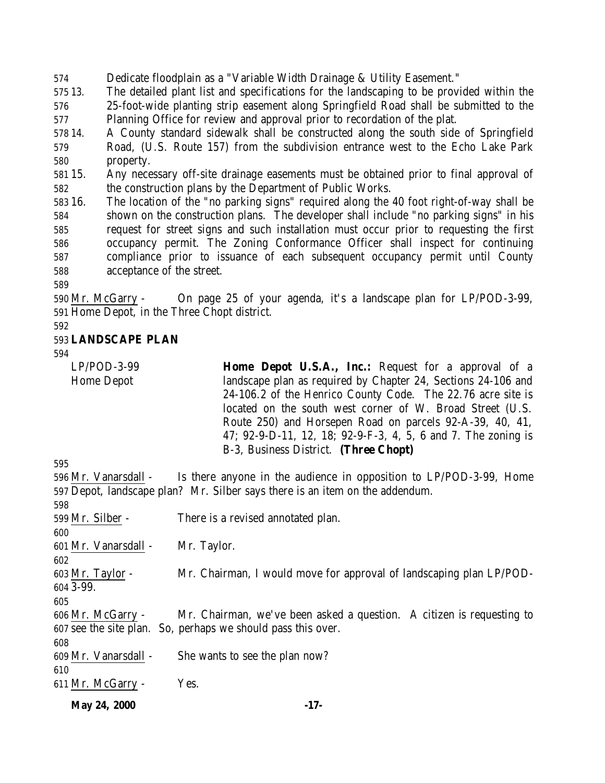Dedicate floodplain as a "Variable Width Drainage & Utility Easement."

 13. The detailed plant list and specifications for the landscaping to be provided within the 25-foot-wide planting strip easement along Springfield Road shall be submitted to the Planning Office for review and approval prior to recordation of the plat.

 14. A County standard sidewalk shall be constructed along the south side of Springfield Road, (U.S. Route 157) from the subdivision entrance west to the Echo Lake Park property.

 15. Any necessary off-site drainage easements must be obtained prior to final approval of the construction plans by the Department of Public Works.

 16. The location of the "no parking signs" required along the 40 foot right-of-way shall be shown on the construction plans. The developer shall include "no parking signs" in his request for street signs and such installation must occur prior to requesting the first occupancy permit. The Zoning Conformance Officer shall inspect for continuing compliance prior to issuance of each subsequent occupancy permit until County acceptance of the street.

 Mr. McGarry - On page 25 of your agenda, it's a landscape plan for LP/POD-3-99, Home Depot, in the Three Chopt district.

#### **LANDSCAPE PLAN**

LP/POD-3-99

Home Depot

**Home Depot U.S.A., Inc.:** Request for a approval of a landscape plan as required by Chapter 24, Sections 24-106 and 24-106.2 of the Henrico County Code. The 22.76 acre site is located on the south west corner of W. Broad Street (U.S. Route 250) and Horsepen Road on parcels 92-A-39, 40, 41, 47; 92-9-D-11, 12, 18; 92-9-F-3, 4, 5, 6 and 7. The zoning is B-3, Business District. **(Three Chopt)** 

 Mr. Vanarsdall - Is there anyone in the audience in opposition to LP/POD-3-99, Home Depot, landscape plan? Mr. Silber says there is an item on the addendum. 599 Mr. Silber - There is a revised annotated plan. Mr. Vanarsdall - Mr. Taylor. Mr. Taylor - Mr. Chairman, I would move for approval of landscaping plan LP/POD- 3-99. Mr. McGarry - Mr. Chairman, we've been asked a question. A citizen is requesting to see the site plan. So, perhaps we should pass this over. Mr. Vanarsdall - She wants to see the plan now? Mr. McGarry - Yes.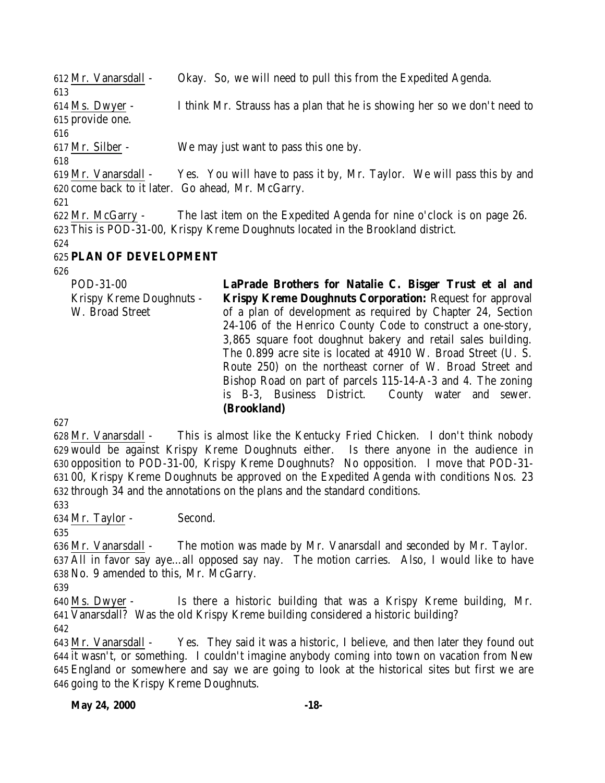Mr. Vanarsdall - Okay. So, we will need to pull this from the Expedited Agenda. Ms. Dwyer - I think Mr. Strauss has a plan that he is showing her so we don't need to provide one. Mr. Silber - We may just want to pass this one by. Mr. Vanarsdall - Yes. You will have to pass it by, Mr. Taylor. We will pass this by and come back to it later. Go ahead, Mr. McGarry. Mr. McGarry - The last item on the Expedited Agenda for nine o'clock is on page 26. This is POD-31-00, Krispy Kreme Doughnuts located in the Brookland district. **PLAN OF DEVELOPMENT**

POD-31-00 Krispy Kreme Doughnuts - W. Broad Street **LaPrade Brothers for Natalie C. Bisger Trust et al and Krispy Kreme Doughnuts Corporation:** Request for approval of a plan of development as required by Chapter 24, Section 24-106 of the Henrico County Code to construct a one-story, 3,865 square foot doughnut bakery and retail sales building. The 0.899 acre site is located at 4910 W. Broad Street (U. S. Route 250) on the northeast corner of W. Broad Street and Bishop Road on part of parcels 115-14-A-3 and 4. The zoning is B-3, Business District. County water and sewer. **(Brookland)**

 Mr. Vanarsdall - This is almost like the Kentucky Fried Chicken. I don't think nobody would be against Krispy Kreme Doughnuts either. Is there anyone in the audience in opposition to POD-31-00, Krispy Kreme Doughnuts? No opposition. I move that POD-31- 00, Krispy Kreme Doughnuts be approved on the Expedited Agenda with conditions Nos. 23 through 34 and the annotations on the plans and the standard conditions.

 Mr. Taylor - Second.

 Mr. Vanarsdall - The motion was made by Mr. Vanarsdall and seconded by Mr. Taylor. All in favor say aye…all opposed say nay. The motion carries. Also, I would like to have No. 9 amended to this, Mr. McGarry.

 Ms. Dwyer - Is there a historic building that was a Krispy Kreme building, Mr. Vanarsdall? Was the old Krispy Kreme building considered a historic building? 

 Mr. Vanarsdall - Yes. They said it was a historic, I believe, and then later they found out it wasn't, or something. I couldn't imagine anybody coming into town on vacation from New England or somewhere and say we are going to look at the historical sites but first we are going to the Krispy Kreme Doughnuts.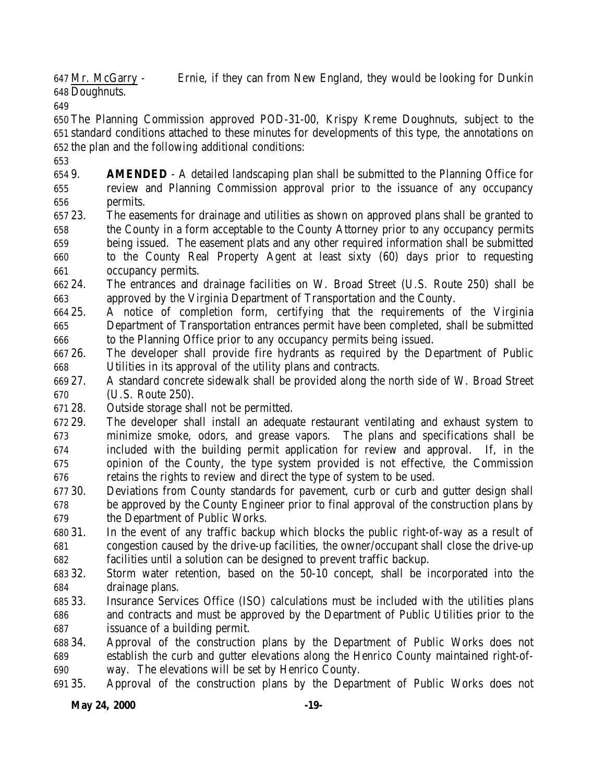Mr. McGarry - Ernie, if they can from New England, they would be looking for Dunkin Doughnuts.

 The Planning Commission approved POD-31-00, Krispy Kreme Doughnuts, subject to the standard conditions attached to these minutes for developments of this type, the annotations on the plan and the following additional conditions:

 9. **AMENDED** - A detailed landscaping plan shall be submitted to the Planning Office for review and Planning Commission approval prior to the issuance of any occupancy permits.

- 23. The easements for drainage and utilities as shown on approved plans shall be granted to the County in a form acceptable to the County Attorney prior to any occupancy permits being issued. The easement plats and any other required information shall be submitted
- to the County Real Property Agent at least sixty (60) days prior to requesting occupancy permits.
- 24. The entrances and drainage facilities on W. Broad Street (U.S. Route 250) shall be approved by the Virginia Department of Transportation and the County.
- 25. A notice of completion form, certifying that the requirements of the Virginia Department of Transportation entrances permit have been completed, shall be submitted to the Planning Office prior to any occupancy permits being issued.
- 26. The developer shall provide fire hydrants as required by the Department of Public Utilities in its approval of the utility plans and contracts.
- 27. A standard concrete sidewalk shall be provided along the north side of W. Broad Street (U.S. Route 250).
- 28. Outside storage shall not be permitted.
- 29. The developer shall install an adequate restaurant ventilating and exhaust system to minimize smoke, odors, and grease vapors. The plans and specifications shall be included with the building permit application for review and approval. If, in the opinion of the County, the type system provided is not effective, the Commission retains the rights to review and direct the type of system to be used.
- 30. Deviations from County standards for pavement, curb or curb and gutter design shall be approved by the County Engineer prior to final approval of the construction plans by the Department of Public Works.
- 31. In the event of any traffic backup which blocks the public right-of-way as a result of congestion caused by the drive-up facilities, the owner/occupant shall close the drive-up facilities until a solution can be designed to prevent traffic backup.
- 32. Storm water retention, based on the 50-10 concept, shall be incorporated into the drainage plans.
- 33. Insurance Services Office (ISO) calculations must be included with the utilities plans and contracts and must be approved by the Department of Public Utilities prior to the issuance of a building permit.
- 34. Approval of the construction plans by the Department of Public Works does not establish the curb and gutter elevations along the Henrico County maintained right-of-way. The elevations will be set by Henrico County.
- 35. Approval of the construction plans by the Department of Public Works does not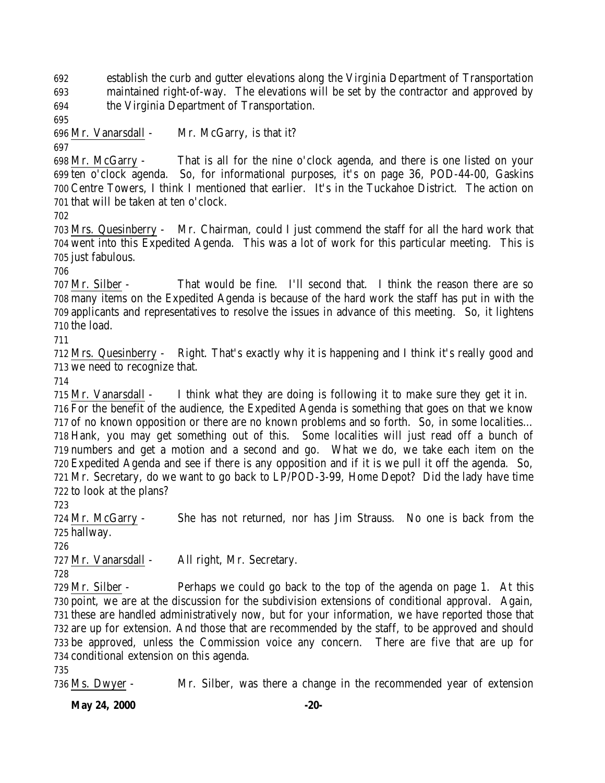establish the curb and gutter elevations along the Virginia Department of Transportation maintained right-of-way. The elevations will be set by the contractor and approved by the Virginia Department of Transportation.

Mr. Vanarsdall - Mr. McGarry, is that it?

 Mr. McGarry - That is all for the nine o'clock agenda, and there is one listed on your ten o'clock agenda. So, for informational purposes, it's on page 36, POD-44-00, Gaskins Centre Towers, I think I mentioned that earlier. It's in the Tuckahoe District. The action on that will be taken at ten o'clock.

 Mrs. Quesinberry - Mr. Chairman, could I just commend the staff for all the hard work that went into this Expedited Agenda. This was a lot of work for this particular meeting. This is just fabulous.

 Mr. Silber - That would be fine. I'll second that. I think the reason there are so many items on the Expedited Agenda is because of the hard work the staff has put in with the applicants and representatives to resolve the issues in advance of this meeting. So, it lightens the load.

 Mrs. Quesinberry - Right. That's exactly why it is happening and I think it's really good and we need to recognize that.

 Mr. Vanarsdall - I think what they are doing is following it to make sure they get it in. For the benefit of the audience, the Expedited Agenda is something that goes on that we know of no known opposition or there are no known problems and so forth. So, in some localities… Hank, you may get something out of this. Some localities will just read off a bunch of numbers and get a motion and a second and go. What we do, we take each item on the Expedited Agenda and see if there is any opposition and if it is we pull it off the agenda. So, Mr. Secretary, do we want to go back to LP/POD-3-99, Home Depot? Did the lady have time to look at the plans?

 Mr. McGarry - She has not returned, nor has Jim Strauss. No one is back from the hallway.

Mr. Vanarsdall - All right, Mr. Secretary.

 Mr. Silber - Perhaps we could go back to the top of the agenda on page 1. At this point, we are at the discussion for the subdivision extensions of conditional approval. Again, these are handled administratively now, but for your information, we have reported those that are up for extension. And those that are recommended by the staff, to be approved and should be approved, unless the Commission voice any concern. There are five that are up for conditional extension on this agenda.

Ms. Dwyer - Mr. Silber, was there a change in the recommended year of extension

**May 24, 2000** -20-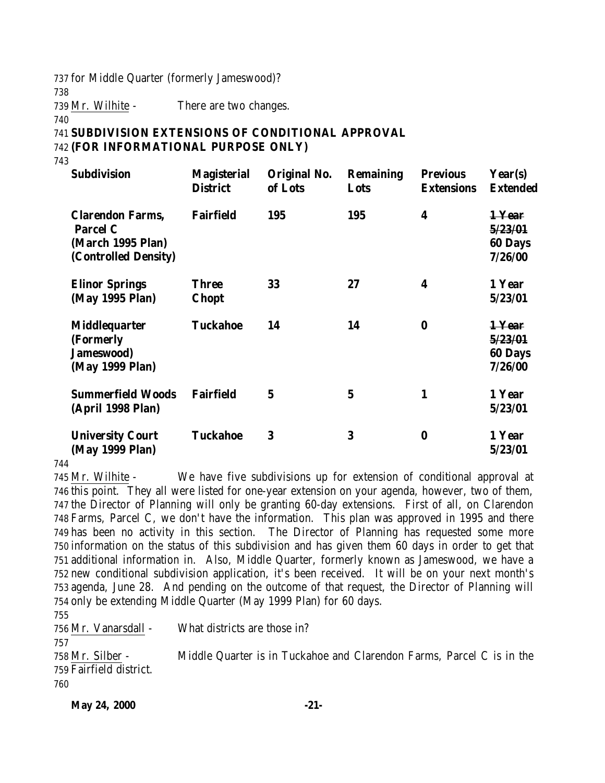737 for Middle Quarter (formerly Jameswood)?

738

739 Mr. Wilhite - There are two changes.

740

### 741 **SUBDIVISION EXTENSIONS OF CONDITIONAL APPROVAL** 742 **(FOR INFORMATIONAL PURPOSE ONLY)**

743

| <b>Subdivision</b>                                                                      | <b>Magisterial</b><br><b>District</b> | <b>Original No.</b><br>of Lots | <b>Remaining</b><br>Lots | <b>Previous</b><br><b>Extensions</b> | Year(s)<br><b>Extended</b>                     |
|-----------------------------------------------------------------------------------------|---------------------------------------|--------------------------------|--------------------------|--------------------------------------|------------------------------------------------|
| <b>Clarendon Farms,</b><br><b>Parcel C</b><br>(March 1995 Plan)<br>(Controlled Density) | <b>Fairfield</b>                      | 195                            | 195                      | 4                                    | 1-Year<br>5/23/01<br><b>60 Days</b><br>7/26/00 |
| <b>Elinor Springs</b><br>(May 1995 Plan)                                                | <b>Three</b><br><b>Chopt</b>          | 33                             | 27                       | 4                                    | 1 Year<br>5/23/01                              |
| <b>Middlequarter</b><br>(Formerly<br>Jameswood)<br>(May 1999 Plan)                      | <b>Tuckahoe</b>                       | 14                             | 14                       | $\bf{0}$                             | 1-Year<br>5/23/01<br><b>60 Days</b><br>7/26/00 |
| <b>Summerfield Woods</b><br>(April 1998 Plan)                                           | <b>Fairfield</b>                      | $\mathbf 5$                    | $\mathbf 5$              | 1                                    | 1 Year<br>5/23/01                              |
| <b>University Court</b><br>(May 1999 Plan)                                              | <b>Tuckahoe</b>                       | 3                              | 3                        | $\bf{0}$                             | 1 Year<br>5/23/01                              |

744

 Mr. Wilhite - We have five subdivisions up for extension of conditional approval at this point. They all were listed for one-year extension on your agenda, however, two of them, the Director of Planning will only be granting 60-day extensions. First of all, on Clarendon Farms, Parcel C, we don't have the information. This plan was approved in 1995 and there has been no activity in this section. The Director of Planning has requested some more information on the status of this subdivision and has given them 60 days in order to get that additional information in. Also, Middle Quarter, formerly known as Jameswood, we have a new conditional subdivision application, it's been received. It will be on your next month's agenda, June 28. And pending on the outcome of that request, the Director of Planning will only be extending Middle Quarter (May 1999 Plan) for 60 days. 755

756 Mr. Vanarsdall - What districts are those in? 757 758 Mr. Silber - Middle Quarter is in Tuckahoe and Clarendon Farms, Parcel C is in the 759 Fairfield district. 760

**May 24, 2000 -21-**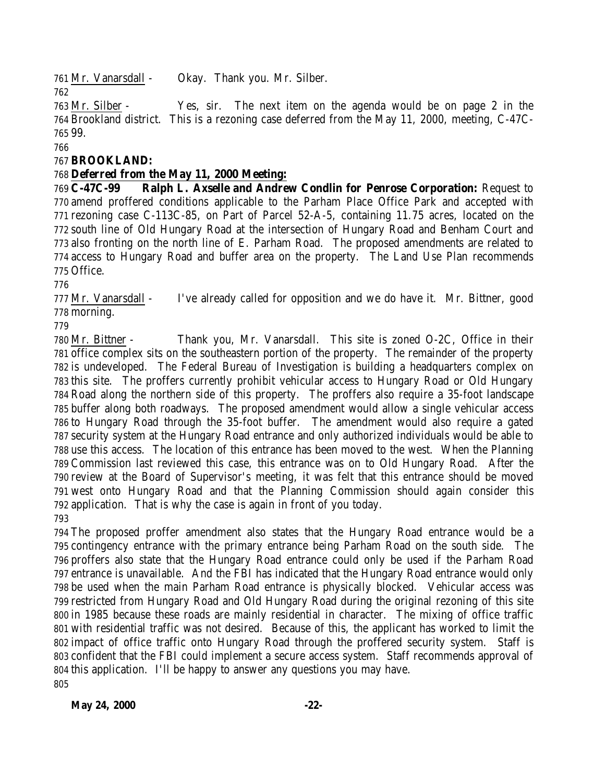Mr. Vanarsdall - Okay. Thank you. Mr. Silber. 

 Mr. Silber - Yes, sir. The next item on the agenda would be on page 2 in the Brookland district. This is a rezoning case deferred from the May 11, 2000, meeting, C-47C-99.

# **BROOKLAND:**

# **Deferred from the May 11, 2000 Meeting:**

 **C-47C-99 Ralph L. Axselle and Andrew Condlin for Penrose Corporation:** Request to amend proffered conditions applicable to the Parham Place Office Park and accepted with rezoning case C-113C-85, on Part of Parcel 52-A-5, containing 11.75 acres, located on the south line of Old Hungary Road at the intersection of Hungary Road and Benham Court and also fronting on the north line of E. Parham Road. The proposed amendments are related to access to Hungary Road and buffer area on the property. The Land Use Plan recommends Office.

 Mr. Vanarsdall - I've already called for opposition and we do have it. Mr. Bittner, good morning.

 Mr. Bittner - Thank you, Mr. Vanarsdall. This site is zoned O-2C, Office in their office complex sits on the southeastern portion of the property. The remainder of the property is undeveloped. The Federal Bureau of Investigation is building a headquarters complex on this site. The proffers currently prohibit vehicular access to Hungary Road or Old Hungary Road along the northern side of this property. The proffers also require a 35-foot landscape buffer along both roadways. The proposed amendment would allow a single vehicular access to Hungary Road through the 35-foot buffer. The amendment would also require a gated security system at the Hungary Road entrance and only authorized individuals would be able to use this access. The location of this entrance has been moved to the west. When the Planning Commission last reviewed this case, this entrance was on to Old Hungary Road. After the review at the Board of Supervisor's meeting, it was felt that this entrance should be moved west onto Hungary Road and that the Planning Commission should again consider this application. That is why the case is again in front of you today. 

 The proposed proffer amendment also states that the Hungary Road entrance would be a contingency entrance with the primary entrance being Parham Road on the south side. The proffers also state that the Hungary Road entrance could only be used if the Parham Road entrance is unavailable. And the FBI has indicated that the Hungary Road entrance would only be used when the main Parham Road entrance is physically blocked. Vehicular access was restricted from Hungary Road and Old Hungary Road during the original rezoning of this site in 1985 because these roads are mainly residential in character. The mixing of office traffic with residential traffic was not desired. Because of this, the applicant has worked to limit the impact of office traffic onto Hungary Road through the proffered security system. Staff is confident that the FBI could implement a secure access system. Staff recommends approval of this application. I'll be happy to answer any questions you may have.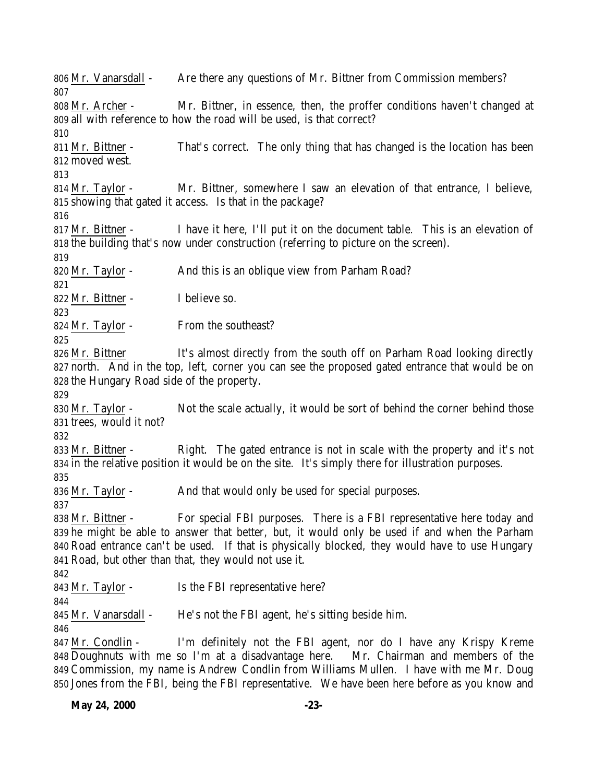Mr. Vanarsdall - Are there any questions of Mr. Bittner from Commission members? Mr. Archer - Mr. Bittner, in essence, then, the proffer conditions haven't changed at all with reference to how the road will be used, is that correct? Mr. Bittner - That's correct. The only thing that has changed is the location has been moved west. Mr. Taylor - Mr. Bittner, somewhere I saw an elevation of that entrance, I believe, showing that gated it access. Is that in the package? 817 Mr. Bittner - I have it here, I'll put it on the document table. This is an elevation of the building that's now under construction (referring to picture on the screen). 820 Mr. Taylor - And this is an oblique view from Parham Road? Mr. Bittner - I believe so. 824 Mr. Taylor - From the southeast? 826 Mr. Bittner It's almost directly from the south off on Parham Road looking directly north. And in the top, left, corner you can see the proposed gated entrance that would be on the Hungary Road side of the property. Mr. Taylor - Not the scale actually, it would be sort of behind the corner behind those trees, would it not? Mr. Bittner - Right. The gated entrance is not in scale with the property and it's not in the relative position it would be on the site. It's simply there for illustration purposes. 836 Mr. Taylor - And that would only be used for special purposes. Mr. Bittner - For special FBI purposes. There is a FBI representative here today and he might be able to answer that better, but, it would only be used if and when the Parham Road entrance can't be used. If that is physically blocked, they would have to use Hungary Road, but other than that, they would not use it. 843 Mr. Taylor - Is the FBI representative here? Mr. Vanarsdall - He's not the FBI agent, he's sitting beside him. Mr. Condlin - I'm definitely not the FBI agent, nor do I have any Krispy Kreme Doughnuts with me so I'm at a disadvantage here. Mr. Chairman and members of the Commission, my name is Andrew Condlin from Williams Mullen. I have with me Mr. Doug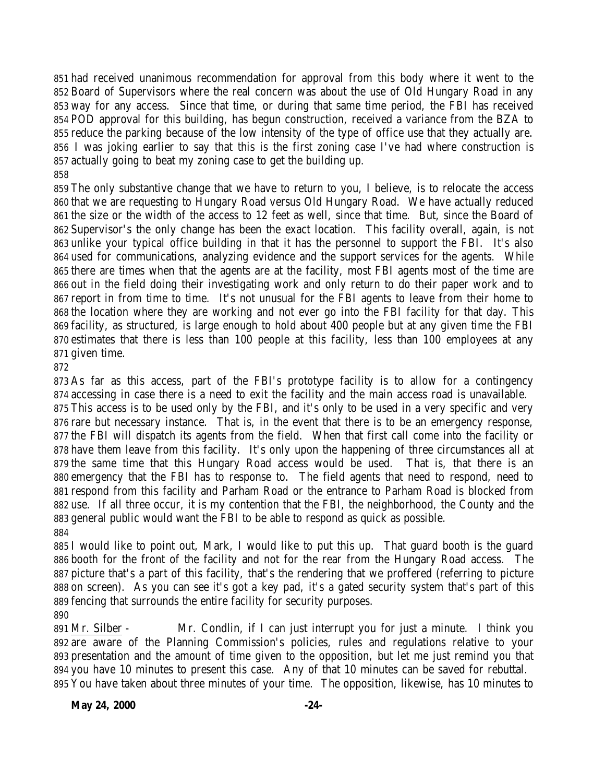had received unanimous recommendation for approval from this body where it went to the Board of Supervisors where the real concern was about the use of Old Hungary Road in any way for any access. Since that time, or during that same time period, the FBI has received POD approval for this building, has begun construction, received a variance from the BZA to reduce the parking because of the low intensity of the type of office use that they actually are. I was joking earlier to say that this is the first zoning case I've had where construction is actually going to beat my zoning case to get the building up. 

 The only substantive change that we have to return to you, I believe, is to relocate the access that we are requesting to Hungary Road versus Old Hungary Road. We have actually reduced the size or the width of the access to 12 feet as well, since that time. But, since the Board of Supervisor's the only change has been the exact location. This facility overall, again, is not unlike your typical office building in that it has the personnel to support the FBI. It's also used for communications, analyzing evidence and the support services for the agents. While there are times when that the agents are at the facility, most FBI agents most of the time are out in the field doing their investigating work and only return to do their paper work and to report in from time to time. It's not unusual for the FBI agents to leave from their home to the location where they are working and not ever go into the FBI facility for that day. This facility, as structured, is large enough to hold about 400 people but at any given time the FBI estimates that there is less than 100 people at this facility, less than 100 employees at any given time.

 As far as this access, part of the FBI's prototype facility is to allow for a contingency accessing in case there is a need to exit the facility and the main access road is unavailable. This access is to be used only by the FBI, and it's only to be used in a very specific and very

 rare but necessary instance. That is, in the event that there is to be an emergency response, the FBI will dispatch its agents from the field. When that first call come into the facility or have them leave from this facility. It's only upon the happening of three circumstances all at the same time that this Hungary Road access would be used. That is, that there is an emergency that the FBI has to response to. The field agents that need to respond, need to respond from this facility and Parham Road or the entrance to Parham Road is blocked from use. If all three occur, it is my contention that the FBI, the neighborhood, the County and the general public would want the FBI to be able to respond as quick as possible. 

 I would like to point out, Mark, I would like to put this up. That guard booth is the guard booth for the front of the facility and not for the rear from the Hungary Road access. The picture that's a part of this facility, that's the rendering that we proffered (referring to picture on screen). As you can see it's got a key pad, it's a gated security system that's part of this fencing that surrounds the entire facility for security purposes.

 Mr. Silber - Mr. Condlin, if I can just interrupt you for just a minute. I think you are aware of the Planning Commission's policies, rules and regulations relative to your presentation and the amount of time given to the opposition, but let me just remind you that you have 10 minutes to present this case. Any of that 10 minutes can be saved for rebuttal. You have taken about three minutes of your time. The opposition, likewise, has 10 minutes to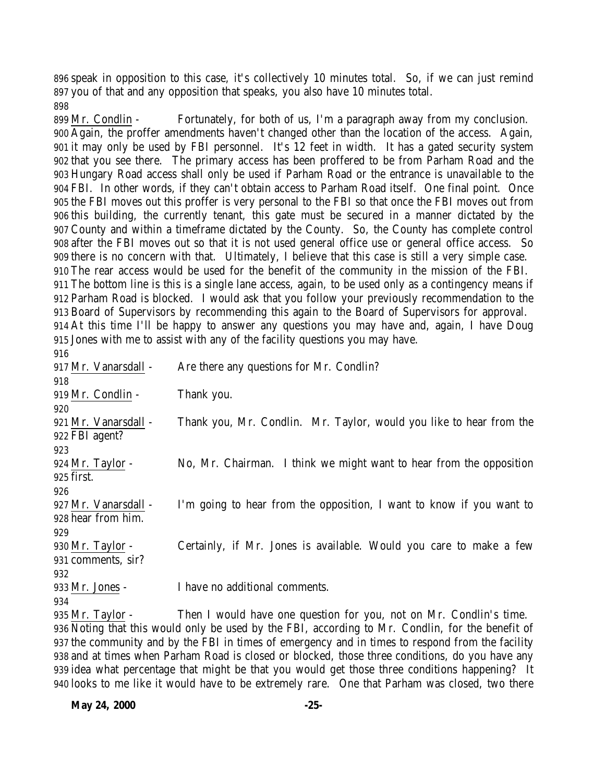speak in opposition to this case, it's collectively 10 minutes total. So, if we can just remind you of that and any opposition that speaks, you also have 10 minutes total. 

 Mr. Condlin - Fortunately, for both of us, I'm a paragraph away from my conclusion. Again, the proffer amendments haven't changed other than the location of the access. Again, it may only be used by FBI personnel. It's 12 feet in width. It has a gated security system that you see there. The primary access has been proffered to be from Parham Road and the Hungary Road access shall only be used if Parham Road or the entrance is unavailable to the FBI. In other words, if they can't obtain access to Parham Road itself. One final point. Once the FBI moves out this proffer is very personal to the FBI so that once the FBI moves out from this building, the currently tenant, this gate must be secured in a manner dictated by the County and within a timeframe dictated by the County. So, the County has complete control after the FBI moves out so that it is not used general office use or general office access. So there is no concern with that. Ultimately, I believe that this case is still a very simple case. The rear access would be used for the benefit of the community in the mission of the FBI. The bottom line is this is a single lane access, again, to be used only as a contingency means if Parham Road is blocked. I would ask that you follow your previously recommendation to the Board of Supervisors by recommending this again to the Board of Supervisors for approval. At this time I'll be happy to answer any questions you may have and, again, I have Doug Jones with me to assist with any of the facility questions you may have.

 917 Mr. Vanarsdall - Are there any questions for Mr. Condlin? 919 Mr. Condlin - Thank you. Mr. Vanarsdall - Thank you, Mr. Condlin. Mr. Taylor, would you like to hear from the FBI agent? Mr. Taylor - No, Mr. Chairman. I think we might want to hear from the opposition first. Mr. Vanarsdall - I'm going to hear from the opposition, I want to know if you want to hear from him. Mr. Taylor - Certainly, if Mr. Jones is available. Would you care to make a few comments, sir? Mr. Jones - I have no additional comments. Mr. Taylor - Then I would have one question for you, not on Mr. Condlin's time. Noting that this would only be used by the FBI, according to Mr. Condlin, for the benefit of the community and by the FBI in times of emergency and in times to respond from the facility

 and at times when Parham Road is closed or blocked, those three conditions, do you have any idea what percentage that might be that you would get those three conditions happening? It looks to me like it would have to be extremely rare. One that Parham was closed, two there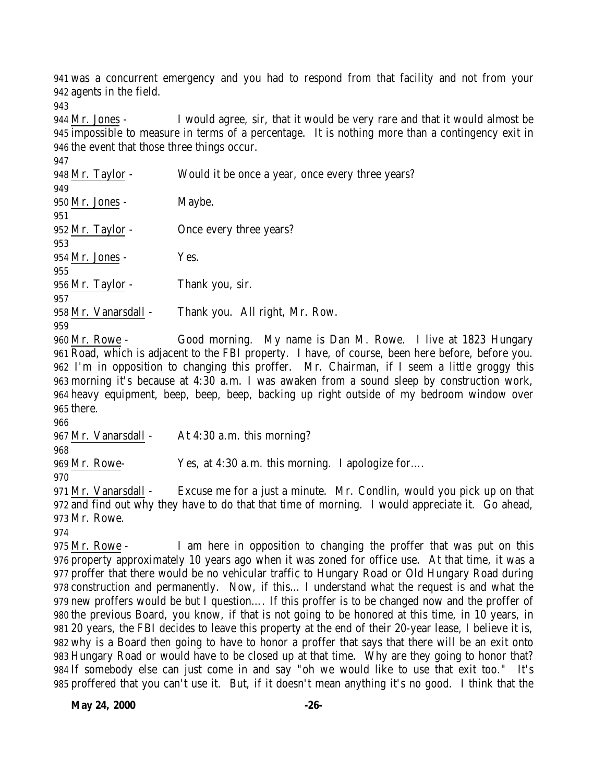was a concurrent emergency and you had to respond from that facility and not from your agents in the field.

 Mr. Jones - I would agree, sir, that it would be very rare and that it would almost be impossible to measure in terms of a percentage. It is nothing more than a contingency exit in the event that those three things occur. 

| 948 Mr. Taylor -     | Would it be once a year, once every three years? |
|----------------------|--------------------------------------------------|
| 949                  |                                                  |
| 950 Mr. Jones -      | Maybe.                                           |
| 951                  |                                                  |
| 952 Mr. Taylor -     | Once every three years?                          |
| 953                  |                                                  |
| 954 Mr. Jones -      | Yes.                                             |
| 955                  |                                                  |
| 956 Mr. Taylor -     | Thank you, sir.                                  |
| 957                  |                                                  |
| 958 Mr. Vanarsdall - | Thank you. All right, Mr. Row.                   |
| 959                  |                                                  |

 Mr. Rowe - Good morning. My name is Dan M. Rowe. I live at 1823 Hungary Road, which is adjacent to the FBI property. I have, of course, been here before, before you. I'm in opposition to changing this proffer. Mr. Chairman, if I seem a little groggy this morning it's because at 4:30 a.m. I was awaken from a sound sleep by construction work, heavy equipment, beep, beep, beep, backing up right outside of my bedroom window over there.

967 Mr. Vanarsdall - At 4:30 a.m. this morning?

Mr. Rowe- Yes, at 4:30 a.m. this morning. I apologize for….

 Mr. Vanarsdall - Excuse me for a just a minute. Mr. Condlin, would you pick up on that and find out why they have to do that that time of morning. I would appreciate it. Go ahead, Mr. Rowe.

 Mr. Rowe - I am here in opposition to changing the proffer that was put on this property approximately 10 years ago when it was zoned for office use. At that time, it was a proffer that there would be no vehicular traffic to Hungary Road or Old Hungary Road during construction and permanently. Now, if this… I understand what the request is and what the new proffers would be but I question…. If this proffer is to be changed now and the proffer of the previous Board, you know, if that is not going to be honored at this time, in 10 years, in 20 years, the FBI decides to leave this property at the end of their 20-year lease, I believe it is, why is a Board then going to have to honor a proffer that says that there will be an exit onto Hungary Road or would have to be closed up at that time. Why are they going to honor that? If somebody else can just come in and say "oh we would like to use that exit too." It's proffered that you can't use it. But, if it doesn't mean anything it's no good. I think that the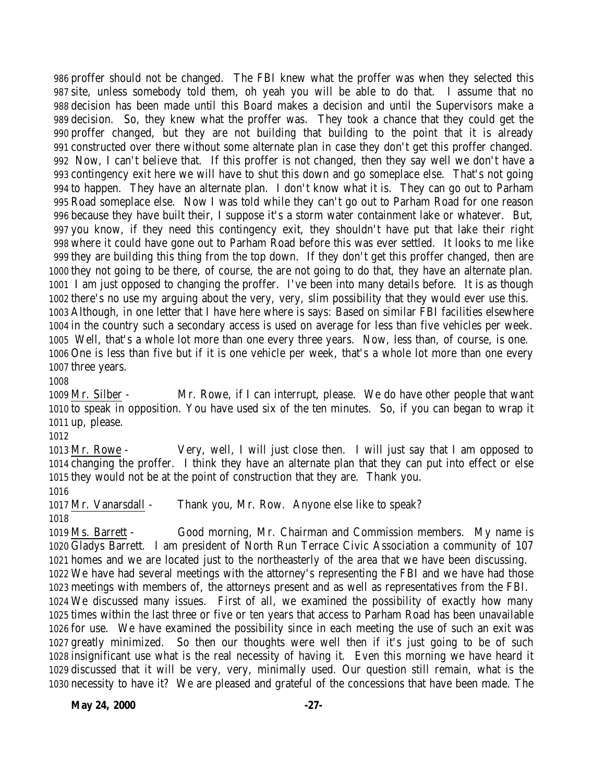proffer should not be changed. The FBI knew what the proffer was when they selected this site, unless somebody told them, oh yeah you will be able to do that. I assume that no decision has been made until this Board makes a decision and until the Supervisors make a decision. So, they knew what the proffer was. They took a chance that they could get the proffer changed, but they are not building that building to the point that it is already constructed over there without some alternate plan in case they don't get this proffer changed. Now, I can't believe that. If this proffer is not changed, then they say well we don't have a contingency exit here we will have to shut this down and go someplace else. That's not going to happen. They have an alternate plan. I don't know what it is. They can go out to Parham Road someplace else. Now I was told while they can't go out to Parham Road for one reason because they have built their, I suppose it's a storm water containment lake or whatever. But, you know, if they need this contingency exit, they shouldn't have put that lake their right where it could have gone out to Parham Road before this was ever settled. It looks to me like they are building this thing from the top down. If they don't get this proffer changed, then are they not going to be there, of course, the are not going to do that, they have an alternate plan. I am just opposed to changing the proffer. I've been into many details before. It is as though there's no use my arguing about the very, very, slim possibility that they would ever use this. Although, in one letter that I have here where is says: Based on similar FBI facilities elsewhere in the country such a secondary access is used on average for less than five vehicles per week. Well, that's a whole lot more than one every three years. Now, less than, of course, is one. One is less than five but if it is one vehicle per week, that's a whole lot more than one every three years.

 Mr. Silber - Mr. Rowe, if I can interrupt, please. We do have other people that want to speak in opposition. You have used six of the ten minutes. So, if you can began to wrap it up, please.

 Mr. Rowe - Very, well, I will just close then. I will just say that I am opposed to changing the proffer. I think they have an alternate plan that they can put into effect or else they would not be at the point of construction that they are. Thank you.

Mr. Vanarsdall - Thank you, Mr. Row. Anyone else like to speak?

 Ms. Barrett - Good morning, Mr. Chairman and Commission members. My name is Gladys Barrett. I am president of North Run Terrace Civic Association a community of 107 homes and we are located just to the northeasterly of the area that we have been discussing. We have had several meetings with the attorney's representing the FBI and we have had those meetings with members of, the attorneys present and as well as representatives from the FBI. We discussed many issues. First of all, we examined the possibility of exactly how many times within the last three or five or ten years that access to Parham Road has been unavailable for use. We have examined the possibility since in each meeting the use of such an exit was greatly minimized. So then our thoughts were well then if it's just going to be of such insignificant use what is the real necessity of having it. Even this morning we have heard it discussed that it will be very, very, minimally used. Our question still remain, what is the necessity to have it? We are pleased and grateful of the concessions that have been made. The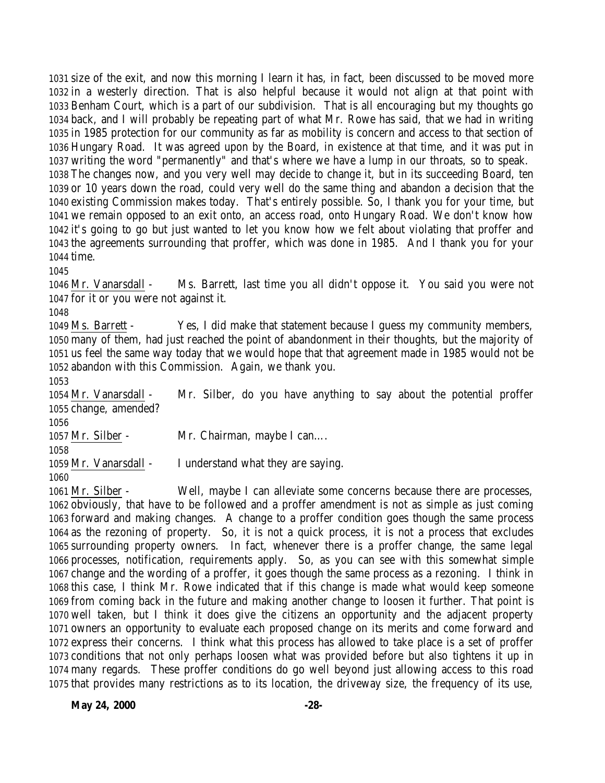size of the exit, and now this morning I learn it has, in fact, been discussed to be moved more in a westerly direction. That is also helpful because it would not align at that point with Benham Court, which is a part of our subdivision. That is all encouraging but my thoughts go back, and I will probably be repeating part of what Mr. Rowe has said, that we had in writing in 1985 protection for our community as far as mobility is concern and access to that section of Hungary Road. It was agreed upon by the Board, in existence at that time, and it was put in writing the word "permanently" and that's where we have a lump in our throats, so to speak. The changes now, and you very well may decide to change it, but in its succeeding Board, ten or 10 years down the road, could very well do the same thing and abandon a decision that the existing Commission makes today. That's entirely possible. So, I thank you for your time, but we remain opposed to an exit onto, an access road, onto Hungary Road. We don't know how it's going to go but just wanted to let you know how we felt about violating that proffer and the agreements surrounding that proffer, which was done in 1985. And I thank you for your time.

 Mr. Vanarsdall - Ms. Barrett, last time you all didn't oppose it. You said you were not for it or you were not against it.

 Ms. Barrett - Yes, I did make that statement because I guess my community members, many of them, had just reached the point of abandonment in their thoughts, but the majority of us feel the same way today that we would hope that that agreement made in 1985 would not be abandon with this Commission. Again, we thank you.

 Mr. Vanarsdall - Mr. Silber, do you have anything to say about the potential proffer change, amended?

 Mr. Silber - Mr. Chairman, maybe I can….

Mr. Vanarsdall - I understand what they are saying.

 Mr. Silber - Well, maybe I can alleviate some concerns because there are processes, obviously, that have to be followed and a proffer amendment is not as simple as just coming forward and making changes. A change to a proffer condition goes though the same process as the rezoning of property. So, it is not a quick process, it is not a process that excludes surrounding property owners. In fact, whenever there is a proffer change, the same legal processes, notification, requirements apply. So, as you can see with this somewhat simple change and the wording of a proffer, it goes though the same process as a rezoning. I think in this case, I think Mr. Rowe indicated that if this change is made what would keep someone from coming back in the future and making another change to loosen it further. That point is well taken, but I think it does give the citizens an opportunity and the adjacent property owners an opportunity to evaluate each proposed change on its merits and come forward and express their concerns. I think what this process has allowed to take place is a set of proffer conditions that not only perhaps loosen what was provided before but also tightens it up in many regards. These proffer conditions do go well beyond just allowing access to this road that provides many restrictions as to its location, the driveway size, the frequency of its use,

**May 24, 2000** -28-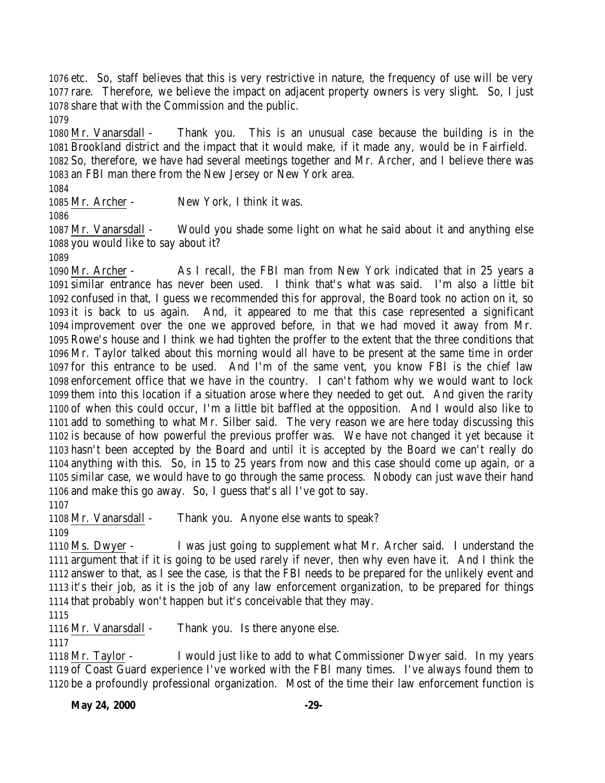etc. So, staff believes that this is very restrictive in nature, the frequency of use will be very rare. Therefore, we believe the impact on adjacent property owners is very slight. So, I just share that with the Commission and the public.

 Mr. Vanarsdall - Thank you. This is an unusual case because the building is in the Brookland district and the impact that it would make, if it made any, would be in Fairfield. So, therefore, we have had several meetings together and Mr. Archer, and I believe there was an FBI man there from the New Jersey or New York area.

Mr. Archer - New York, I think it was.

 Mr. Vanarsdall - Would you shade some light on what he said about it and anything else you would like to say about it?

 Mr. Archer - As I recall, the FBI man from New York indicated that in 25 years a similar entrance has never been used. I think that's what was said. I'm also a little bit confused in that, I guess we recommended this for approval, the Board took no action on it, so it is back to us again. And, it appeared to me that this case represented a significant improvement over the one we approved before, in that we had moved it away from Mr. Rowe's house and I think we had tighten the proffer to the extent that the three conditions that Mr. Taylor talked about this morning would all have to be present at the same time in order for this entrance to be used. And I'm of the same vent, you know FBI is the chief law enforcement office that we have in the country. I can't fathom why we would want to lock them into this location if a situation arose where they needed to get out. And given the rarity of when this could occur, I'm a little bit baffled at the opposition. And I would also like to add to something to what Mr. Silber said. The very reason we are here today discussing this is because of how powerful the previous proffer was. We have not changed it yet because it hasn't been accepted by the Board and until it is accepted by the Board we can't really do anything with this. So, in 15 to 25 years from now and this case should come up again, or a similar case, we would have to go through the same process. Nobody can just wave their hand and make this go away. So, I guess that's all I've got to say.

Mr. Vanarsdall - Thank you. Anyone else wants to speak?

 Ms. Dwyer - I was just going to supplement what Mr. Archer said. I understand the argument that if it is going to be used rarely if never, then why even have it. And I think the answer to that, as I see the case, is that the FBI needs to be prepared for the unlikely event and it's their job, as it is the job of any law enforcement organization, to be prepared for things that probably won't happen but it's conceivable that they may.

Mr. Vanarsdall - Thank you. Is there anyone else.

 Mr. Taylor - I would just like to add to what Commissioner Dwyer said. In my years of Coast Guard experience I've worked with the FBI many times. I've always found them to be a profoundly professional organization. Most of the time their law enforcement function is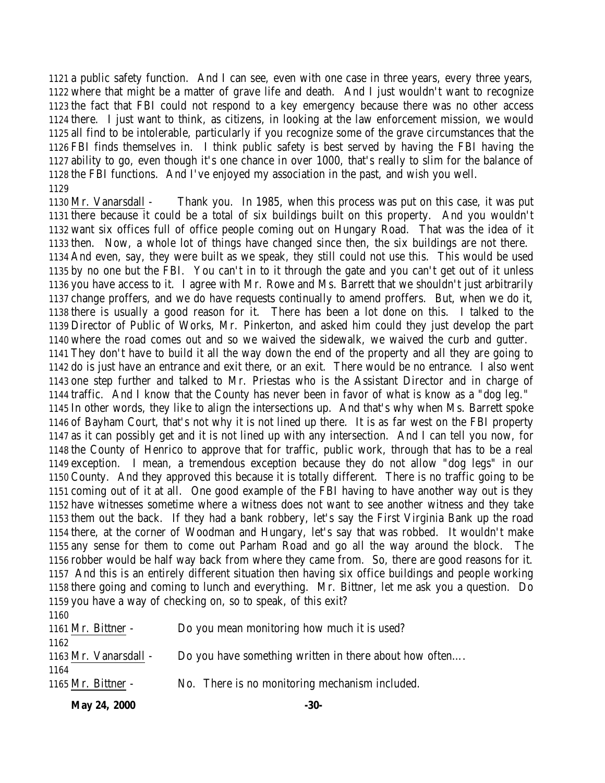a public safety function. And I can see, even with one case in three years, every three years, where that might be a matter of grave life and death. And I just wouldn't want to recognize the fact that FBI could not respond to a key emergency because there was no other access there. I just want to think, as citizens, in looking at the law enforcement mission, we would all find to be intolerable, particularly if you recognize some of the grave circumstances that the FBI finds themselves in. I think public safety is best served by having the FBI having the ability to go, even though it's one chance in over 1000, that's really to slim for the balance of the FBI functions. And I've enjoyed my association in the past, and wish you well. 

 Mr. Vanarsdall - Thank you. In 1985, when this process was put on this case, it was put there because it could be a total of six buildings built on this property. And you wouldn't want six offices full of office people coming out on Hungary Road. That was the idea of it then. Now, a whole lot of things have changed since then, the six buildings are not there. And even, say, they were built as we speak, they still could not use this. This would be used by no one but the FBI. You can't in to it through the gate and you can't get out of it unless you have access to it. I agree with Mr. Rowe and Ms. Barrett that we shouldn't just arbitrarily change proffers, and we do have requests continually to amend proffers. But, when we do it, there is usually a good reason for it. There has been a lot done on this. I talked to the Director of Public of Works, Mr. Pinkerton, and asked him could they just develop the part where the road comes out and so we waived the sidewalk, we waived the curb and gutter. They don't have to build it all the way down the end of the property and all they are going to do is just have an entrance and exit there, or an exit. There would be no entrance. I also went one step further and talked to Mr. Priestas who is the Assistant Director and in charge of traffic. And I know that the County has never been in favor of what is know as a "dog leg." In other words, they like to align the intersections up. And that's why when Ms. Barrett spoke of Bayham Court, that's not why it is not lined up there. It is as far west on the FBI property as it can possibly get and it is not lined up with any intersection. And I can tell you now, for the County of Henrico to approve that for traffic, public work, through that has to be a real exception. I mean, a tremendous exception because they do not allow "dog legs" in our County. And they approved this because it is totally different. There is no traffic going to be coming out of it at all. One good example of the FBI having to have another way out is they have witnesses sometime where a witness does not want to see another witness and they take them out the back. If they had a bank robbery, let's say the First Virginia Bank up the road there, at the corner of Woodman and Hungary, let's say that was robbed. It wouldn't make any sense for them to come out Parham Road and go all the way around the block. The robber would be half way back from where they came from. So, there are good reasons for it. And this is an entirely different situation then having six office buildings and people working there going and coming to lunch and everything. Mr. Bittner, let me ask you a question. Do you have a way of checking on, so to speak, of this exit? 

| .                     |                                                        |
|-----------------------|--------------------------------------------------------|
| 1161 Mr. Bittner -    | Do you mean monitoring how much it is used?            |
| 1162                  |                                                        |
| 1163 Mr. Vanarsdall - | Do you have something written in there about how often |
| 1164                  |                                                        |
| 1165 Mr. Bittner -    | No. There is no monitoring mechanism included.         |
|                       |                                                        |

**May 24, 2000** -30-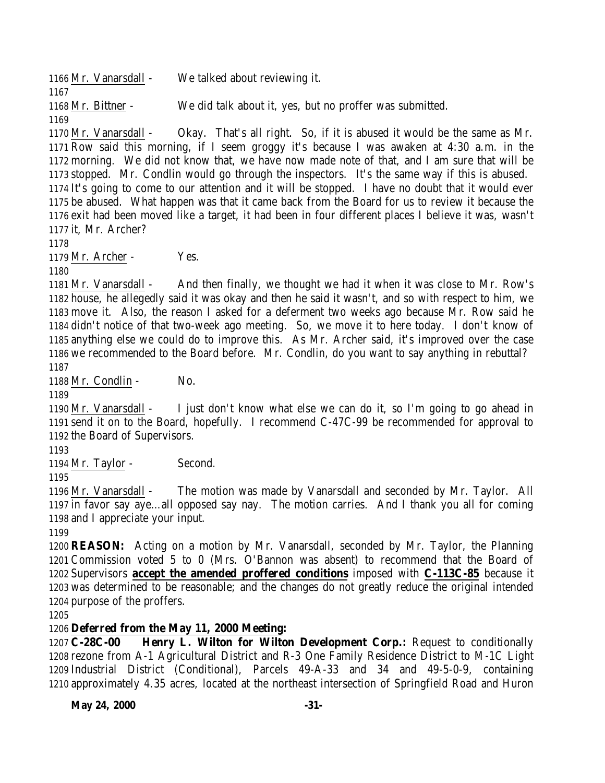Mr. Vanarsdall - We talked about reviewing it. Mr. Bittner - We did talk about it, yes, but no proffer was submitted. 

 Mr. Vanarsdall - Okay. That's all right. So, if it is abused it would be the same as Mr. Row said this morning, if I seem groggy it's because I was awaken at 4:30 a.m. in the morning. We did not know that, we have now made note of that, and I am sure that will be stopped. Mr. Condlin would go through the inspectors. It's the same way if this is abused. It's going to come to our attention and it will be stopped. I have no doubt that it would ever be abused. What happen was that it came back from the Board for us to review it because the exit had been moved like a target, it had been in four different places I believe it was, wasn't it, Mr. Archer?

Mr. Archer - Yes.

 Mr. Vanarsdall - And then finally, we thought we had it when it was close to Mr. Row's house, he allegedly said it was okay and then he said it wasn't, and so with respect to him, we move it. Also, the reason I asked for a deferment two weeks ago because Mr. Row said he didn't notice of that two-week ago meeting. So, we move it to here today. I don't know of anything else we could do to improve this. As Mr. Archer said, it's improved over the case we recommended to the Board before. Mr. Condlin, do you want to say anything in rebuttal? 

Mr. Condlin - No.

 Mr. Vanarsdall - I just don't know what else we can do it, so I'm going to go ahead in send it on to the Board, hopefully. I recommend C-47C-99 be recommended for approval to the Board of Supervisors.

1194 Mr. Taylor - Second.

 Mr. Vanarsdall - The motion was made by Vanarsdall and seconded by Mr. Taylor. All in favor say aye…all opposed say nay. The motion carries. And I thank you all for coming and I appreciate your input.

 **REASON:** Acting on a motion by Mr. Vanarsdall, seconded by Mr. Taylor, the Planning Commission voted 5 to 0 (Mrs. O'Bannon was absent) to recommend that the Board of Supervisors **accept the amended proffered conditions** imposed with **C-113C-85** because it was determined to be reasonable; and the changes do not greatly reduce the original intended purpose of the proffers.

# **Deferred from the May 11, 2000 Meeting:**

 **C-28C-00 Henry L. Wilton for Wilton Development Corp.:** Request to conditionally rezone from A-1 Agricultural District and R-3 One Family Residence District to M-1C Light Industrial District (Conditional), Parcels 49-A-33 and 34 and 49-5-0-9, containing approximately 4.35 acres, located at the northeast intersection of Springfield Road and Huron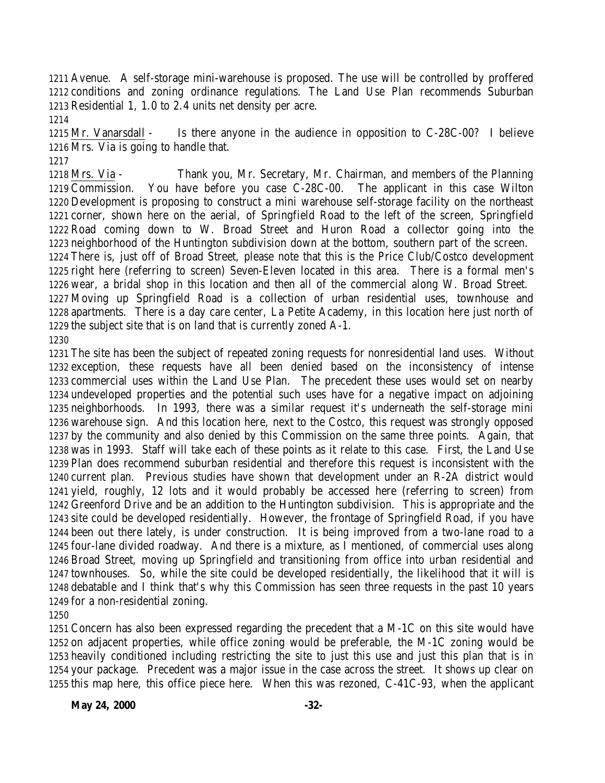Avenue. A self-storage mini-warehouse is proposed. The use will be controlled by proffered conditions and zoning ordinance regulations. The Land Use Plan recommends Suburban Residential 1, 1.0 to 2.4 units net density per acre.

 Mr. Vanarsdall - Is there anyone in the audience in opposition to C-28C-00? I believe Mrs. Via is going to handle that.

 Mrs. Via - Thank you, Mr. Secretary, Mr. Chairman, and members of the Planning Commission. You have before you case C-28C-00. The applicant in this case Wilton Development is proposing to construct a mini warehouse self-storage facility on the northeast corner, shown here on the aerial, of Springfield Road to the left of the screen, Springfield Road coming down to W. Broad Street and Huron Road a collector going into the neighborhood of the Huntington subdivision down at the bottom, southern part of the screen. There is, just off of Broad Street, please note that this is the Price Club/Costco development right here (referring to screen) Seven-Eleven located in this area. There is a formal men's wear, a bridal shop in this location and then all of the commercial along W. Broad Street. Moving up Springfield Road is a collection of urban residential uses, townhouse and apartments. There is a day care center, La Petite Academy, in this location here just north of the subject site that is on land that is currently zoned A-1. 

 The site has been the subject of repeated zoning requests for nonresidential land uses. Without exception, these requests have all been denied based on the inconsistency of intense commercial uses within the Land Use Plan. The precedent these uses would set on nearby undeveloped properties and the potential such uses have for a negative impact on adjoining neighborhoods. In 1993, there was a similar request it's underneath the self-storage mini warehouse sign. And this location here, next to the Costco, this request was strongly opposed by the community and also denied by this Commission on the same three points. Again, that was in 1993. Staff will take each of these points as it relate to this case. First, the Land Use Plan does recommend suburban residential and therefore this request is inconsistent with the current plan. Previous studies have shown that development under an R-2A district would yield, roughly, 12 lots and it would probably be accessed here (referring to screen) from Greenford Drive and be an addition to the Huntington subdivision. This is appropriate and the site could be developed residentially. However, the frontage of Springfield Road, if you have been out there lately, is under construction. It is being improved from a two-lane road to a four-lane divided roadway. And there is a mixture, as I mentioned, of commercial uses along Broad Street, moving up Springfield and transitioning from office into urban residential and townhouses. So, while the site could be developed residentially, the likelihood that it will is debatable and I think that's why this Commission has seen three requests in the past 10 years for a non-residential zoning.

 Concern has also been expressed regarding the precedent that a M-1C on this site would have on adjacent properties, while office zoning would be preferable, the M-1C zoning would be heavily conditioned including restricting the site to just this use and just this plan that is in your package. Precedent was a major issue in the case across the street. It shows up clear on this map here, this office piece here. When this was rezoned, C-41C-93, when the applicant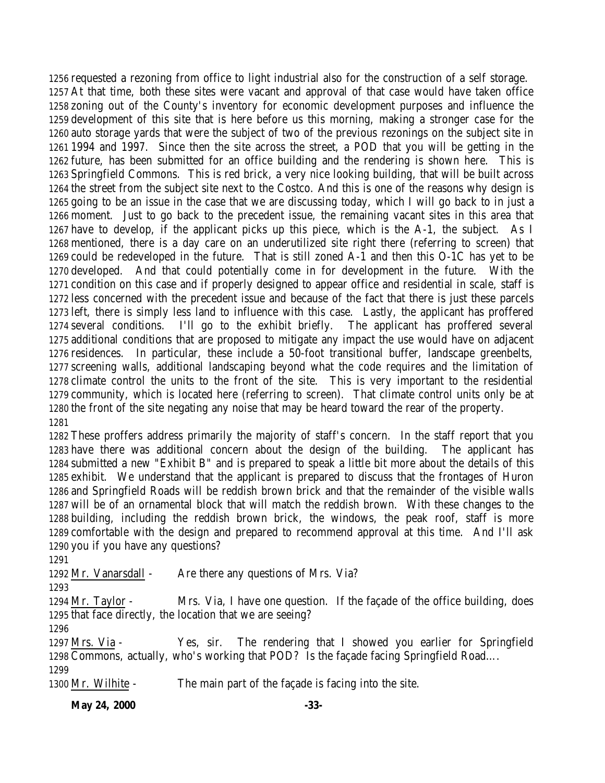requested a rezoning from office to light industrial also for the construction of a self storage. At that time, both these sites were vacant and approval of that case would have taken office zoning out of the County's inventory for economic development purposes and influence the development of this site that is here before us this morning, making a stronger case for the auto storage yards that were the subject of two of the previous rezonings on the subject site in 1994 and 1997. Since then the site across the street, a POD that you will be getting in the future, has been submitted for an office building and the rendering is shown here. This is Springfield Commons. This is red brick, a very nice looking building, that will be built across the street from the subject site next to the Costco. And this is one of the reasons why design is going to be an issue in the case that we are discussing today, which I will go back to in just a moment. Just to go back to the precedent issue, the remaining vacant sites in this area that have to develop, if the applicant picks up this piece, which is the A-1, the subject. As I mentioned, there is a day care on an underutilized site right there (referring to screen) that could be redeveloped in the future. That is still zoned A-1 and then this O-1C has yet to be developed. And that could potentially come in for development in the future. With the condition on this case and if properly designed to appear office and residential in scale, staff is less concerned with the precedent issue and because of the fact that there is just these parcels left, there is simply less land to influence with this case. Lastly, the applicant has proffered several conditions. I'll go to the exhibit briefly. The applicant has proffered several additional conditions that are proposed to mitigate any impact the use would have on adjacent residences. In particular, these include a 50-foot transitional buffer, landscape greenbelts, screening walls, additional landscaping beyond what the code requires and the limitation of climate control the units to the front of the site. This is very important to the residential community, which is located here (referring to screen). That climate control units only be at the front of the site negating any noise that may be heard toward the rear of the property. 

 These proffers address primarily the majority of staff's concern. In the staff report that you have there was additional concern about the design of the building. The applicant has submitted a new "Exhibit B" and is prepared to speak a little bit more about the details of this exhibit. We understand that the applicant is prepared to discuss that the frontages of Huron and Springfield Roads will be reddish brown brick and that the remainder of the visible walls will be of an ornamental block that will match the reddish brown. With these changes to the building, including the reddish brown brick, the windows, the peak roof, staff is more comfortable with the design and prepared to recommend approval at this time. And I'll ask you if you have any questions?

1292 Mr. Vanarsdall - Are there any questions of Mrs. Via?

 Mr. Taylor - Mrs. Via, I have one question. If the façade of the office building, does that face directly, the location that we are seeing?

 Mrs. Via - Yes, sir. The rendering that I showed you earlier for Springfield Commons, actually, who's working that POD? Is the façade facing Springfield Road…. 

Mr. Wilhite - The main part of the façade is facing into the site.

**May 24, 2000** -33-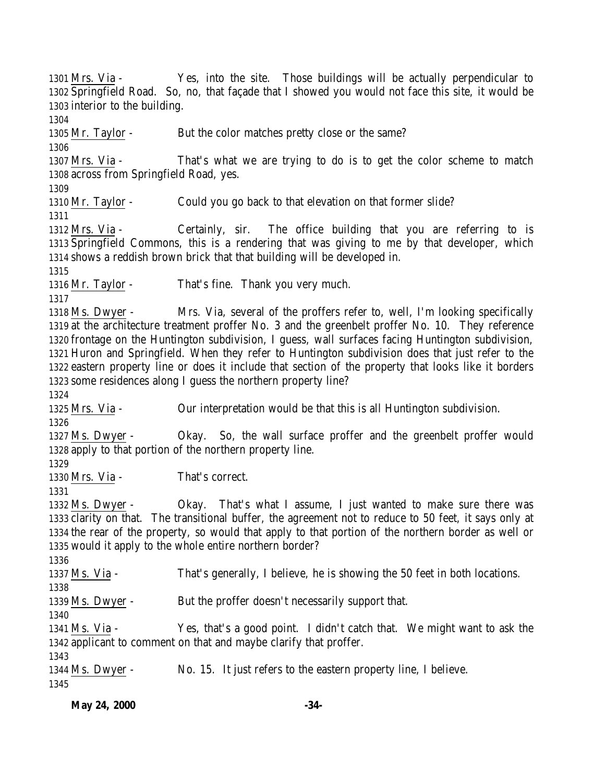Mrs. Via - Yes, into the site. Those buildings will be actually perpendicular to Springfield Road. So, no, that façade that I showed you would not face this site, it would be interior to the building. Mr. Taylor - But the color matches pretty close or the same? Mrs. Via - That's what we are trying to do is to get the color scheme to match across from Springfield Road, yes. 1310 Mr. Taylor - Could you go back to that elevation on that former slide? Mrs. Via - Certainly, sir. The office building that you are referring to is Springfield Commons, this is a rendering that was giving to me by that developer, which shows a reddish brown brick that that building will be developed in. Mr. Taylor - That's fine. Thank you very much. Ms. Dwyer - Mrs. Via, several of the proffers refer to, well, I'm looking specifically at the architecture treatment proffer No. 3 and the greenbelt proffer No. 10. They reference frontage on the Huntington subdivision, I guess, wall surfaces facing Huntington subdivision, Huron and Springfield. When they refer to Huntington subdivision does that just refer to the eastern property line or does it include that section of the property that looks like it borders some residences along I guess the northern property line? Mrs. Via - Our interpretation would be that this is all Huntington subdivision. Ms. Dwyer - Okay. So, the wall surface proffer and the greenbelt proffer would apply to that portion of the northern property line. Mrs. Via - That's correct. Ms. Dwyer - Okay. That's what I assume, I just wanted to make sure there was clarity on that. The transitional buffer, the agreement not to reduce to 50 feet, it says only at the rear of the property, so would that apply to that portion of the northern border as well or would it apply to the whole entire northern border? Ms. Via - That's generally, I believe, he is showing the 50 feet in both locations. 1339 Ms. Dwyer - But the proffer doesn't necessarily support that. Ms. Via - Yes, that's a good point. I didn't catch that. We might want to ask the applicant to comment on that and maybe clarify that proffer. Ms. Dwyer - No. 15. It just refers to the eastern property line, I believe.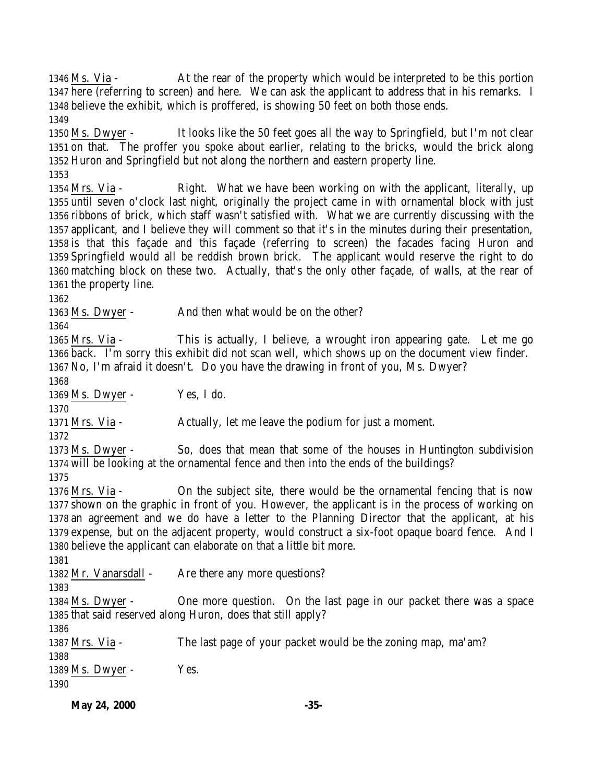Ms. Via - At the rear of the property which would be interpreted to be this portion here (referring to screen) and here. We can ask the applicant to address that in his remarks. I believe the exhibit, which is proffered, is showing 50 feet on both those ends. Ms. Dwyer - It looks like the 50 feet goes all the way to Springfield, but I'm not clear on that. The proffer you spoke about earlier, relating to the bricks, would the brick along Huron and Springfield but not along the northern and eastern property line. Mrs. Via - Right. What we have been working on with the applicant, literally, up until seven o'clock last night, originally the project came in with ornamental block with just ribbons of brick, which staff wasn't satisfied with. What we are currently discussing with the applicant, and I believe they will comment so that it's in the minutes during their presentation, is that this façade and this façade (referring to screen) the facades facing Huron and Springfield would all be reddish brown brick. The applicant would reserve the right to do matching block on these two. Actually, that's the only other façade, of walls, at the rear of the property line. 1363 Ms. Dwyer - And then what would be on the other? Mrs. Via - This is actually, I believe, a wrought iron appearing gate. Let me go back. I'm sorry this exhibit did not scan well, which shows up on the document view finder. No, I'm afraid it doesn't. Do you have the drawing in front of you, Ms. Dwyer?  $Ms$ . Dwyer - Yes, I do. Mrs. Via - Actually, let me leave the podium for just a moment. Ms. Dwyer - So, does that mean that some of the houses in Huntington subdivision will be looking at the ornamental fence and then into the ends of the buildings? Mrs. Via - On the subject site, there would be the ornamental fencing that is now shown on the graphic in front of you. However, the applicant is in the process of working on an agreement and we do have a letter to the Planning Director that the applicant, at his expense, but on the adjacent property, would construct a six-foot opaque board fence. And I believe the applicant can elaborate on that a little bit more. 1382 Mr. Vanarsdall - Are there any more questions? Ms. Dwyer - One more question. On the last page in our packet there was a space that said reserved along Huron, does that still apply? Mrs. Via - The last page of your packet would be the zoning map, ma'am?  $Ms$ . Dwyer - Yes. 

**May 24, 2000** -35-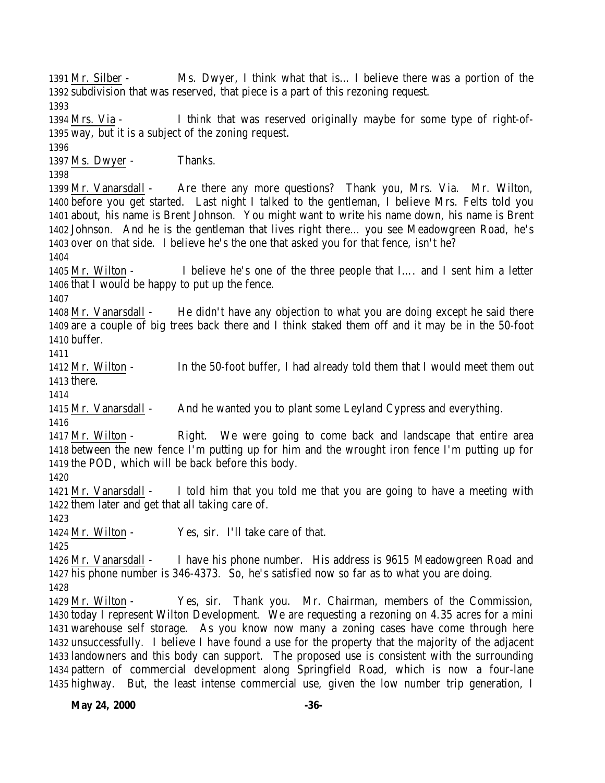Mr. Silber - Ms. Dwyer, I think what that is… I believe there was a portion of the subdivision that was reserved, that piece is a part of this rezoning request. Mrs. Via - I think that was reserved originally maybe for some type of right-of- way, but it is a subject of the zoning request. Ms. Dwyer - Thanks. Mr. Vanarsdall - Are there any more questions? Thank you, Mrs. Via. Mr. Wilton, before you get started. Last night I talked to the gentleman, I believe Mrs. Felts told you about, his name is Brent Johnson. You might want to write his name down, his name is Brent Johnson. And he is the gentleman that lives right there… you see Meadowgreen Road, he's over on that side. I believe he's the one that asked you for that fence, isn't he? Mr. Wilton - I believe he's one of the three people that I…. and I sent him a letter that I would be happy to put up the fence. Mr. Vanarsdall - He didn't have any objection to what you are doing except he said there are a couple of big trees back there and I think staked them off and it may be in the 50-foot buffer. Mr. Wilton - In the 50-foot buffer, I had already told them that I would meet them out there. Mr. Vanarsdall - And he wanted you to plant some Leyland Cypress and everything. Mr. Wilton - Right. We were going to come back and landscape that entire area between the new fence I'm putting up for him and the wrought iron fence I'm putting up for the POD, which will be back before this body. Mr. Vanarsdall - I told him that you told me that you are going to have a meeting with them later and get that all taking care of. Mr. Wilton - Yes, sir. I'll take care of that. Mr. Vanarsdall - I have his phone number. His address is 9615 Meadowgreen Road and his phone number is 346-4373. So, he's satisfied now so far as to what you are doing. Mr. Wilton - Yes, sir. Thank you. Mr. Chairman, members of the Commission, today I represent Wilton Development. We are requesting a rezoning on 4.35 acres for a mini warehouse self storage. As you know now many a zoning cases have come through here unsuccessfully. I believe I have found a use for the property that the majority of the adjacent landowners and this body can support. The proposed use is consistent with the surrounding pattern of commercial development along Springfield Road, which is now a four-lane highway. But, the least intense commercial use, given the low number trip generation, I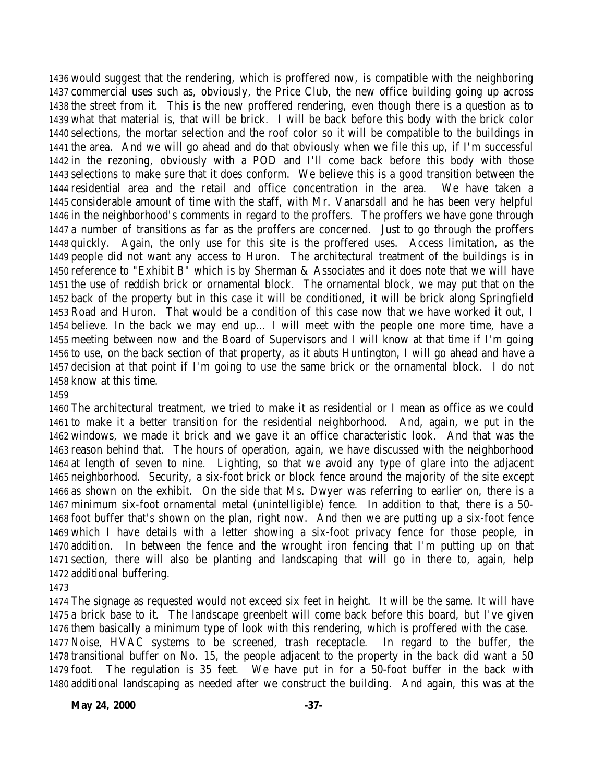would suggest that the rendering, which is proffered now, is compatible with the neighboring commercial uses such as, obviously, the Price Club, the new office building going up across the street from it. This is the new proffered rendering, even though there is a question as to what that material is, that will be brick. I will be back before this body with the brick color selections, the mortar selection and the roof color so it will be compatible to the buildings in the area. And we will go ahead and do that obviously when we file this up, if I'm successful in the rezoning, obviously with a POD and I'll come back before this body with those selections to make sure that it does conform. We believe this is a good transition between the residential area and the retail and office concentration in the area. We have taken a considerable amount of time with the staff, with Mr. Vanarsdall and he has been very helpful in the neighborhood's comments in regard to the proffers. The proffers we have gone through a number of transitions as far as the proffers are concerned. Just to go through the proffers quickly. Again, the only use for this site is the proffered uses. Access limitation, as the people did not want any access to Huron. The architectural treatment of the buildings is in reference to "Exhibit B" which is by Sherman & Associates and it does note that we will have the use of reddish brick or ornamental block. The ornamental block, we may put that on the back of the property but in this case it will be conditioned, it will be brick along Springfield Road and Huron. That would be a condition of this case now that we have worked it out, I believe. In the back we may end up… I will meet with the people one more time, have a meeting between now and the Board of Supervisors and I will know at that time if I'm going to use, on the back section of that property, as it abuts Huntington, I will go ahead and have a decision at that point if I'm going to use the same brick or the ornamental block. I do not know at this time.

 The architectural treatment, we tried to make it as residential or I mean as office as we could to make it a better transition for the residential neighborhood. And, again, we put in the windows, we made it brick and we gave it an office characteristic look. And that was the reason behind that. The hours of operation, again, we have discussed with the neighborhood at length of seven to nine. Lighting, so that we avoid any type of glare into the adjacent neighborhood. Security, a six-foot brick or block fence around the majority of the site except as shown on the exhibit. On the side that Ms. Dwyer was referring to earlier on, there is a minimum six-foot ornamental metal (unintelligible) fence. In addition to that, there is a 50- foot buffer that's shown on the plan, right now. And then we are putting up a six-foot fence which I have details with a letter showing a six-foot privacy fence for those people, in addition. In between the fence and the wrought iron fencing that I'm putting up on that section, there will also be planting and landscaping that will go in there to, again, help additional buffering.

 The signage as requested would not exceed six feet in height. It will be the same. It will have a brick base to it. The landscape greenbelt will come back before this board, but I've given them basically a minimum type of look with this rendering, which is proffered with the case.

 Noise, HVAC systems to be screened, trash receptacle. In regard to the buffer, the transitional buffer on No. 15, the people adjacent to the property in the back did want a 50 foot. The regulation is 35 feet. We have put in for a 50-foot buffer in the back with additional landscaping as needed after we construct the building. And again, this was at the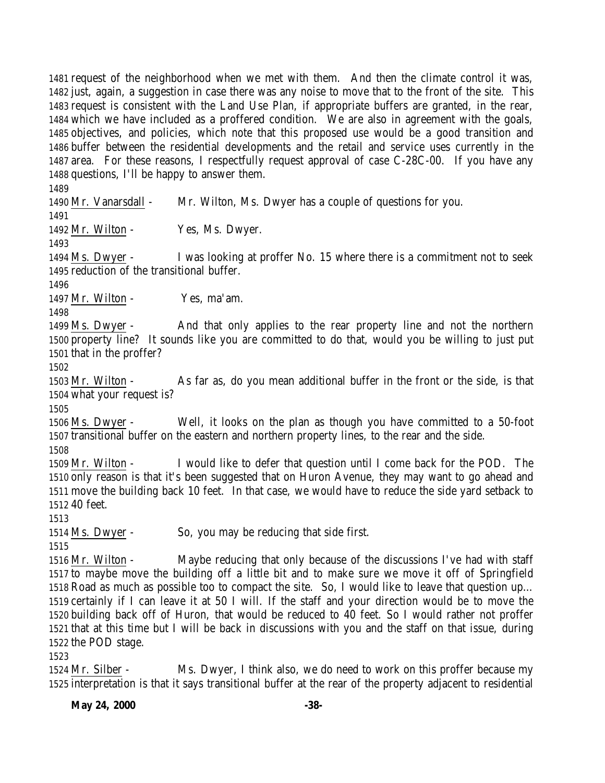request of the neighborhood when we met with them. And then the climate control it was, just, again, a suggestion in case there was any noise to move that to the front of the site. This request is consistent with the Land Use Plan, if appropriate buffers are granted, in the rear, which we have included as a proffered condition. We are also in agreement with the goals, objectives, and policies, which note that this proposed use would be a good transition and buffer between the residential developments and the retail and service uses currently in the area. For these reasons, I respectfully request approval of case C-28C-00. If you have any questions, I'll be happy to answer them. Mr. Vanarsdall - Mr. Wilton, Ms. Dwyer has a couple of questions for you. 

1492 Mr. Wilton - Yes, Ms. Dwyer.

 Ms. Dwyer - I was looking at proffer No. 15 where there is a commitment not to seek reduction of the transitional buffer.

1497 Mr. Wilton - Yes, ma'am.

 Ms. Dwyer - And that only applies to the rear property line and not the northern property line? It sounds like you are committed to do that, would you be willing to just put that in the proffer?

 Mr. Wilton - As far as, do you mean additional buffer in the front or the side, is that what your request is?

 Ms. Dwyer - Well, it looks on the plan as though you have committed to a 50-foot transitional buffer on the eastern and northern property lines, to the rear and the side.

 Mr. Wilton - I would like to defer that question until I come back for the POD. The only reason is that it's been suggested that on Huron Avenue, they may want to go ahead and move the building back 10 feet. In that case, we would have to reduce the side yard setback to 40 feet.

Ms. Dwyer - So, you may be reducing that side first.

 Mr. Wilton - Maybe reducing that only because of the discussions I've had with staff to maybe move the building off a little bit and to make sure we move it off of Springfield Road as much as possible too to compact the site. So, I would like to leave that question up… certainly if I can leave it at 50 I will. If the staff and your direction would be to move the building back off of Huron, that would be reduced to 40 feet. So I would rather not proffer that at this time but I will be back in discussions with you and the staff on that issue, during the POD stage.

 Mr. Silber - Ms. Dwyer, I think also, we do need to work on this proffer because my interpretation is that it says transitional buffer at the rear of the property adjacent to residential

**May 24, 2000** -38-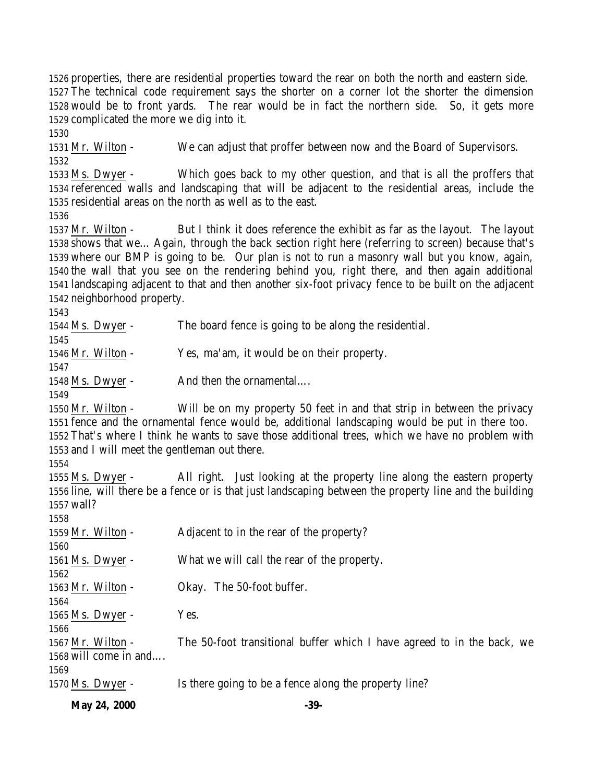**May 24, 2000** -39- properties, there are residential properties toward the rear on both the north and eastern side. The technical code requirement says the shorter on a corner lot the shorter the dimension would be to front yards. The rear would be in fact the northern side. So, it gets more complicated the more we dig into it. Mr. Wilton - We can adjust that proffer between now and the Board of Supervisors. Ms. Dwyer - Which goes back to my other question, and that is all the proffers that referenced walls and landscaping that will be adjacent to the residential areas, include the residential areas on the north as well as to the east. Mr. Wilton - But I think it does reference the exhibit as far as the layout. The layout shows that we… Again, through the back section right here (referring to screen) because that's where our BMP is going to be. Our plan is not to run a masonry wall but you know, again, the wall that you see on the rendering behind you, right there, and then again additional landscaping adjacent to that and then another six-foot privacy fence to be built on the adjacent neighborhood property. Ms. Dwyer - The board fence is going to be along the residential. Mr. Wilton - Yes, ma'am, it would be on their property. 1548 Ms. Dwyer - And then the ornamental.... Mr. Wilton - Will be on my property 50 feet in and that strip in between the privacy fence and the ornamental fence would be, additional landscaping would be put in there too. That's where I think he wants to save those additional trees, which we have no problem with and I will meet the gentleman out there. Ms. Dwyer - All right. Just looking at the property line along the eastern property line, will there be a fence or is that just landscaping between the property line and the building wall? Mr. Wilton - Adjacent to in the rear of the property? Ms. Dwyer - What we will call the rear of the property. Mr. Wilton - Okay. The 50-foot buffer. Ms. Dwyer - Yes. Mr. Wilton - The 50-foot transitional buffer which I have agreed to in the back, we will come in and…. Ms. Dwyer - Is there going to be a fence along the property line?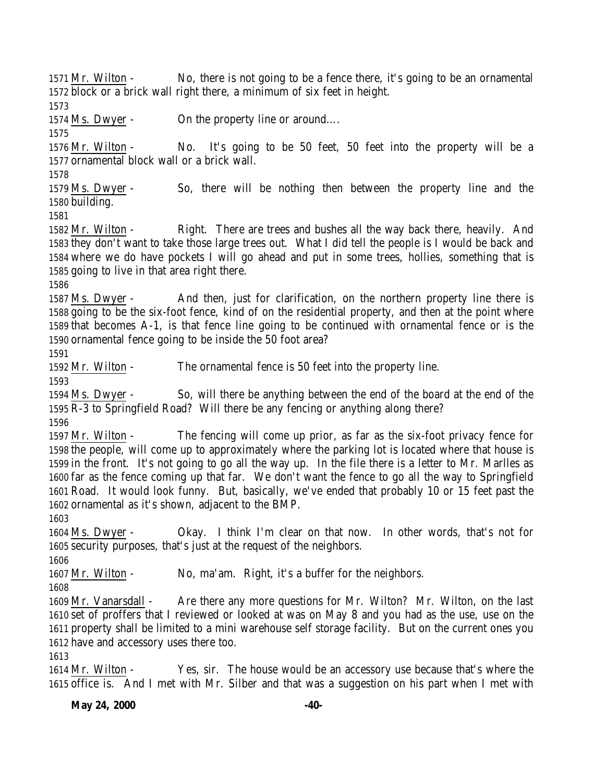Mr. Wilton - No, there is not going to be a fence there, it's going to be an ornamental block or a brick wall right there, a minimum of six feet in height. 1574 Ms. Dwyer - On the property line or around.... Mr. Wilton - No. It's going to be 50 feet, 50 feet into the property will be a ornamental block wall or a brick wall. Ms. Dwyer - So, there will be nothing then between the property line and the building. Mr. Wilton - Right. There are trees and bushes all the way back there, heavily. And they don't want to take those large trees out. What I did tell the people is I would be back and where we do have pockets I will go ahead and put in some trees, hollies, something that is going to live in that area right there. Ms. Dwyer - And then, just for clarification, on the northern property line there is going to be the six-foot fence, kind of on the residential property, and then at the point where that becomes A-1, is that fence line going to be continued with ornamental fence or is the ornamental fence going to be inside the 50 foot area? Mr. Wilton - The ornamental fence is 50 feet into the property line. Ms. Dwyer - So, will there be anything between the end of the board at the end of the  $\overline{R-3}$  to Springfield Road? Will there be any fencing or anything along there? Mr. Wilton - The fencing will come up prior, as far as the six-foot privacy fence for the people, will come up to approximately where the parking lot is located where that house is in the front. It's not going to go all the way up. In the file there is a letter to Mr. Marlles as far as the fence coming up that far. We don't want the fence to go all the way to Springfield Road. It would look funny. But, basically, we've ended that probably 10 or 15 feet past the ornamental as it's shown, adjacent to the BMP. Ms. Dwyer - Okay. I think I'm clear on that now. In other words, that's not for security purposes, that's just at the request of the neighbors. Mr. Wilton - No, ma'am. Right, it's a buffer for the neighbors. Mr. Vanarsdall - Are there any more questions for Mr. Wilton? Mr. Wilton, on the last set of proffers that I reviewed or looked at was on May 8 and you had as the use, use on the property shall be limited to a mini warehouse self storage facility. But on the current ones you have and accessory uses there too. Mr. Wilton - Yes, sir. The house would be an accessory use because that's where the office is. And I met with Mr. Silber and that was a suggestion on his part when I met with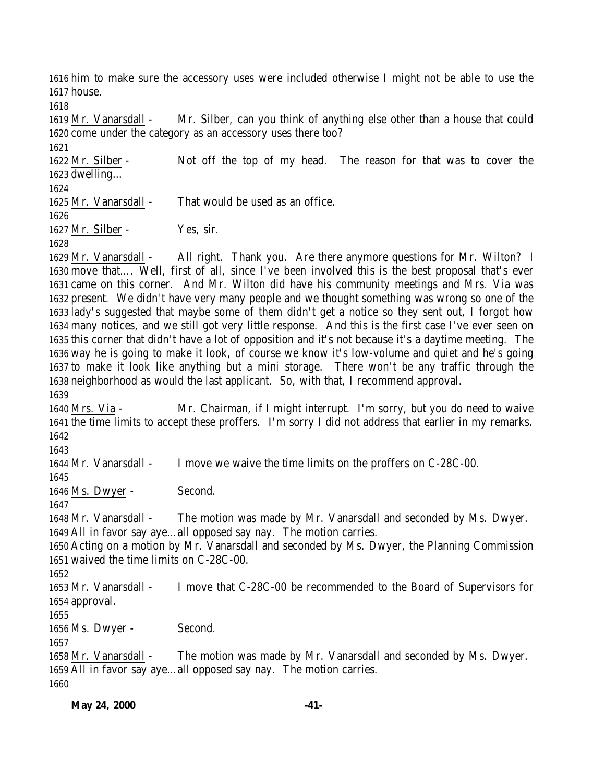him to make sure the accessory uses were included otherwise I might not be able to use the house.

 Mr. Vanarsdall - Mr. Silber, can you think of anything else other than a house that could come under the category as an accessory uses there too?

 Mr. Silber - Not off the top of my head. The reason for that was to cover the dwelling…

Mr. Vanarsdall - That would be used as an office.

Mr. Silber - Yes, sir.

 Mr. Vanarsdall - All right. Thank you. Are there anymore questions for Mr. Wilton? I move that…. Well, first of all, since I've been involved this is the best proposal that's ever came on this corner. And Mr. Wilton did have his community meetings and Mrs. Via was present. We didn't have very many people and we thought something was wrong so one of the lady's suggested that maybe some of them didn't get a notice so they sent out, I forgot how many notices, and we still got very little response. And this is the first case I've ever seen on this corner that didn't have a lot of opposition and it's not because it's a daytime meeting. The way he is going to make it look, of course we know it's low-volume and quiet and he's going to make it look like anything but a mini storage. There won't be any traffic through the neighborhood as would the last applicant. So, with that, I recommend approval.

 Mrs. Via - Mr. Chairman, if I might interrupt. I'm sorry, but you do need to waive the time limits to accept these proffers. I'm sorry I did not address that earlier in my remarks. 

Mr. Vanarsdall - I move we waive the time limits on the proffers on C-28C-00.

Ms. Dwyer - Second.

 Mr. Vanarsdall - The motion was made by Mr. Vanarsdall and seconded by Ms. Dwyer. All in favor say aye…all opposed say nay. The motion carries.

 Acting on a motion by Mr. Vanarsdall and seconded by Ms. Dwyer, the Planning Commission waived the time limits on C-28C-00.

 Mr. Vanarsdall - I move that C-28C-00 be recommended to the Board of Supervisors for approval.

Ms. Dwyer - Second.

 Mr. Vanarsdall - The motion was made by Mr. Vanarsdall and seconded by Ms. Dwyer. All in favor say aye…all opposed say nay. The motion carries.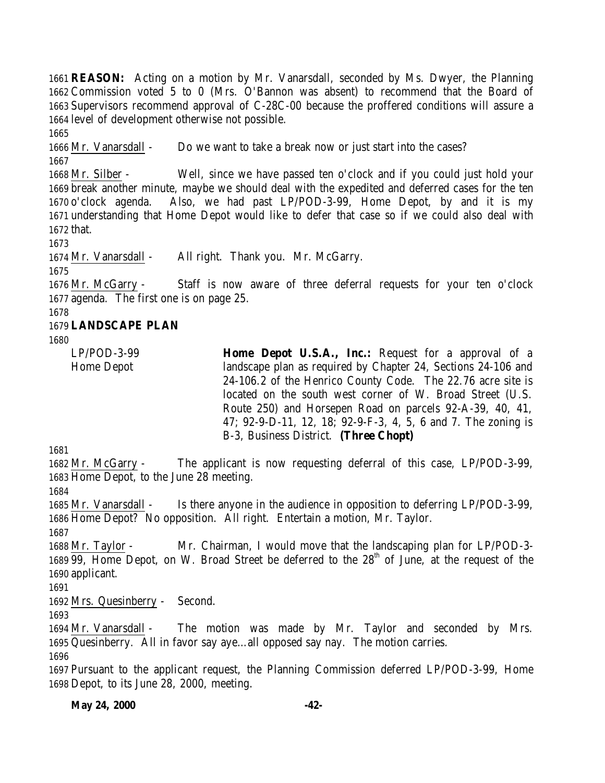**REASON:** Acting on a motion by Mr. Vanarsdall, seconded by Ms. Dwyer, the Planning Commission voted 5 to 0 (Mrs. O'Bannon was absent) to recommend that the Board of Supervisors recommend approval of C-28C-00 because the proffered conditions will assure a level of development otherwise not possible.

 Mr. Vanarsdall - Do we want to take a break now or just start into the cases? 

 Mr. Silber - Well, since we have passed ten o'clock and if you could just hold your break another minute, maybe we should deal with the expedited and deferred cases for the ten o'clock agenda. Also, we had past LP/POD-3-99, Home Depot, by and it is my understanding that Home Depot would like to defer that case so if we could also deal with that.

Mr. Vanarsdall - All right. Thank you. Mr. McGarry.

 Mr. McGarry - Staff is now aware of three deferral requests for your ten o'clock agenda. The first one is on page 25.

## **LANDSCAPE PLAN**

LP/POD-3-99 Home Depot

**Home Depot U.S.A., Inc.:** Request for a approval of a landscape plan as required by Chapter 24, Sections 24-106 and 24-106.2 of the Henrico County Code. The 22.76 acre site is located on the south west corner of W. Broad Street (U.S. Route 250) and Horsepen Road on parcels 92-A-39, 40, 41, 47; 92-9-D-11, 12, 18; 92-9-F-3, 4, 5, 6 and 7. The zoning is B-3, Business District. **(Three Chopt)** 

 Mr. McGarry - The applicant is now requesting deferral of this case, LP/POD-3-99, Home Depot, to the June 28 meeting.

 Mr. Vanarsdall - Is there anyone in the audience in opposition to deferring LP/POD-3-99, Home Depot? No opposition. All right. Entertain a motion, Mr. Taylor.

 Mr. Taylor - Mr. Chairman, I would move that the landscaping plan for LP/POD-3- 1689  $\overline{99}$ , Home Depot, on W. Broad Street be deferred to the  $28<sup>th</sup>$  of June, at the request of the applicant.

Mrs. Quesinberry - Second.

 Mr. Vanarsdall - The motion was made by Mr. Taylor and seconded by Mrs. Quesinberry. All in favor say aye…all opposed say nay. The motion carries. 

 Pursuant to the applicant request, the Planning Commission deferred LP/POD-3-99, Home Depot, to its June 28, 2000, meeting.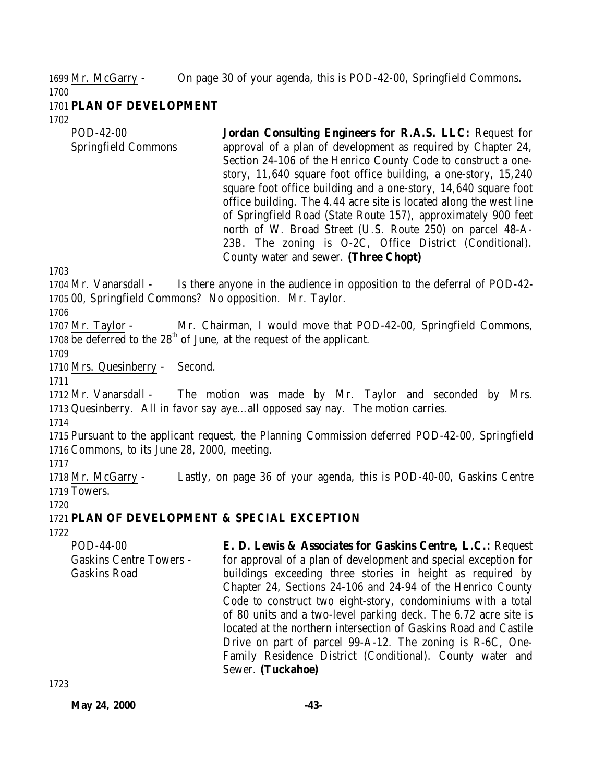1699 Mr. McGarry - On page 30 of your agenda, this is POD-42-00, Springfield Commons.

## 1701 **PLAN OF DEVELOPMENT**

1702

1700

POD-42-00 Springfield Commons **Jordan Consulting Engineers for R.A.S. LLC:** Request for approval of a plan of development as required by Chapter 24, Section 24-106 of the Henrico County Code to construct a onestory, 11,640 square foot office building, a one-story, 15,240 square foot office building and a one-story, 14,640 square foot office building. The 4.44 acre site is located along the west line of Springfield Road (State Route 157), approximately 900 feet north of W. Broad Street (U.S. Route 250) on parcel 48-A-23B. The zoning is O-2C, Office District (Conditional). County water and sewer. **(Three Chopt)**

1703

1704 Mr. Vanarsdall - Is there anyone in the audience in opposition to the deferral of POD-42- 1705 00, Springfield Commons? No opposition. Mr. Taylor.

1706

1707 Mr. Taylor - Mr. Chairman, I would move that POD-42-00, Springfield Commons, 1708 be deferred to the  $28<sup>th</sup>$  of June, at the request of the applicant.

1709

1710 Mrs. Quesinberry - Second.

1711

1712 Mr. Vanarsdall - The motion was made by Mr. Taylor and seconded by Mrs. 1713 Quesinberry. All in favor say aye…all opposed say nay. The motion carries.

1714

1715 Pursuant to the applicant request, the Planning Commission deferred POD-42-00, Springfield 1716 Commons, to its June 28, 2000, meeting.

1717

1718 Mr. McGarry - Lastly, on page 36 of your agenda, this is POD-40-00, Gaskins Centre 1719 Towers.

1720

# 1721 **PLAN OF DEVELOPMENT & SPECIAL EXCEPTION**

1722

POD-44-00 Gaskins Centre Towers - Gaskins Road **E. D. Lewis & Associates for Gaskins Centre, L.C.:** Request for approval of a plan of development and special exception for buildings exceeding three stories in height as required by Chapter 24, Sections 24-106 and 24-94 of the Henrico County Code to construct two eight-story, condominiums with a total of 80 units and a two-level parking deck. The 6.72 acre site is located at the northern intersection of Gaskins Road and Castile Drive on part of parcel 99-A-12. The zoning is R-6C, One-Family Residence District (Conditional). County water and Sewer. **(Tuckahoe)**

**May 24, 2000 -43-**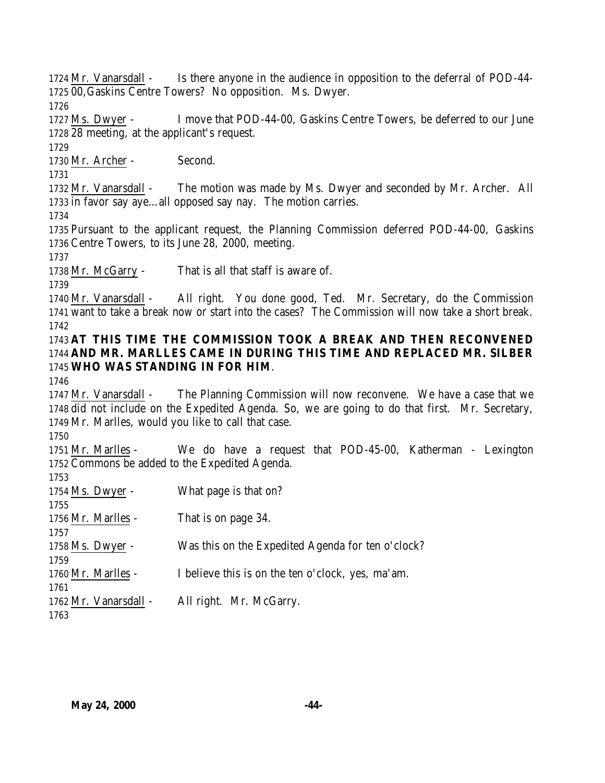Mr. Vanarsdall - Is there anyone in the audience in opposition to the deferral of POD-44- 00,Gaskins Centre Towers? No opposition. Ms. Dwyer.

 Ms. Dwyer - I move that POD-44-00, Gaskins Centre Towers, be deferred to our June 28 meeting, at the applicant's request.

Mr. Archer - Second.

 Mr. Vanarsdall - The motion was made by Ms. Dwyer and seconded by Mr. Archer. All in favor say aye…all opposed say nay. The motion carries.

 Pursuant to the applicant request, the Planning Commission deferred POD-44-00, Gaskins Centre Towers, to its June 28, 2000, meeting.

Mr. McGarry - That is all that staff is aware of.

 Mr. Vanarsdall - All right. You done good, Ted. Mr. Secretary, do the Commission want to take a break now or start into the cases? The Commission will now take a short break. 

## **AT THIS TIME THE COMMISSION TOOK A BREAK AND THEN RECONVENED AND MR. MARLLES CAME IN DURING THIS TIME AND REPLACED MR. SILBER WHO WAS STANDING IN FOR HIM**.

 Mr. Vanarsdall - The Planning Commission will now reconvene. We have a case that we did not include on the Expedited Agenda. So, we are going to do that first. Mr. Secretary, Mr. Marlles, would you like to call that case.

 Mr. Marlles - We do have a request that POD-45-00, Katherman - Lexington Commons be added to the Expedited Agenda.

| 1753                  |                                                   |
|-----------------------|---------------------------------------------------|
| 1754 Ms. Dwyer -      | What page is that on?                             |
| 1755                  |                                                   |
| 1756 Mr. Marlles -    | That is on page 34.                               |
| 1757                  |                                                   |
| 1758 Ms. Dwyer -      | Was this on the Expedited Agenda for ten o'clock? |
| 1759                  |                                                   |
| 1760 Mr. Marlles -    | I believe this is on the ten o'clock, yes, ma'am. |
| 1761                  |                                                   |
| 1762 Mr. Vanarsdall - | All right. Mr. McGarry.                           |
| 1763                  |                                                   |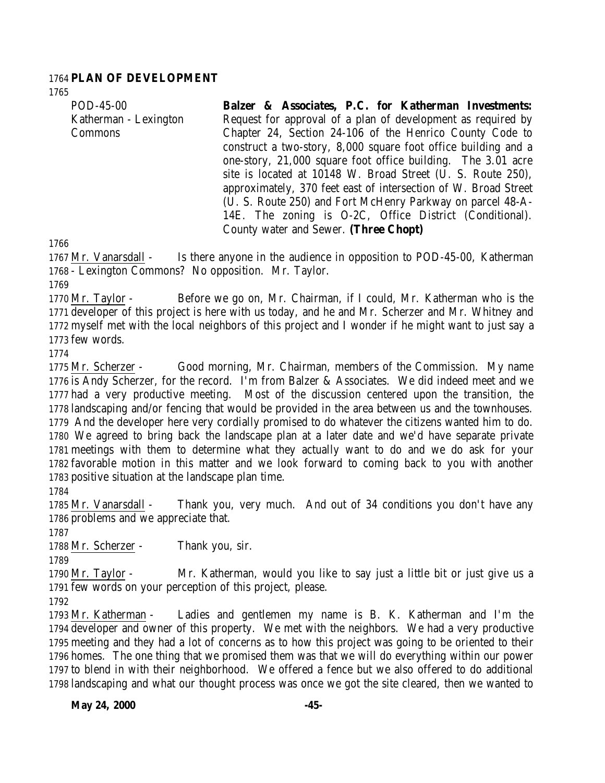### **PLAN OF DEVELOPMENT**

POD-45-00 Katherman - Lexington Commons **Balzer & Associates, P.C. for Katherman Investments:** Request for approval of a plan of development as required by Chapter 24, Section 24-106 of the Henrico County Code to construct a two-story, 8,000 square foot office building and a one-story, 21,000 square foot office building. The 3.01 acre site is located at 10148 W. Broad Street (U. S. Route 250), approximately, 370 feet east of intersection of W. Broad Street (U. S. Route 250) and Fort McHenry Parkway on parcel 48-A-14E. The zoning is O-2C, Office District (Conditional). County water and Sewer. **(Three Chopt)**

 Mr. Vanarsdall - Is there anyone in the audience in opposition to POD-45-00, Katherman - Lexington Commons? No opposition. Mr. Taylor.

 Mr. Taylor - Before we go on, Mr. Chairman, if I could, Mr. Katherman who is the developer of this project is here with us today, and he and Mr. Scherzer and Mr. Whitney and myself met with the local neighbors of this project and I wonder if he might want to just say a few words.

 Mr. Scherzer - Good morning, Mr. Chairman, members of the Commission. My name is Andy Scherzer, for the record. I'm from Balzer & Associates. We did indeed meet and we had a very productive meeting. Most of the discussion centered upon the transition, the landscaping and/or fencing that would be provided in the area between us and the townhouses. And the developer here very cordially promised to do whatever the citizens wanted him to do. We agreed to bring back the landscape plan at a later date and we'd have separate private meetings with them to determine what they actually want to do and we do ask for your favorable motion in this matter and we look forward to coming back to you with another positive situation at the landscape plan time. 

 Mr. Vanarsdall - Thank you, very much. And out of 34 conditions you don't have any problems and we appreciate that.

1788 Mr. Scherzer - Thank you, sir.

 Mr. Taylor - Mr. Katherman, would you like to say just a little bit or just give us a few words on your perception of this project, please.

 Mr. Katherman - Ladies and gentlemen my name is B. K. Katherman and I'm the developer and owner of this property. We met with the neighbors. We had a very productive meeting and they had a lot of concerns as to how this project was going to be oriented to their homes. The one thing that we promised them was that we will do everything within our power to blend in with their neighborhood. We offered a fence but we also offered to do additional landscaping and what our thought process was once we got the site cleared, then we wanted to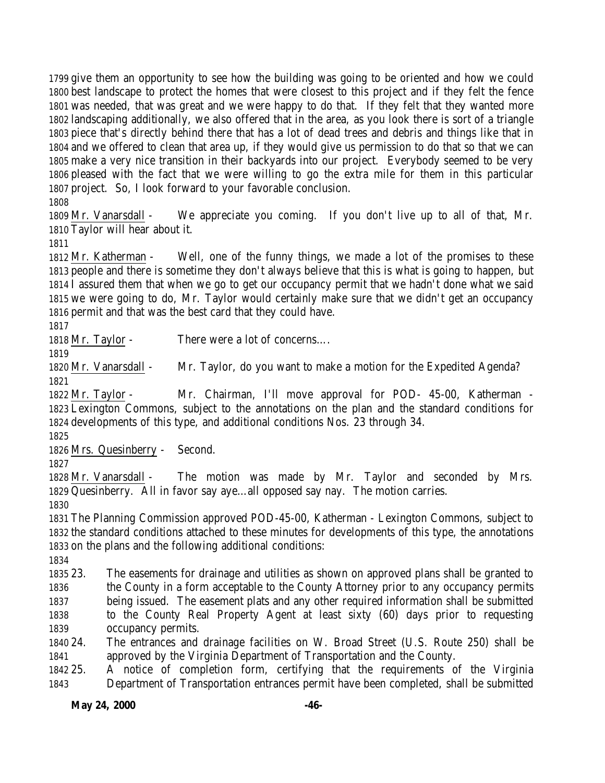give them an opportunity to see how the building was going to be oriented and how we could best landscape to protect the homes that were closest to this project and if they felt the fence was needed, that was great and we were happy to do that. If they felt that they wanted more landscaping additionally, we also offered that in the area, as you look there is sort of a triangle piece that's directly behind there that has a lot of dead trees and debris and things like that in and we offered to clean that area up, if they would give us permission to do that so that we can make a very nice transition in their backyards into our project. Everybody seemed to be very pleased with the fact that we were willing to go the extra mile for them in this particular project. So, I look forward to your favorable conclusion.

 Mr. Vanarsdall - We appreciate you coming. If you don't live up to all of that, Mr. Taylor will hear about it.

 Mr. Katherman - Well, one of the funny things, we made a lot of the promises to these people and there is sometime they don't always believe that this is what is going to happen, but I assured them that when we go to get our occupancy permit that we hadn't done what we said we were going to do, Mr. Taylor would certainly make sure that we didn't get an occupancy permit and that was the best card that they could have.

1818 Mr. Taylor - There were a lot of concerns....

 Mr. Vanarsdall - Mr. Taylor, do you want to make a motion for the Expedited Agenda? 

 Mr. Taylor - Mr. Chairman, I'll move approval for POD- 45-00, Katherman - Lexington Commons, subject to the annotations on the plan and the standard conditions for developments of this type, and additional conditions Nos. 23 through 34.

Mrs. Quesinberry - Second.

 Mr. Vanarsdall - The motion was made by Mr. Taylor and seconded by Mrs. Quesinberry. All in favor say aye…all opposed say nay. The motion carries. 

 The Planning Commission approved POD-45-00, Katherman - Lexington Commons, subject to the standard conditions attached to these minutes for developments of this type, the annotations on the plans and the following additional conditions:

 23. The easements for drainage and utilities as shown on approved plans shall be granted to the County in a form acceptable to the County Attorney prior to any occupancy permits being issued. The easement plats and any other required information shall be submitted to the County Real Property Agent at least sixty (60) days prior to requesting occupancy permits.

 24. The entrances and drainage facilities on W. Broad Street (U.S. Route 250) shall be approved by the Virginia Department of Transportation and the County.

 25. A notice of completion form, certifying that the requirements of the Virginia Department of Transportation entrances permit have been completed, shall be submitted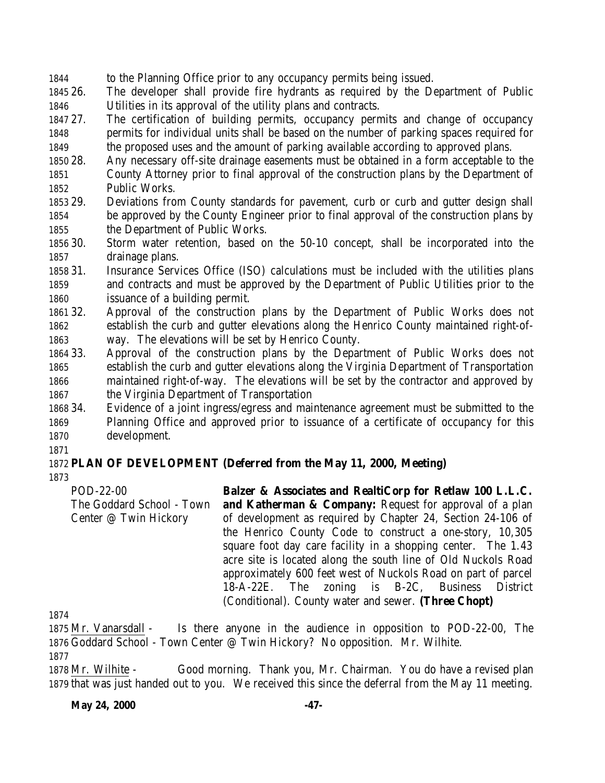to the Planning Office prior to any occupancy permits being issued.

 26. The developer shall provide fire hydrants as required by the Department of Public Utilities in its approval of the utility plans and contracts.

 27. The certification of building permits, occupancy permits and change of occupancy permits for individual units shall be based on the number of parking spaces required for the proposed uses and the amount of parking available according to approved plans.

- 28. Any necessary off-site drainage easements must be obtained in a form acceptable to the County Attorney prior to final approval of the construction plans by the Department of Public Works.
- 29. Deviations from County standards for pavement, curb or curb and gutter design shall be approved by the County Engineer prior to final approval of the construction plans by the Department of Public Works.
- 30. Storm water retention, based on the 50-10 concept, shall be incorporated into the drainage plans.
- 31. Insurance Services Office (ISO) calculations must be included with the utilities plans and contracts and must be approved by the Department of Public Utilities prior to the issuance of a building permit.
- 32. Approval of the construction plans by the Department of Public Works does not establish the curb and gutter elevations along the Henrico County maintained right-of-way. The elevations will be set by Henrico County.
- 33. Approval of the construction plans by the Department of Public Works does not establish the curb and gutter elevations along the Virginia Department of Transportation maintained right-of-way. The elevations will be set by the contractor and approved by the Virginia Department of Transportation
- 34. Evidence of a joint ingress/egress and maintenance agreement must be submitted to the Planning Office and approved prior to issuance of a certificate of occupancy for this development.

## **PLAN OF DEVELOPMENT (Deferred from the May 11, 2000, Meeting)**

POD-22-00 The Goddard School - Town Center @ Twin Hickory **Balzer & Associates and RealtiCorp for Retlaw 100 L.L.C. and Katherman & Company:** Request for approval of a plan of development as required by Chapter 24, Section 24-106 of the Henrico County Code to construct a one-story, 10,305 square foot day care facility in a shopping center. The 1.43 acre site is located along the south line of Old Nuckols Road approximately 600 feet west of Nuckols Road on part of parcel 18-A-22E. The zoning is B-2C, Business District (Conditional). County water and sewer. **(Three Chopt)**

 Mr. Vanarsdall - Is there anyone in the audience in opposition to POD-22-00, The Goddard School - Town Center @ Twin Hickory? No opposition. Mr. Wilhite.

 Mr. Wilhite - Good morning. Thank you, Mr. Chairman. You do have a revised plan that was just handed out to you. We received this since the deferral from the May 11 meeting.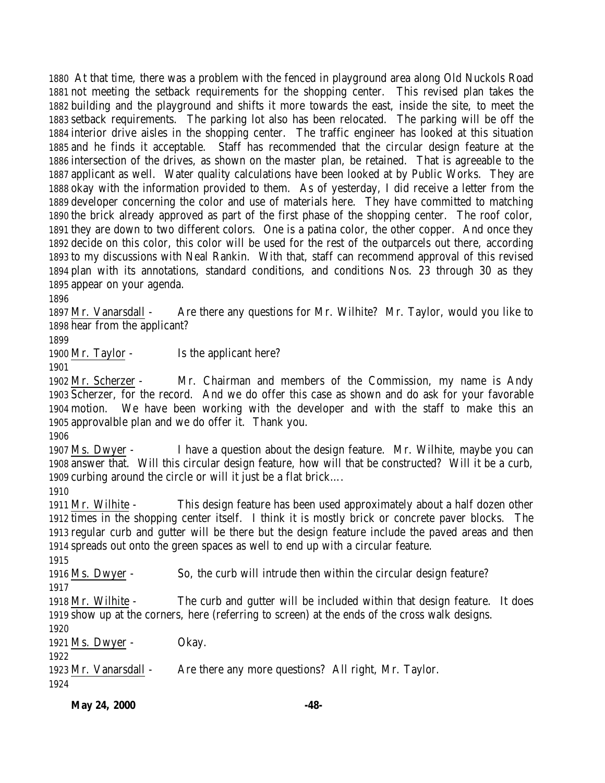At that time, there was a problem with the fenced in playground area along Old Nuckols Road not meeting the setback requirements for the shopping center. This revised plan takes the building and the playground and shifts it more towards the east, inside the site, to meet the setback requirements. The parking lot also has been relocated. The parking will be off the interior drive aisles in the shopping center. The traffic engineer has looked at this situation and he finds it acceptable. Staff has recommended that the circular design feature at the intersection of the drives, as shown on the master plan, be retained. That is agreeable to the applicant as well. Water quality calculations have been looked at by Public Works. They are okay with the information provided to them. As of yesterday, I did receive a letter from the developer concerning the color and use of materials here. They have committed to matching the brick already approved as part of the first phase of the shopping center. The roof color, they are down to two different colors. One is a patina color, the other copper. And once they decide on this color, this color will be used for the rest of the outparcels out there, according to my discussions with Neal Rankin. With that, staff can recommend approval of this revised plan with its annotations, standard conditions, and conditions Nos. 23 through 30 as they appear on your agenda.

 Mr. Vanarsdall - Are there any questions for Mr. Wilhite? Mr. Taylor, would you like to hear from the applicant?

1900 Mr. Taylor - Is the applicant here?

 Mr. Scherzer - Mr. Chairman and members of the Commission, my name is Andy Scherzer, for the record. And we do offer this case as shown and do ask for your favorable motion. We have been working with the developer and with the staff to make this an approvalble plan and we do offer it. Thank you.

 Ms. Dwyer - I have a question about the design feature. Mr. Wilhite, maybe you can answer that. Will this circular design feature, how will that be constructed? Will it be a curb, curbing around the circle or will it just be a flat brick….

 Mr. Wilhite - This design feature has been used approximately about a half dozen other times in the shopping center itself. I think it is mostly brick or concrete paver blocks. The regular curb and gutter will be there but the design feature include the paved areas and then spreads out onto the green spaces as well to end up with a circular feature.

Ms. Dwyer - So, the curb will intrude then within the circular design feature?

 Mr. Wilhite - The curb and gutter will be included within that design feature. It does show up at the corners, here (referring to screen) at the ends of the cross walk designs.

1921 Ms. Dwyer - Okay.

Mr. Vanarsdall - Are there any more questions? All right, Mr. Taylor.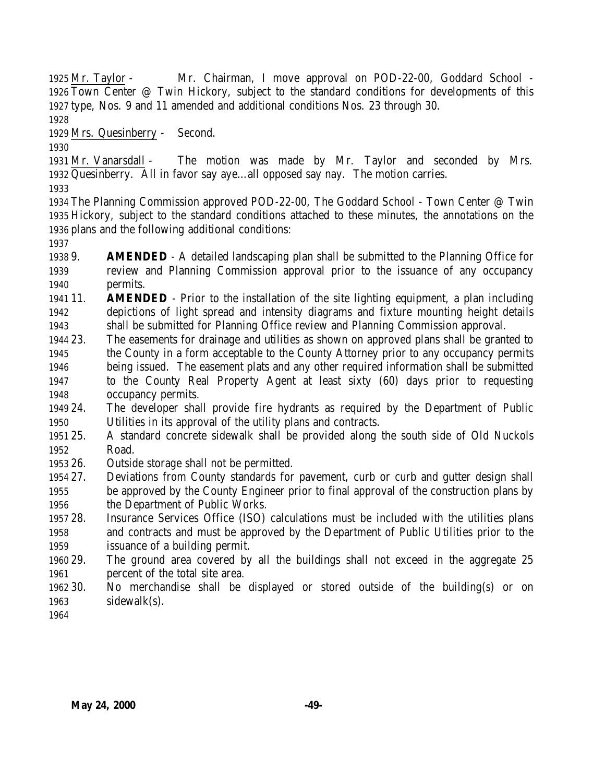Mr. Taylor - Mr. Chairman, I move approval on POD-22-00, Goddard School - Town Center @ Twin Hickory, subject to the standard conditions for developments of this type, Nos. 9 and 11 amended and additional conditions Nos. 23 through 30.

Mrs. Quesinberry - Second.

 Mr. Vanarsdall - The motion was made by Mr. Taylor and seconded by Mrs. Quesinberry. All in favor say aye…all opposed say nay. The motion carries.

 The Planning Commission approved POD-22-00, The Goddard School - Town Center @ Twin Hickory, subject to the standard conditions attached to these minutes, the annotations on the plans and the following additional conditions:

 9. **AMENDED** - A detailed landscaping plan shall be submitted to the Planning Office for review and Planning Commission approval prior to the issuance of any occupancy permits.

 11. **AMENDED** - Prior to the installation of the site lighting equipment, a plan including depictions of light spread and intensity diagrams and fixture mounting height details shall be submitted for Planning Office review and Planning Commission approval.

- 23. The easements for drainage and utilities as shown on approved plans shall be granted to the County in a form acceptable to the County Attorney prior to any occupancy permits being issued. The easement plats and any other required information shall be submitted to the County Real Property Agent at least sixty (60) days prior to requesting occupancy permits.
- 24. The developer shall provide fire hydrants as required by the Department of Public Utilities in its approval of the utility plans and contracts.
- 25. A standard concrete sidewalk shall be provided along the south side of Old Nuckols Road.
- 26. Outside storage shall not be permitted.
- 27. Deviations from County standards for pavement, curb or curb and gutter design shall be approved by the County Engineer prior to final approval of the construction plans by the Department of Public Works.
- 28. Insurance Services Office (ISO) calculations must be included with the utilities plans and contracts and must be approved by the Department of Public Utilities prior to the issuance of a building permit.
- 29. The ground area covered by all the buildings shall not exceed in the aggregate 25 percent of the total site area.
- 30. No merchandise shall be displayed or stored outside of the building(s) or on sidewalk(s).
-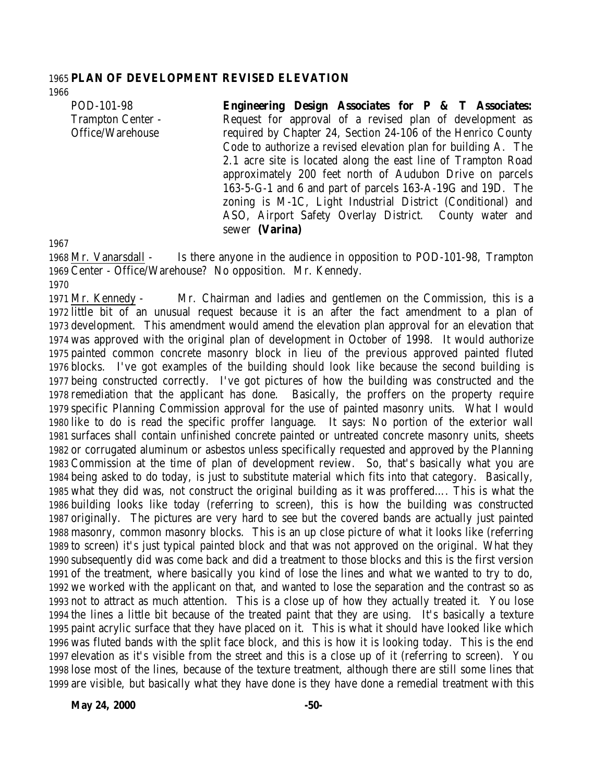### **PLAN OF DEVELOPMENT REVISED ELEVATION**

POD-101-98 Trampton Center - Office/Warehouse

**Engineering Design Associates for P & T Associates:** Request for approval of a revised plan of development as required by Chapter 24, Section 24-106 of the Henrico County Code to authorize a revised elevation plan for building A. The 2.1 acre site is located along the east line of Trampton Road approximately 200 feet north of Audubon Drive on parcels 163-5-G-1 and 6 and part of parcels 163-A-19G and 19D. The zoning is M-1C, Light Industrial District (Conditional) and ASO, Airport Safety Overlay District. County water and sewer **(Varina)**

 Mr. Vanarsdall - Is there anyone in the audience in opposition to POD-101-98, Trampton Center - Office/Warehouse? No opposition. Mr. Kennedy. 

 Mr. Kennedy - Mr. Chairman and ladies and gentlemen on the Commission, this is a little bit of an unusual request because it is an after the fact amendment to a plan of development. This amendment would amend the elevation plan approval for an elevation that was approved with the original plan of development in October of 1998. It would authorize painted common concrete masonry block in lieu of the previous approved painted fluted blocks. I've got examples of the building should look like because the second building is being constructed correctly. I've got pictures of how the building was constructed and the remediation that the applicant has done. Basically, the proffers on the property require specific Planning Commission approval for the use of painted masonry units. What I would like to do is read the specific proffer language. It says: No portion of the exterior wall surfaces shall contain unfinished concrete painted or untreated concrete masonry units, sheets or corrugated aluminum or asbestos unless specifically requested and approved by the Planning Commission at the time of plan of development review. So, that's basically what you are being asked to do today, is just to substitute material which fits into that category. Basically, what they did was, not construct the original building as it was proffered…. This is what the building looks like today (referring to screen), this is how the building was constructed originally. The pictures are very hard to see but the covered bands are actually just painted masonry, common masonry blocks. This is an up close picture of what it looks like (referring to screen) it's just typical painted block and that was not approved on the original. What they subsequently did was come back and did a treatment to those blocks and this is the first version of the treatment, where basically you kind of lose the lines and what we wanted to try to do, we worked with the applicant on that, and wanted to lose the separation and the contrast so as not to attract as much attention. This is a close up of how they actually treated it. You lose the lines a little bit because of the treated paint that they are using. It's basically a texture paint acrylic surface that they have placed on it. This is what it should have looked like which was fluted bands with the split face block, and this is how it is looking today. This is the end elevation as it's visible from the street and this is a close up of it (referring to screen). You lose most of the lines, because of the texture treatment, although there are still some lines that are visible, but basically what they have done is they have done a remedial treatment with this

**May 24, 2000** -50-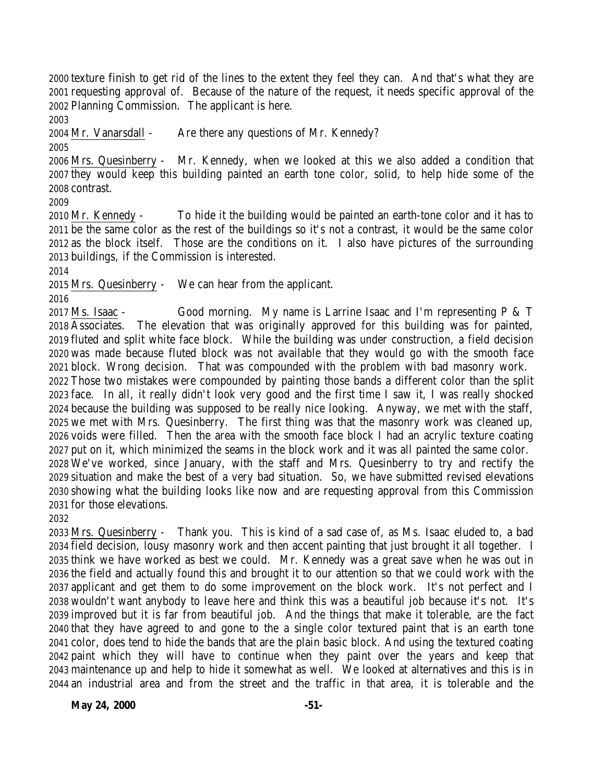texture finish to get rid of the lines to the extent they feel they can. And that's what they are requesting approval of. Because of the nature of the request, it needs specific approval of the Planning Commission. The applicant is here.

Mr. Vanarsdall - Are there any questions of Mr. Kennedy?

 Mrs. Quesinberry - Mr. Kennedy, when we looked at this we also added a condition that they would keep this building painted an earth tone color, solid, to help hide some of the contrast.

 Mr. Kennedy - To hide it the building would be painted an earth-tone color and it has to be the same color as the rest of the buildings so it's not a contrast, it would be the same color as the block itself. Those are the conditions on it. I also have pictures of the surrounding buildings, if the Commission is interested.

Mrs. Quesinberry - We can hear from the applicant.

 Ms. Isaac - Good morning. My name is Larrine Isaac and I'm representing P & T Associates. The elevation that was originally approved for this building was for painted, fluted and split white face block. While the building was under construction, a field decision was made because fluted block was not available that they would go with the smooth face block. Wrong decision. That was compounded with the problem with bad masonry work. Those two mistakes were compounded by painting those bands a different color than the split face. In all, it really didn't look very good and the first time I saw it, I was really shocked because the building was supposed to be really nice looking. Anyway, we met with the staff, we met with Mrs. Quesinberry. The first thing was that the masonry work was cleaned up, voids were filled. Then the area with the smooth face block I had an acrylic texture coating put on it, which minimized the seams in the block work and it was all painted the same color. We've worked, since January, with the staff and Mrs. Quesinberry to try and rectify the situation and make the best of a very bad situation. So, we have submitted revised elevations showing what the building looks like now and are requesting approval from this Commission for those elevations.

 Mrs. Quesinberry - Thank you. This is kind of a sad case of, as Ms. Isaac eluded to, a bad field decision, lousy masonry work and then accent painting that just brought it all together. I think we have worked as best we could. Mr. Kennedy was a great save when he was out in the field and actually found this and brought it to our attention so that we could work with the applicant and get them to do some improvement on the block work. It's not perfect and I wouldn't want anybody to leave here and think this was a beautiful job because it's not. It's improved but it is far from beautiful job. And the things that make it tolerable, are the fact that they have agreed to and gone to the a single color textured paint that is an earth tone color, does tend to hide the bands that are the plain basic block. And using the textured coating paint which they will have to continue when they paint over the years and keep that maintenance up and help to hide it somewhat as well. We looked at alternatives and this is in an industrial area and from the street and the traffic in that area, it is tolerable and the

**May 24, 2000** -51-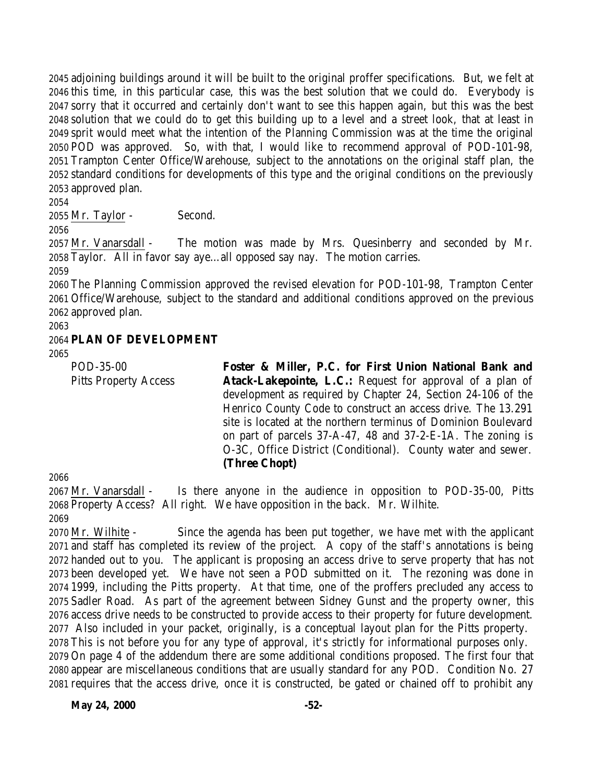adjoining buildings around it will be built to the original proffer specifications. But, we felt at this time, in this particular case, this was the best solution that we could do. Everybody is sorry that it occurred and certainly don't want to see this happen again, but this was the best solution that we could do to get this building up to a level and a street look, that at least in sprit would meet what the intention of the Planning Commission was at the time the original POD was approved. So, with that, I would like to recommend approval of POD-101-98, Trampton Center Office/Warehouse, subject to the annotations on the original staff plan, the standard conditions for developments of this type and the original conditions on the previously approved plan.

Mr. Taylor - Second.

 Mr. Vanarsdall - The motion was made by Mrs. Quesinberry and seconded by Mr. Taylor. All in favor say aye…all opposed say nay. The motion carries.

 The Planning Commission approved the revised elevation for POD-101-98, Trampton Center Office/Warehouse, subject to the standard and additional conditions approved on the previous approved plan.

#### **PLAN OF DEVELOPMENT**

POD-35-00 Pitts Property Access

**Foster & Miller, P.C. for First Union National Bank and Atack-Lakepointe, L.C.:** Request for approval of a plan of development as required by Chapter 24, Section 24-106 of the Henrico County Code to construct an access drive. The 13.291 site is located at the northern terminus of Dominion Boulevard on part of parcels 37-A-47, 48 and 37-2-E-1A. The zoning is O-3C, Office District (Conditional). County water and sewer. **(Three Chopt)**

 Mr. Vanarsdall - Is there anyone in the audience in opposition to POD-35-00, Pitts Property Access? All right. We have opposition in the back. Mr. Wilhite.

 Mr. Wilhite - Since the agenda has been put together, we have met with the applicant and staff has completed its review of the project. A copy of the staff's annotations is being handed out to you. The applicant is proposing an access drive to serve property that has not been developed yet. We have not seen a POD submitted on it. The rezoning was done in 1999, including the Pitts property. At that time, one of the proffers precluded any access to Sadler Road. As part of the agreement between Sidney Gunst and the property owner, this access drive needs to be constructed to provide access to their property for future development. Also included in your packet, originally, is a conceptual layout plan for the Pitts property. This is not before you for any type of approval, it's strictly for informational purposes only. On page 4 of the addendum there are some additional conditions proposed. The first four that appear are miscellaneous conditions that are usually standard for any POD. Condition No. 27 requires that the access drive, once it is constructed, be gated or chained off to prohibit any

**May 24, 2000** -52-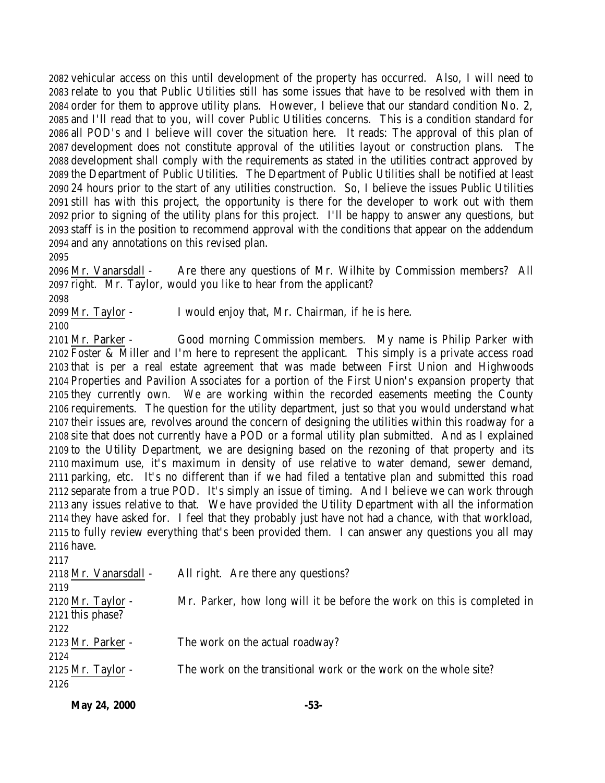vehicular access on this until development of the property has occurred. Also, I will need to relate to you that Public Utilities still has some issues that have to be resolved with them in order for them to approve utility plans. However, I believe that our standard condition No. 2, and I'll read that to you, will cover Public Utilities concerns. This is a condition standard for all POD's and I believe will cover the situation here. It reads: The approval of this plan of development does not constitute approval of the utilities layout or construction plans. The development shall comply with the requirements as stated in the utilities contract approved by the Department of Public Utilities. The Department of Public Utilities shall be notified at least 24 hours prior to the start of any utilities construction. So, I believe the issues Public Utilities still has with this project, the opportunity is there for the developer to work out with them prior to signing of the utility plans for this project. I'll be happy to answer any questions, but staff is in the position to recommend approval with the conditions that appear on the addendum and any annotations on this revised plan.

 Mr. Vanarsdall - Are there any questions of Mr. Wilhite by Commission members? All right. Mr. Taylor, would you like to hear from the applicant?

Mr. Taylor - I would enjoy that, Mr. Chairman, if he is here.

 Mr. Parker - Good morning Commission members. My name is Philip Parker with Foster & Miller and I'm here to represent the applicant. This simply is a private access road that is per a real estate agreement that was made between First Union and Highwoods Properties and Pavilion Associates for a portion of the First Union's expansion property that they currently own. We are working within the recorded easements meeting the County requirements. The question for the utility department, just so that you would understand what their issues are, revolves around the concern of designing the utilities within this roadway for a site that does not currently have a POD or a formal utility plan submitted. And as I explained to the Utility Department, we are designing based on the rezoning of that property and its maximum use, it's maximum in density of use relative to water demand, sewer demand, parking, etc. It's no different than if we had filed a tentative plan and submitted this road separate from a true POD. It's simply an issue of timing. And I believe we can work through any issues relative to that. We have provided the Utility Department with all the information they have asked for. I feel that they probably just have not had a chance, with that workload, to fully review everything that's been provided them. I can answer any questions you all may have.

| 2117                  |                                                                         |
|-----------------------|-------------------------------------------------------------------------|
| 2118 Mr. Vanarsdall - | All right. Are there any questions?                                     |
| 2119                  |                                                                         |
| 2120 Mr. Taylor -     | Mr. Parker, how long will it be before the work on this is completed in |
| 2121 this phase?      |                                                                         |
| 2122                  |                                                                         |
| 2123 Mr. Parker -     | The work on the actual roadway?                                         |
| 2124                  |                                                                         |
| 2125 Mr. Taylor -     | The work on the transitional work or the work on the whole site?        |
| 2126                  |                                                                         |
|                       |                                                                         |

|              | -53- |
|--------------|------|
| May 24, 2000 |      |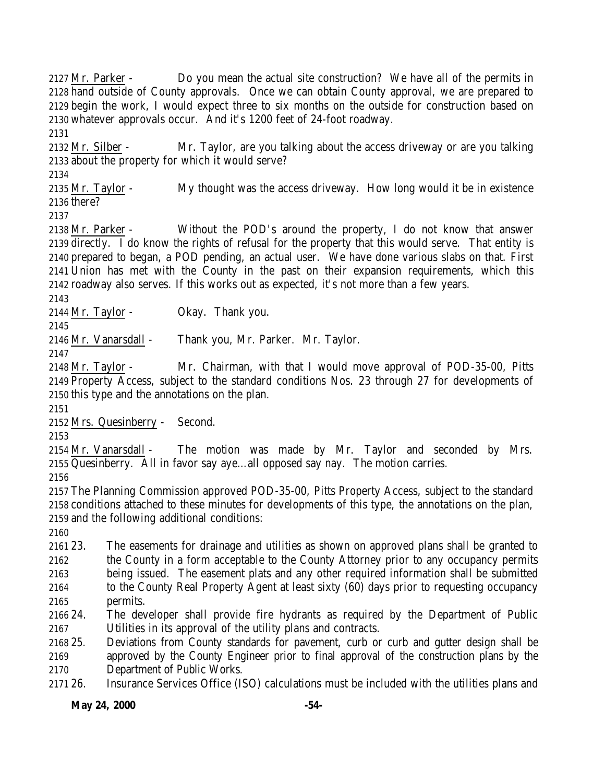Mr. Parker - Do you mean the actual site construction? We have all of the permits in hand outside of County approvals. Once we can obtain County approval, we are prepared to begin the work, I would expect three to six months on the outside for construction based on whatever approvals occur. And it's 1200 feet of 24-foot roadway. Mr. Silber - Mr. Taylor, are you talking about the access driveway or are you talking about the property for which it would serve? Mr. Taylor - My thought was the access driveway. How long would it be in existence there? Mr. Parker - Without the POD's around the property, I do not know that answer directly. I do know the rights of refusal for the property that this would serve. That entity is prepared to began, a POD pending, an actual user. We have done various slabs on that. First Union has met with the County in the past on their expansion requirements, which this roadway also serves. If this works out as expected, it's not more than a few years. Mr. Taylor - Okay. Thank you. Mr. Vanarsdall - Thank you, Mr. Parker. Mr. Taylor. Mr. Taylor - Mr. Chairman, with that I would move approval of POD-35-00, Pitts Property Access, subject to the standard conditions Nos. 23 through 27 for developments of this type and the annotations on the plan. Mrs. Quesinberry - Second. 2154 Mr. Vanarsdall - The motion was made by Mr. Taylor and seconded by Mrs. Quesinberry. All in favor say aye…all opposed say nay. The motion carries. The Planning Commission approved POD-35-00, Pitts Property Access, subject to the standard conditions attached to these minutes for developments of this type, the annotations on the plan, and the following additional conditions: 23. The easements for drainage and utilities as shown on approved plans shall be granted to the County in a form acceptable to the County Attorney prior to any occupancy permits being issued. The easement plats and any other required information shall be submitted to the County Real Property Agent at least sixty (60) days prior to requesting occupancy permits. 24. The developer shall provide fire hydrants as required by the Department of Public Utilities in its approval of the utility plans and contracts. 25. Deviations from County standards for pavement, curb or curb and gutter design shall be approved by the County Engineer prior to final approval of the construction plans by the Department of Public Works. 26. Insurance Services Office (ISO) calculations must be included with the utilities plans and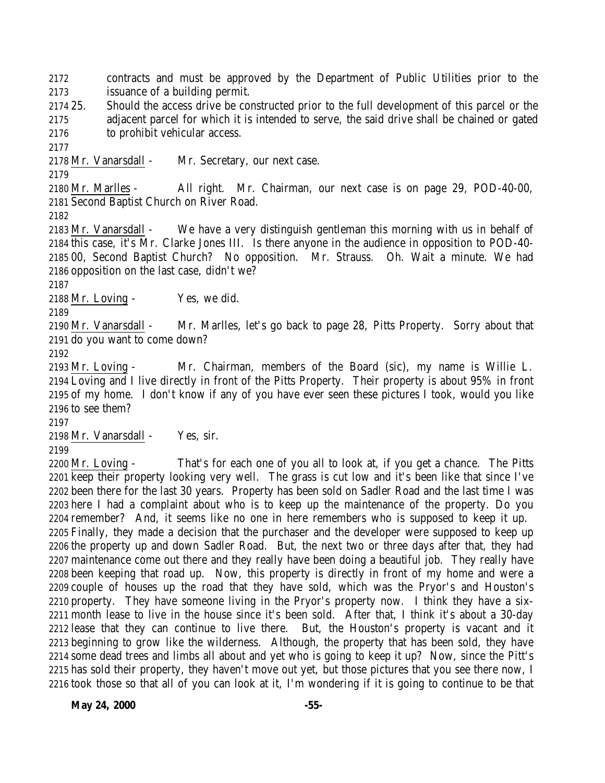contracts and must be approved by the Department of Public Utilities prior to the issuance of a building permit.

 25. Should the access drive be constructed prior to the full development of this parcel or the adjacent parcel for which it is intended to serve, the said drive shall be chained or gated to prohibit vehicular access.

2178 Mr. Vanarsdall - Mr. Secretary, our next case.

 Mr. Marlles - All right. Mr. Chairman, our next case is on page 29, POD-40-00, Second Baptist Church on River Road.

 Mr. Vanarsdall - We have a very distinguish gentleman this morning with us in behalf of this case, it's Mr. Clarke Jones III. Is there anyone in the audience in opposition to POD-40- 00, Second Baptist Church? No opposition. Mr. Strauss. Oh. Wait a minute. We had opposition on the last case, didn't we?

Mr. Loving - Yes, we did.

 Mr. Vanarsdall - Mr. Marlles, let's go back to page 28, Pitts Property. Sorry about that do you want to come down?

 Mr. Loving - Mr. Chairman, members of the Board (sic), my name is Willie L. Loving and I live directly in front of the Pitts Property. Their property is about 95% in front of my home. I don't know if any of you have ever seen these pictures I took, would you like to see them?

Mr. Vanarsdall - Yes, sir.

 Mr. Loving - That's for each one of you all to look at, if you get a chance. The Pitts keep their property looking very well. The grass is cut low and it's been like that since I've been there for the last 30 years. Property has been sold on Sadler Road and the last time I was here I had a complaint about who is to keep up the maintenance of the property. Do you remember? And, it seems like no one in here remembers who is supposed to keep it up. Finally, they made a decision that the purchaser and the developer were supposed to keep up the property up and down Sadler Road. But, the next two or three days after that, they had maintenance come out there and they really have been doing a beautiful job. They really have been keeping that road up. Now, this property is directly in front of my home and were a couple of houses up the road that they have sold, which was the Pryor's and Houston's property. They have someone living in the Pryor's property now. I think they have a six- month lease to live in the house since it's been sold. After that, I think it's about a 30-day lease that they can continue to live there. But, the Houston's property is vacant and it beginning to grow like the wilderness. Although, the property that has been sold, they have some dead trees and limbs all about and yet who is going to keep it up? Now, since the Pitt's has sold their property, they haven't move out yet, but those pictures that you see there now, I took those so that all of you can look at it, I'm wondering if it is going to continue to be that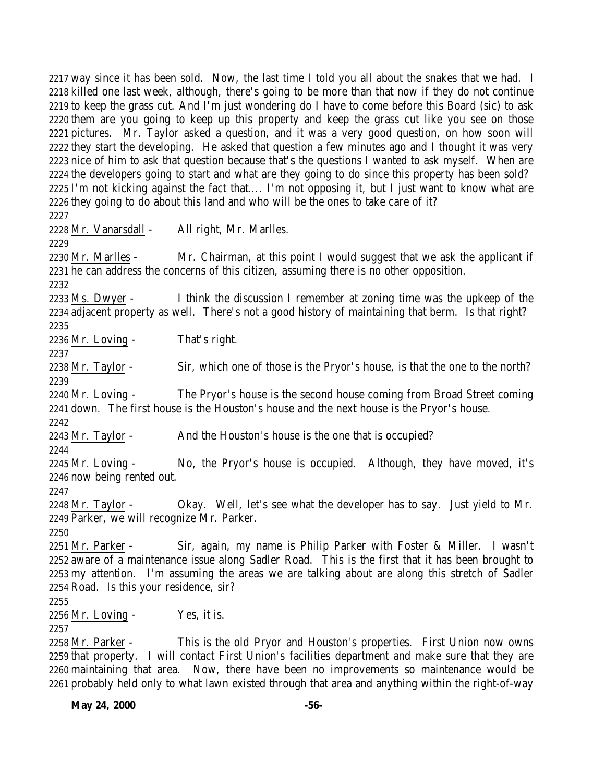way since it has been sold. Now, the last time I told you all about the snakes that we had. I killed one last week, although, there's going to be more than that now if they do not continue to keep the grass cut. And I'm just wondering do I have to come before this Board (sic) to ask them are you going to keep up this property and keep the grass cut like you see on those pictures. Mr. Taylor asked a question, and it was a very good question, on how soon will they start the developing. He asked that question a few minutes ago and I thought it was very nice of him to ask that question because that's the questions I wanted to ask myself. When are the developers going to start and what are they going to do since this property has been sold? I'm not kicking against the fact that…. I'm not opposing it, but I just want to know what are they going to do about this land and who will be the ones to take care of it? Mr. Vanarsdall - All right, Mr. Marlles. Mr. Marlles - Mr. Chairman, at this point I would suggest that we ask the applicant if he can address the concerns of this citizen, assuming there is no other opposition. Ms. Dwyer - I think the discussion I remember at zoning time was the upkeep of the adjacent property as well. There's not a good history of maintaining that berm. Is that right? Mr. Loving - That's right. Mr. Taylor - Sir, which one of those is the Pryor's house, is that the one to the north? Mr. Loving - The Pryor's house is the second house coming from Broad Street coming down. The first house is the Houston's house and the next house is the Pryor's house. 2243 Mr. Taylor - And the Houston's house is the one that is occupied? Mr. Loving - No, the Pryor's house is occupied. Although, they have moved, it's now being rented out. Mr. Taylor - Okay. Well, let's see what the developer has to say. Just yield to Mr. Parker, we will recognize Mr. Parker. Mr. Parker - Sir, again, my name is Philip Parker with Foster & Miller. I wasn't aware of a maintenance issue along Sadler Road. This is the first that it has been brought to my attention. I'm assuming the areas we are talking about are along this stretch of Sadler Road. Is this your residence, sir? Mr. Loving - Yes, it is. Mr. Parker - This is the old Pryor and Houston's properties. First Union now owns that property. I will contact First Union's facilities department and make sure that they are maintaining that area. Now, there have been no improvements so maintenance would be

probably held only to what lawn existed through that area and anything within the right-of-way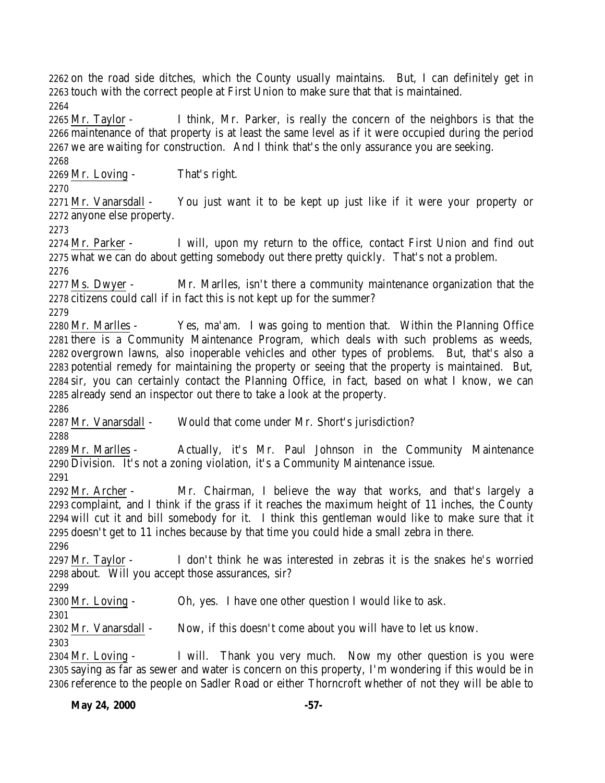on the road side ditches, which the County usually maintains. But, I can definitely get in touch with the correct people at First Union to make sure that that is maintained. 

 Mr. Taylor - I think, Mr. Parker, is really the concern of the neighbors is that the maintenance of that property is at least the same level as if it were occupied during the period we are waiting for construction. And I think that's the only assurance you are seeking. 

Mr. Loving - That's right.

2271 Mr. Vanarsdall - You just want it to be kept up just like if it were your property or anyone else property.

2274 Mr. Parker - I will, upon my return to the office, contact First Union and find out what we can do about getting somebody out there pretty quickly. That's not a problem.

 Ms. Dwyer - Mr. Marlles, isn't there a community maintenance organization that the citizens could call if in fact this is not kept up for the summer?

 Mr. Marlles - Yes, ma'am. I was going to mention that. Within the Planning Office there is a Community Maintenance Program, which deals with such problems as weeds, overgrown lawns, also inoperable vehicles and other types of problems. But, that's also a potential remedy for maintaining the property or seeing that the property is maintained. But, sir, you can certainly contact the Planning Office, in fact, based on what I know, we can already send an inspector out there to take a look at the property.

Mr. Vanarsdall - Would that come under Mr. Short's jurisdiction?

 Mr. Marlles - Actually, it's Mr. Paul Johnson in the Community Maintenance Division. It's not a zoning violation, it's a Community Maintenance issue. 

 Mr. Archer - Mr. Chairman, I believe the way that works, and that's largely a complaint, and I think if the grass if it reaches the maximum height of 11 inches, the County will cut it and bill somebody for it. I think this gentleman would like to make sure that it doesn't get to 11 inches because by that time you could hide a small zebra in there.

 Mr. Taylor - I don't think he was interested in zebras it is the snakes he's worried about. Will you accept those assurances, sir?

Mr. Loving - Oh, yes. I have one other question I would like to ask.

Mr. Vanarsdall - Now, if this doesn't come about you will have to let us know.

 Mr. Loving - I will. Thank you very much. Now my other question is you were saying as far as sewer and water is concern on this property, I'm wondering if this would be in reference to the people on Sadler Road or either Thorncroft whether of not they will be able to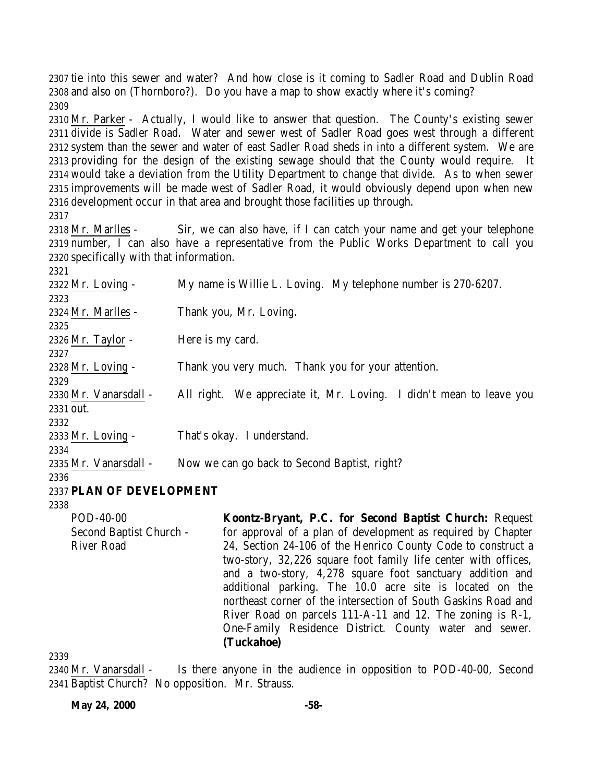tie into this sewer and water? And how close is it coming to Sadler Road and Dublin Road and also on (Thornboro?). Do you have a map to show exactly where it's coming? 

 Mr. Parker - Actually, I would like to answer that question. The County's existing sewer divide is Sadler Road. Water and sewer west of Sadler Road goes west through a different system than the sewer and water of east Sadler Road sheds in into a different system. We are providing for the design of the existing sewage should that the County would require. It would take a deviation from the Utility Department to change that divide. As to when sewer improvements will be made west of Sadler Road, it would obviously depend upon when new development occur in that area and brought those facilities up through.

 Mr. Marlles - Sir, we can also have, if I can catch your name and get your telephone number, I can also have a representative from the Public Works Department to call you specifically with that information.

| 2321                     |                                                                        |
|--------------------------|------------------------------------------------------------------------|
| 2322 Mr. Loving -        | My name is Willie L. Loving. My telephone number is 270-6207.          |
| 2323                     |                                                                        |
| 2324 Mr. Marlles -       | Thank you, Mr. Loving.                                                 |
| 2325                     |                                                                        |
| 2326 Mr. Taylor -        | Here is my card.                                                       |
| 2327                     |                                                                        |
| 2328 Mr. Loving -        | Thank you very much. Thank you for your attention.                     |
| 2329                     |                                                                        |
| 2330 Mr. Vanarsdall -    | We appreciate it, Mr. Loving. I didn't mean to leave you<br>All right. |
| 2331 out.                |                                                                        |
| 2332                     |                                                                        |
| 2333 Mr. Loving -        | That's okay. I understand.                                             |
| 2334                     |                                                                        |
| 2335 Mr. Vanarsdall -    | Now we can go back to Second Baptist, right?                           |
| 2336                     |                                                                        |
| 2337 PLAN OF DEVELOPMENT |                                                                        |

POD-40-00 Second Baptist Church - River Road **Koontz-Bryant, P.C. for Second Baptist Church:** Request for approval of a plan of development as required by Chapter 24, Section 24-106 of the Henrico County Code to construct a two-story, 32,226 square foot family life center with offices, and a two-story, 4,278 square foot sanctuary addition and additional parking. The 10.0 acre site is located on the northeast corner of the intersection of South Gaskins Road and River Road on parcels 111-A-11 and 12. The zoning is R-1, One-Family Residence District. County water and sewer. **(Tuckahoe)**

 Mr. Vanarsdall - Is there anyone in the audience in opposition to POD-40-00, Second Baptist Church? No opposition. Mr. Strauss.

**May 24, 2000** -58-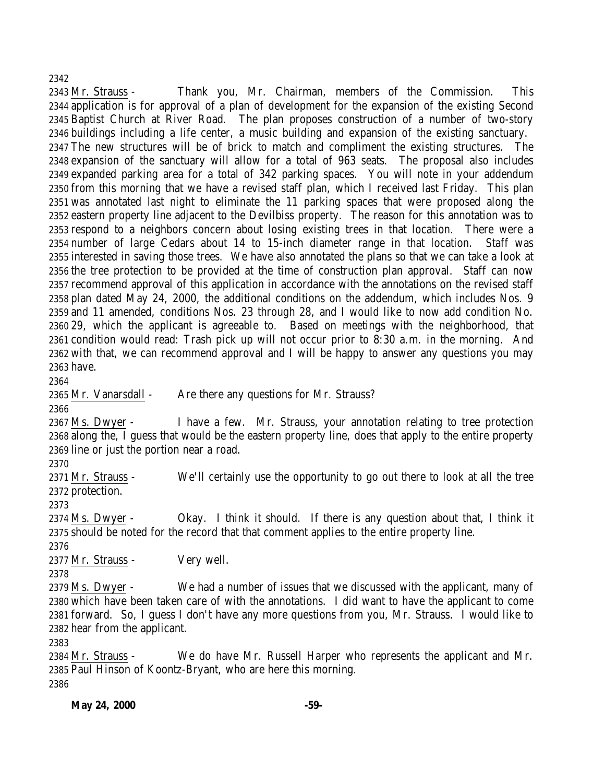### 

 Mr. Strauss - Thank you, Mr. Chairman, members of the Commission. This application is for approval of a plan of development for the expansion of the existing Second Baptist Church at River Road. The plan proposes construction of a number of two-story buildings including a life center, a music building and expansion of the existing sanctuary. The new structures will be of brick to match and compliment the existing structures. The expansion of the sanctuary will allow for a total of 963 seats. The proposal also includes expanded parking area for a total of 342 parking spaces. You will note in your addendum from this morning that we have a revised staff plan, which I received last Friday. This plan was annotated last night to eliminate the 11 parking spaces that were proposed along the eastern property line adjacent to the Devilbiss property. The reason for this annotation was to respond to a neighbors concern about losing existing trees in that location. There were a number of large Cedars about 14 to 15-inch diameter range in that location. Staff was interested in saving those trees. We have also annotated the plans so that we can take a look at the tree protection to be provided at the time of construction plan approval. Staff can now recommend approval of this application in accordance with the annotations on the revised staff plan dated May 24, 2000, the additional conditions on the addendum, which includes Nos. 9 and 11 amended, conditions Nos. 23 through 28, and I would like to now add condition No. 29, which the applicant is agreeable to. Based on meetings with the neighborhood, that condition would read: Trash pick up will not occur prior to 8:30 a.m. in the morning. And with that, we can recommend approval and I will be happy to answer any questions you may have.

2365 Mr. Vanarsdall - Are there any questions for Mr. Strauss?

2367 Ms. Dwyer - I have a few. Mr. Strauss, your annotation relating to tree protection along the, I guess that would be the eastern property line, does that apply to the entire property line or just the portion near a road.

 Mr. Strauss - We'll certainly use the opportunity to go out there to look at all the tree protection.

 Ms. Dwyer - Okay. I think it should. If there is any question about that, I think it should be noted for the record that that comment applies to the entire property line.

 Mr. Strauss - Very well.

2379 Ms. Dwyer - We had a number of issues that we discussed with the applicant, many of which have been taken care of with the annotations. I did want to have the applicant to come forward. So, I guess I don't have any more questions from you, Mr. Strauss. I would like to hear from the applicant.

 Mr. Strauss - We do have Mr. Russell Harper who represents the applicant and Mr. Paul Hinson of Koontz-Bryant, who are here this morning.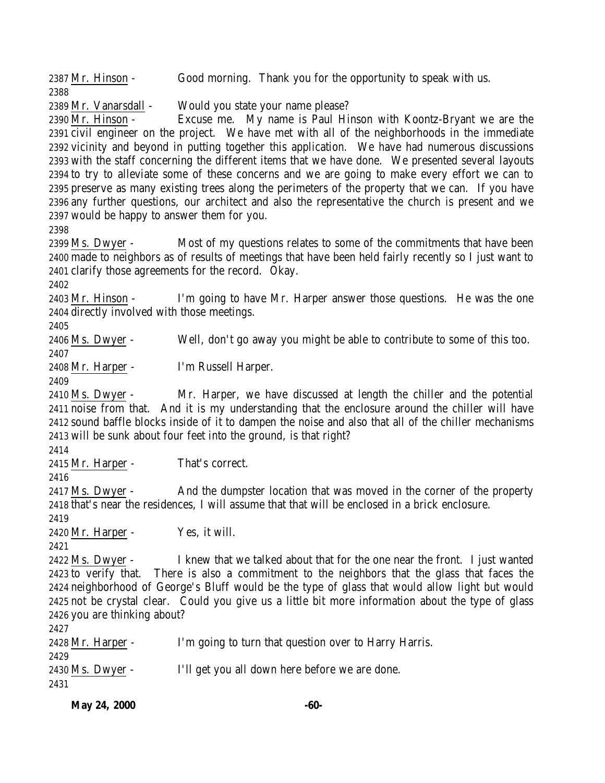| 2431                                                                                            |                                                                                                    |                                                                                                                                                                                  |  |
|-------------------------------------------------------------------------------------------------|----------------------------------------------------------------------------------------------------|----------------------------------------------------------------------------------------------------------------------------------------------------------------------------------|--|
|                                                                                                 | 2430 Ms. Dwyer -                                                                                   | I'll get you all down here before we are done.                                                                                                                                   |  |
| 2429                                                                                            |                                                                                                    |                                                                                                                                                                                  |  |
|                                                                                                 | 2428 Mr. Harper -                                                                                  | I'm going to turn that question over to Harry Harris.                                                                                                                            |  |
| 2427                                                                                            | 2426 you are thinking about?                                                                       |                                                                                                                                                                                  |  |
|                                                                                                 |                                                                                                    | 2425 not be crystal clear. Could you give us a little bit more information about the type of glass                                                                               |  |
| 2424 neighborhood of George's Bluff would be the type of glass that would allow light but would |                                                                                                    |                                                                                                                                                                                  |  |
|                                                                                                 |                                                                                                    | 2423 to verify that. There is also a commitment to the neighbors that the glass that faces the                                                                                   |  |
|                                                                                                 | 2422 Ms. Dwyer -                                                                                   | I knew that we talked about that for the one near the front. I just wanted                                                                                                       |  |
| 2421                                                                                            |                                                                                                    |                                                                                                                                                                                  |  |
|                                                                                                 | 2420 Mr. Harper -                                                                                  | Yes, it will.                                                                                                                                                                    |  |
| 2419                                                                                            |                                                                                                    |                                                                                                                                                                                  |  |
|                                                                                                 |                                                                                                    | 2418 that's near the residences, I will assume that that will be enclosed in a brick enclosure.                                                                                  |  |
|                                                                                                 | 2417 Ms. Dwyer -                                                                                   | And the dumpster location that was moved in the corner of the property                                                                                                           |  |
| 2416                                                                                            |                                                                                                    |                                                                                                                                                                                  |  |
|                                                                                                 | 2415 Mr. Harper -                                                                                  | That's correct.                                                                                                                                                                  |  |
| 2414                                                                                            |                                                                                                    |                                                                                                                                                                                  |  |
|                                                                                                 |                                                                                                    | 2413 will be sunk about four feet into the ground, is that right?                                                                                                                |  |
|                                                                                                 |                                                                                                    | 2412 sound baffle blocks inside of it to dampen the noise and also that all of the chiller mechanisms                                                                            |  |
|                                                                                                 |                                                                                                    | 2411 noise from that. And it is my understanding that the enclosure around the chiller will have                                                                                 |  |
|                                                                                                 | 2410 Ms. Dwyer -                                                                                   | Mr. Harper, we have discussed at length the chiller and the potential                                                                                                            |  |
| 2409                                                                                            |                                                                                                    |                                                                                                                                                                                  |  |
|                                                                                                 | 2408 Mr. Harper -                                                                                  | I'm Russell Harper.                                                                                                                                                              |  |
| 2407                                                                                            |                                                                                                    |                                                                                                                                                                                  |  |
|                                                                                                 | 2406 Ms. Dwyer -                                                                                   | Well, don't go away you might be able to contribute to some of this too.                                                                                                         |  |
| 2405                                                                                            |                                                                                                    |                                                                                                                                                                                  |  |
|                                                                                                 | 2404 directly involved with those meetings.                                                        |                                                                                                                                                                                  |  |
|                                                                                                 | 2403 Mr. Hinson -                                                                                  | I'm going to have Mr. Harper answer those questions. He was the one                                                                                                              |  |
| 2402                                                                                            |                                                                                                    |                                                                                                                                                                                  |  |
|                                                                                                 |                                                                                                    | 2401 clarify those agreements for the record. Okay.                                                                                                                              |  |
|                                                                                                 | 2399 Ms. Dwyer -                                                                                   | Most of my questions relates to some of the commitments that have been<br>2400 made to neighbors as of results of meetings that have been held fairly recently so I just want to |  |
| 2398                                                                                            |                                                                                                    |                                                                                                                                                                                  |  |
|                                                                                                 | 2397 would be happy to answer them for you.                                                        |                                                                                                                                                                                  |  |
|                                                                                                 | 2396 any further questions, our architect and also the representative the church is present and we |                                                                                                                                                                                  |  |
|                                                                                                 | 2395 preserve as many existing trees along the perimeters of the property that we can. If you have |                                                                                                                                                                                  |  |
|                                                                                                 | 2394 to try to alleviate some of these concerns and we are going to make every effort we can to    |                                                                                                                                                                                  |  |
|                                                                                                 |                                                                                                    | 2393 with the staff concerning the different items that we have done. We presented several layouts                                                                               |  |
|                                                                                                 |                                                                                                    | 2392 vicinity and beyond in putting together this application. We have had numerous discussions                                                                                  |  |
|                                                                                                 |                                                                                                    | 2391 civil engineer on the project. We have met with all of the neighborhoods in the immediate                                                                                   |  |
|                                                                                                 | 2390 Mr. Hinson -                                                                                  | Excuse me. My name is Paul Hinson with Koontz-Bryant we are the                                                                                                                  |  |
|                                                                                                 | 2389 Mr. Vanarsdall -                                                                              | Would you state your name please?                                                                                                                                                |  |
| 2388                                                                                            |                                                                                                    |                                                                                                                                                                                  |  |
|                                                                                                 | 2387 Mr. Hinson -                                                                                  | Good morning. Thank you for the opportunity to speak with us.                                                                                                                    |  |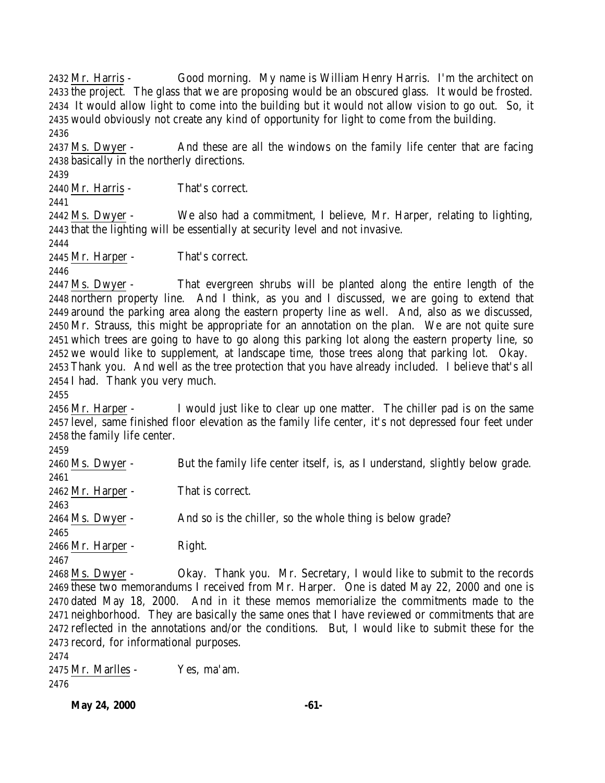Mr. Harris - Good morning. My name is William Henry Harris. I'm the architect on the project. The glass that we are proposing would be an obscured glass. It would be frosted. It would allow light to come into the building but it would not allow vision to go out. So, it would obviously not create any kind of opportunity for light to come from the building. Ms. Dwyer - And these are all the windows on the family life center that are facing

 basically in the northerly directions. 

Mr. Harris - That's correct.

 Ms. Dwyer - We also had a commitment, I believe, Mr. Harper, relating to lighting, that the lighting will be essentially at security level and not invasive.

Mr. Harper - That's correct.

 Ms. Dwyer - That evergreen shrubs will be planted along the entire length of the northern property line. And I think, as you and I discussed, we are going to extend that around the parking area along the eastern property line as well. And, also as we discussed, Mr. Strauss, this might be appropriate for an annotation on the plan. We are not quite sure which trees are going to have to go along this parking lot along the eastern property line, so we would like to supplement, at landscape time, those trees along that parking lot. Okay. Thank you. And well as the tree protection that you have already included. I believe that's all I had. Thank you very much.

 Mr. Harper - I would just like to clear up one matter. The chiller pad is on the same level, same finished floor elevation as the family life center, it's not depressed four feet under the family life center.

 Ms. Dwyer - But the family life center itself, is, as I understand, slightly below grade. Mr. Harper - That is correct. Ms. Dwyer - And so is the chiller, so the whole thing is below grade? Mr. Harper - Right. Ms. Dwyer - Okay. Thank you. Mr. Secretary, I would like to submit to the records these two memorandums I received from Mr. Harper. One is dated May 22, 2000 and one is

 dated May 18, 2000. And in it these memos memorialize the commitments made to the neighborhood. They are basically the same ones that I have reviewed or commitments that are reflected in the annotations and/or the conditions. But, I would like to submit these for the record, for informational purposes.

 Mr. Marlles - Yes, ma'am. 

**May 24, 2000 -61-**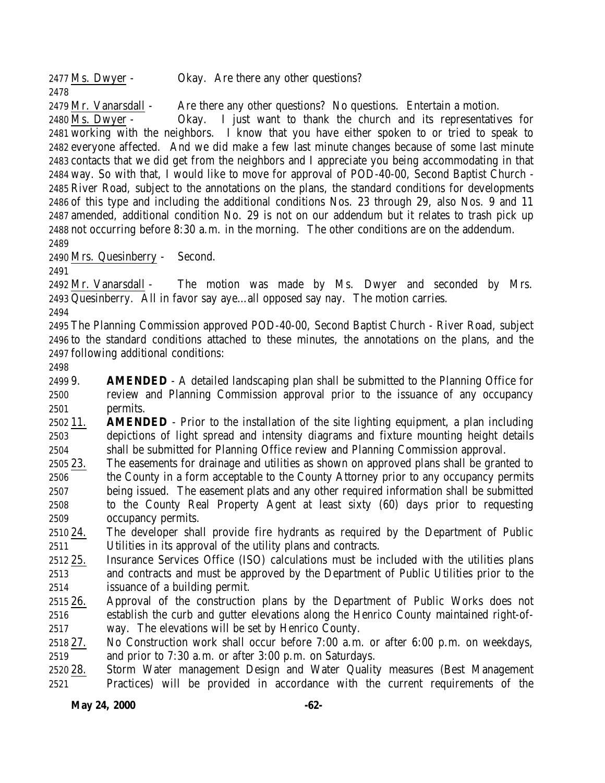2477 Ms. Dwyer - Okay. Are there any other questions? Mr. Vanarsdall - Are there any other questions? No questions. Entertain a motion. Ms. Dwyer - Okay. I just want to thank the church and its representatives for working with the neighbors. I know that you have either spoken to or tried to speak to everyone affected. And we did make a few last minute changes because of some last minute contacts that we did get from the neighbors and I appreciate you being accommodating in that way. So with that, I would like to move for approval of POD-40-00, Second Baptist Church - River Road, subject to the annotations on the plans, the standard conditions for developments of this type and including the additional conditions Nos. 23 through 29, also Nos. 9 and 11 amended, additional condition No. 29 is not on our addendum but it relates to trash pick up not occurring before 8:30 a.m. in the morning. The other conditions are on the addendum. 

Mrs. Quesinberry - Second.

 Mr. Vanarsdall - The motion was made by Ms. Dwyer and seconded by Mrs. Quesinberry. All in favor say aye…all opposed say nay. The motion carries.

 The Planning Commission approved POD-40-00, Second Baptist Church - River Road, subject to the standard conditions attached to these minutes, the annotations on the plans, and the following additional conditions:

 9. **AMENDED** - A detailed landscaping plan shall be submitted to the Planning Office for review and Planning Commission approval prior to the issuance of any occupancy permits.

 11. **AMENDED** - Prior to the installation of the site lighting equipment, a plan including depictions of light spread and intensity diagrams and fixture mounting height details shall be submitted for Planning Office review and Planning Commission approval.

- 23. The easements for drainage and utilities as shown on approved plans shall be granted to the County in a form acceptable to the County Attorney prior to any occupancy permits being issued. The easement plats and any other required information shall be submitted to the County Real Property Agent at least sixty (60) days prior to requesting occupancy permits.
- 24. The developer shall provide fire hydrants as required by the Department of Public Utilities in its approval of the utility plans and contracts.
- 25. Insurance Services Office (ISO) calculations must be included with the utilities plans and contracts and must be approved by the Department of Public Utilities prior to the issuance of a building permit.
- 26. Approval of the construction plans by the Department of Public Works does not establish the curb and gutter elevations along the Henrico County maintained right-of-way. The elevations will be set by Henrico County.
- 27. No Construction work shall occur before 7:00 a.m. or after 6:00 p.m. on weekdays, and prior to 7:30 a.m. or after 3:00 p.m. on Saturdays.
- 28. Storm Water management Design and Water Quality measures (Best Management Practices) will be provided in accordance with the current requirements of the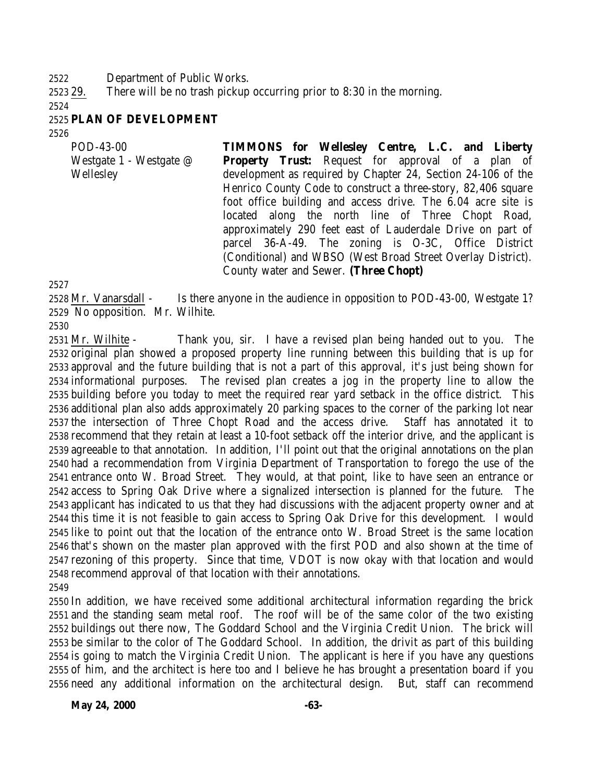Department of Public Works.

29. There will be no trash pickup occurring prior to 8:30 in the morning.

### **PLAN OF DEVELOPMENT**

| POD-43-00                            | TIMMONS for Wellesley Centre, L.C. and Liberty                                                                                                                                                                                                                                                                 |
|--------------------------------------|----------------------------------------------------------------------------------------------------------------------------------------------------------------------------------------------------------------------------------------------------------------------------------------------------------------|
| Westgate 1 - Westgate @<br>Wellesley | <b>Property Trust:</b> Request for approval of a plan of<br>development as required by Chapter 24, Section 24-106 of the<br>Henrico County Code to construct a three-story, 82,406 square<br>foot office building and access drive. The 6.04 acre site is<br>located along the north line of Three Chopt Road, |
|                                      | approximately 290 feet east of Lauderdale Drive on part of<br>parcel 36-A-49. The zoning is O-3C, Office District<br>(Conditional) and WBSO (West Broad Street Overlay District).<br>County water and Sewer. (Three Chopt)                                                                                     |

 Mr. Vanarsdall - Is there anyone in the audience in opposition to POD-43-00, Westgate 1? No opposition. Mr. Wilhite.

 Mr. Wilhite - Thank you, sir. I have a revised plan being handed out to you. The original plan showed a proposed property line running between this building that is up for approval and the future building that is not a part of this approval, it's just being shown for informational purposes. The revised plan creates a jog in the property line to allow the building before you today to meet the required rear yard setback in the office district. This additional plan also adds approximately 20 parking spaces to the corner of the parking lot near the intersection of Three Chopt Road and the access drive. Staff has annotated it to recommend that they retain at least a 10-foot setback off the interior drive, and the applicant is agreeable to that annotation. In addition, I'll point out that the original annotations on the plan had a recommendation from Virginia Department of Transportation to forego the use of the entrance onto W. Broad Street. They would, at that point, like to have seen an entrance or access to Spring Oak Drive where a signalized intersection is planned for the future. The applicant has indicated to us that they had discussions with the adjacent property owner and at this time it is not feasible to gain access to Spring Oak Drive for this development. I would like to point out that the location of the entrance onto W. Broad Street is the same location that's shown on the master plan approved with the first POD and also shown at the time of rezoning of this property. Since that time, VDOT is now okay with that location and would recommend approval of that location with their annotations. 

 In addition, we have received some additional architectural information regarding the brick and the standing seam metal roof. The roof will be of the same color of the two existing buildings out there now, The Goddard School and the Virginia Credit Union. The brick will be similar to the color of The Goddard School. In addition, the drivit as part of this building is going to match the Virginia Credit Union. The applicant is here if you have any questions of him, and the architect is here too and I believe he has brought a presentation board if you need any additional information on the architectural design. But, staff can recommend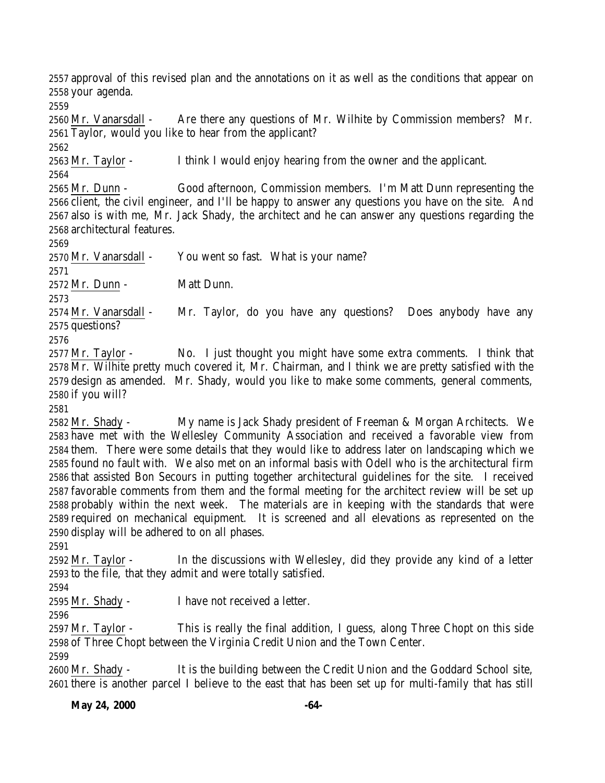approval of this revised plan and the annotations on it as well as the conditions that appear on your agenda.

 Mr. Vanarsdall - Are there any questions of Mr. Wilhite by Commission members? Mr. Taylor, would you like to hear from the applicant?

Mr. Taylor - I think I would enjoy hearing from the owner and the applicant.

 Mr. Dunn - Good afternoon, Commission members. I'm Matt Dunn representing the client, the civil engineer, and I'll be happy to answer any questions you have on the site. And also is with me, Mr. Jack Shady, the architect and he can answer any questions regarding the architectural features.

Mr. Vanarsdall - You went so fast. What is your name?

Mr. Dunn - Matt Dunn.

 Mr. Vanarsdall - Mr. Taylor, do you have any questions? Does anybody have any questions?

 Mr. Taylor - No. I just thought you might have some extra comments. I think that Mr. Wilhite pretty much covered it, Mr. Chairman, and I think we are pretty satisfied with the design as amended. Mr. Shady, would you like to make some comments, general comments, if you will?

 Mr. Shady - My name is Jack Shady president of Freeman & Morgan Architects. We have met with the Wellesley Community Association and received a favorable view from them. There were some details that they would like to address later on landscaping which we found no fault with. We also met on an informal basis with Odell who is the architectural firm that assisted Bon Secours in putting together architectural guidelines for the site. I received favorable comments from them and the formal meeting for the architect review will be set up probably within the next week. The materials are in keeping with the standards that were required on mechanical equipment. It is screened and all elevations as represented on the display will be adhered to on all phases.

 Mr. Taylor - In the discussions with Wellesley, did they provide any kind of a letter to the file, that they admit and were totally satisfied.

Mr. Shady - I have not received a letter.

 Mr. Taylor - This is really the final addition, I guess, along Three Chopt on this side of Three Chopt between the Virginia Credit Union and the Town Center.

 Mr. Shady - It is the building between the Credit Union and the Goddard School site, there is another parcel I believe to the east that has been set up for multi-family that has still

**May 24, 2000 -64-**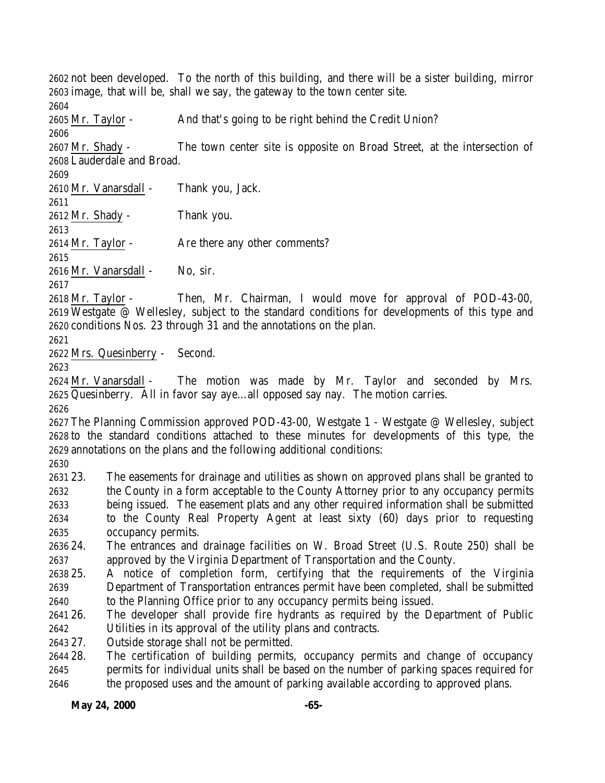not been developed. To the north of this building, and there will be a sister building, mirror image, that will be, shall we say, the gateway to the town center site. Mr. Taylor - And that's going to be right behind the Credit Union? Mr. Shady - The town center site is opposite on Broad Street, at the intersection of Lauderdale and Broad. Mr. Vanarsdall - Thank you, Jack. Mr. Shady - Thank you. 2614 Mr. Taylor - Are there any other comments? Mr. Vanarsdall - No, sir. Mr. Taylor - Then, Mr. Chairman, I would move for approval of POD-43-00, Westgate @ Wellesley, subject to the standard conditions for developments of this type and conditions Nos. 23 through 31 and the annotations on the plan. Mrs. Quesinberry - Second. Mr. Vanarsdall - The motion was made by Mr. Taylor and seconded by Mrs. Quesinberry. All in favor say aye…all opposed say nay. The motion carries. The Planning Commission approved POD-43-00, Westgate 1 - Westgate @ Wellesley, subject to the standard conditions attached to these minutes for developments of this type, the annotations on the plans and the following additional conditions: 23. The easements for drainage and utilities as shown on approved plans shall be granted to the County in a form acceptable to the County Attorney prior to any occupancy permits being issued. The easement plats and any other required information shall be submitted to the County Real Property Agent at least sixty (60) days prior to requesting occupancy permits. 24. The entrances and drainage facilities on W. Broad Street (U.S. Route 250) shall be approved by the Virginia Department of Transportation and the County. 25. A notice of completion form, certifying that the requirements of the Virginia Department of Transportation entrances permit have been completed, shall be submitted to the Planning Office prior to any occupancy permits being issued. 26. The developer shall provide fire hydrants as required by the Department of Public Utilities in its approval of the utility plans and contracts. 27. Outside storage shall not be permitted. 28. The certification of building permits, occupancy permits and change of occupancy permits for individual units shall be based on the number of parking spaces required for the proposed uses and the amount of parking available according to approved plans.

### **May 24, 2000 -65-**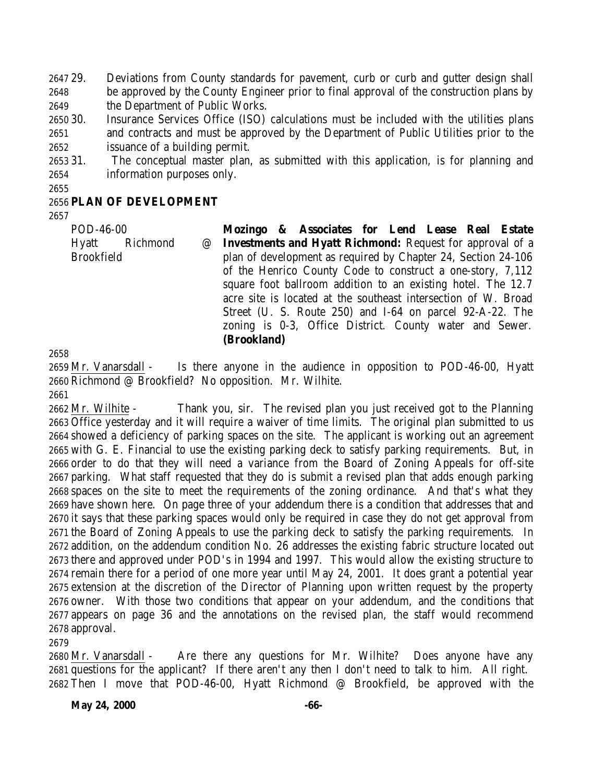29. Deviations from County standards for pavement, curb or curb and gutter design shall be approved by the County Engineer prior to final approval of the construction plans by the Department of Public Works.

 30. Insurance Services Office (ISO) calculations must be included with the utilities plans and contracts and must be approved by the Department of Public Utilities prior to the issuance of a building permit.

 31. The conceptual master plan, as submitted with this application, is for planning and information purposes only.

## **PLAN OF DEVELOPMENT**

POD-46-00 Hyatt Richmond @ Brookfield **Mozingo & Associates for Lend Lease Real Estate Investments and Hyatt Richmond:** Request for approval of a plan of development as required by Chapter 24, Section 24-106 of the Henrico County Code to construct a one-story, 7,112 square foot ballroom addition to an existing hotel. The 12.7 acre site is located at the southeast intersection of W. Broad Street (U. S. Route 250) and I-64 on parcel 92-A-22. The

> zoning is 0-3, Office District. County water and Sewer. **(Brookland)**

 Mr. Vanarsdall - Is there anyone in the audience in opposition to POD-46-00, Hyatt Richmond @ Brookfield? No opposition. Mr. Wilhite.

 Mr. Wilhite - Thank you, sir. The revised plan you just received got to the Planning Office yesterday and it will require a waiver of time limits. The original plan submitted to us showed a deficiency of parking spaces on the site. The applicant is working out an agreement with G. E. Financial to use the existing parking deck to satisfy parking requirements. But, in order to do that they will need a variance from the Board of Zoning Appeals for off-site parking. What staff requested that they do is submit a revised plan that adds enough parking spaces on the site to meet the requirements of the zoning ordinance. And that's what they have shown here. On page three of your addendum there is a condition that addresses that and it says that these parking spaces would only be required in case they do not get approval from the Board of Zoning Appeals to use the parking deck to satisfy the parking requirements. In addition, on the addendum condition No. 26 addresses the existing fabric structure located out there and approved under POD's in 1994 and 1997. This would allow the existing structure to remain there for a period of one more year until May 24, 2001. It does grant a potential year extension at the discretion of the Director of Planning upon written request by the property owner. With those two conditions that appear on your addendum, and the conditions that appears on page 36 and the annotations on the revised plan, the staff would recommend approval.

 Mr. Vanarsdall - Are there any questions for Mr. Wilhite? Does anyone have any questions for the applicant? If there aren't any then I don't need to talk to him. All right. Then I move that POD-46-00, Hyatt Richmond @ Brookfield, be approved with the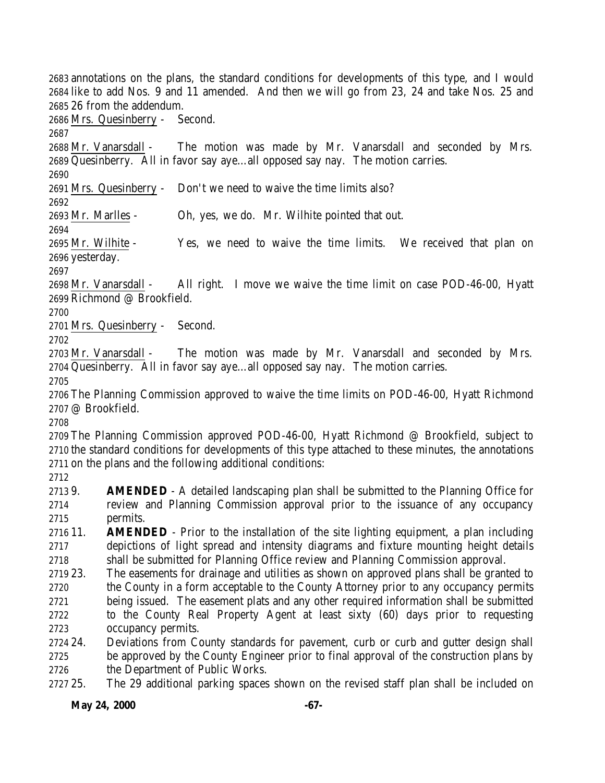annotations on the plans, the standard conditions for developments of this type, and I would like to add Nos. 9 and 11 amended. And then we will go from 23, 24 and take Nos. 25 and 26 from the addendum. Mrs. Quesinberry - Second. Mr. Vanarsdall - The motion was made by Mr. Vanarsdall and seconded by Mrs. Quesinberry. All in favor say aye…all opposed say nay. The motion carries. Mrs. Quesinberry - Don't we need to waive the time limits also? 

Mr. Marlles - Oh, yes, we do. Mr. Wilhite pointed that out.

 Mr. Wilhite - Yes, we need to waive the time limits. We received that plan on yesterday.

 Mr. Vanarsdall - All right. I move we waive the time limit on case POD-46-00, Hyatt Richmond @ Brookfield.

Mrs. Quesinberry - Second.

 Mr. Vanarsdall - The motion was made by Mr. Vanarsdall and seconded by Mrs. Quesinberry. All in favor say aye…all opposed say nay. The motion carries.

 The Planning Commission approved to waive the time limits on POD-46-00, Hyatt Richmond @ Brookfield.

 The Planning Commission approved POD-46-00, Hyatt Richmond @ Brookfield, subject to the standard conditions for developments of this type attached to these minutes, the annotations on the plans and the following additional conditions:

 9. **AMENDED** - A detailed landscaping plan shall be submitted to the Planning Office for review and Planning Commission approval prior to the issuance of any occupancy permits.

 11. **AMENDED** - Prior to the installation of the site lighting equipment, a plan including depictions of light spread and intensity diagrams and fixture mounting height details shall be submitted for Planning Office review and Planning Commission approval.

 23. The easements for drainage and utilities as shown on approved plans shall be granted to the County in a form acceptable to the County Attorney prior to any occupancy permits being issued. The easement plats and any other required information shall be submitted to the County Real Property Agent at least sixty (60) days prior to requesting occupancy permits.

 24. Deviations from County standards for pavement, curb or curb and gutter design shall be approved by the County Engineer prior to final approval of the construction plans by 2726 the Department of Public Works.

25. The 29 additional parking spaces shown on the revised staff plan shall be included on

**May 24, 2000 -67-**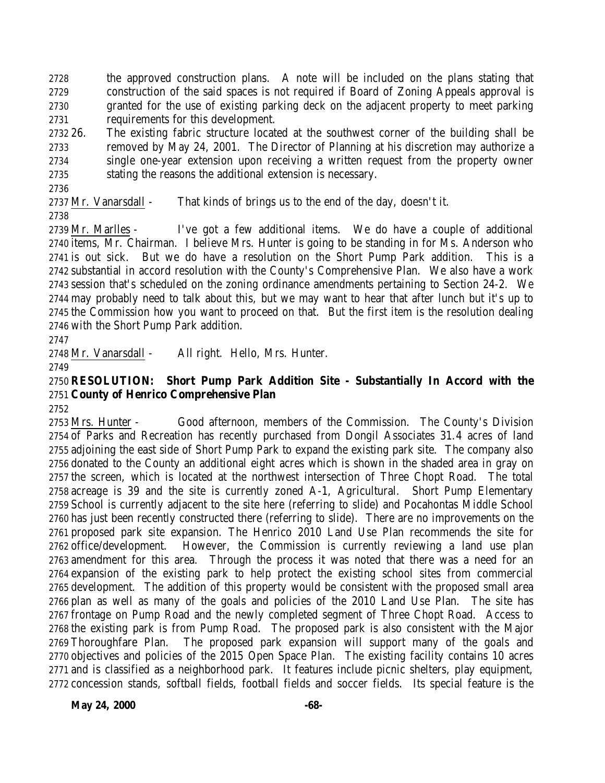the approved construction plans. A note will be included on the plans stating that construction of the said spaces is not required if Board of Zoning Appeals approval is granted for the use of existing parking deck on the adjacent property to meet parking requirements for this development.

 26. The existing fabric structure located at the southwest corner of the building shall be removed by May 24, 2001. The Director of Planning at his discretion may authorize a single one-year extension upon receiving a written request from the property owner stating the reasons the additional extension is necessary.

2737 Mr. Vanarsdall - That kinds of brings us to the end of the day, doesn't it.

 Mr. Marlles - I've got a few additional items. We do have a couple of additional items, Mr. Chairman. I believe Mrs. Hunter is going to be standing in for Ms. Anderson who is out sick. But we do have a resolution on the Short Pump Park addition. This is a substantial in accord resolution with the County's Comprehensive Plan. We also have a work session that's scheduled on the zoning ordinance amendments pertaining to Section 24-2. We may probably need to talk about this, but we may want to hear that after lunch but it's up to the Commission how you want to proceed on that. But the first item is the resolution dealing with the Short Pump Park addition.

Mr. Vanarsdall - All right. Hello, Mrs. Hunter.

## **RESOLUTION: Short Pump Park Addition Site - Substantially In Accord with the County of Henrico Comprehensive Plan**

 Mrs. Hunter - Good afternoon, members of the Commission. The County's Division of Parks and Recreation has recently purchased from Dongil Associates 31.4 acres of land adjoining the east side of Short Pump Park to expand the existing park site. The company also donated to the County an additional eight acres which is shown in the shaded area in gray on the screen, which is located at the northwest intersection of Three Chopt Road. The total acreage is 39 and the site is currently zoned A-1, Agricultural. Short Pump Elementary School is currently adjacent to the site here (referring to slide) and Pocahontas Middle School has just been recently constructed there (referring to slide). There are no improvements on the proposed park site expansion. The Henrico 2010 Land Use Plan recommends the site for office/development. However, the Commission is currently reviewing a land use plan amendment for this area. Through the process it was noted that there was a need for an expansion of the existing park to help protect the existing school sites from commercial development. The addition of this property would be consistent with the proposed small area plan as well as many of the goals and policies of the 2010 Land Use Plan. The site has frontage on Pump Road and the newly completed segment of Three Chopt Road. Access to the existing park is from Pump Road. The proposed park is also consistent with the Major Thoroughfare Plan. The proposed park expansion will support many of the goals and objectives and policies of the 2015 Open Space Plan. The existing facility contains 10 acres and is classified as a neighborhood park. It features include picnic shelters, play equipment, concession stands, softball fields, football fields and soccer fields. Its special feature is the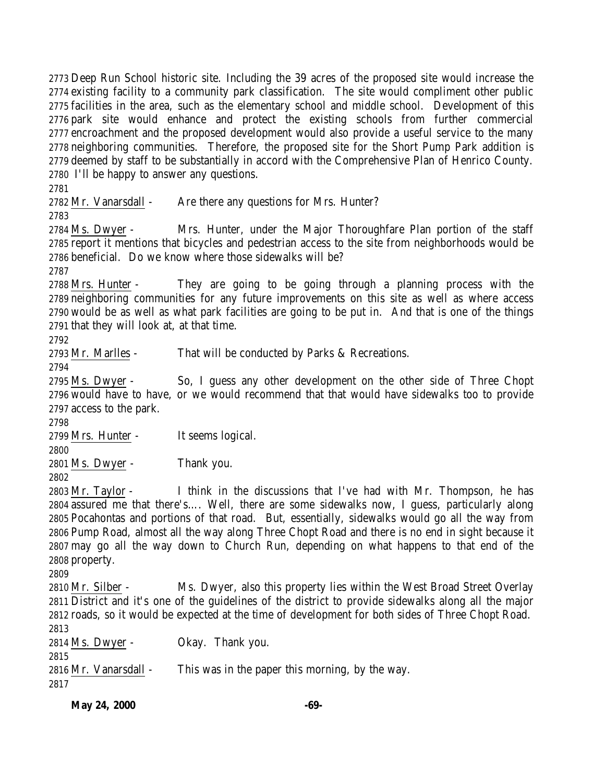Deep Run School historic site. Including the 39 acres of the proposed site would increase the existing facility to a community park classification. The site would compliment other public facilities in the area, such as the elementary school and middle school. Development of this park site would enhance and protect the existing schools from further commercial encroachment and the proposed development would also provide a useful service to the many neighboring communities. Therefore, the proposed site for the Short Pump Park addition is deemed by staff to be substantially in accord with the Comprehensive Plan of Henrico County. I'll be happy to answer any questions.

2782 Mr. Vanarsdall - Are there any questions for Mrs. Hunter?

 Ms. Dwyer - Mrs. Hunter, under the Major Thoroughfare Plan portion of the staff report it mentions that bicycles and pedestrian access to the site from neighborhoods would be beneficial. Do we know where those sidewalks will be?

 Mrs. Hunter - They are going to be going through a planning process with the neighboring communities for any future improvements on this site as well as where access would be as well as what park facilities are going to be put in. And that is one of the things that they will look at, at that time.

Mr. Marlles - That will be conducted by Parks & Recreations.

 Ms. Dwyer - So, I guess any other development on the other side of Three Chopt would have to have, or we would recommend that that would have sidewalks too to provide access to the park.

Mrs. Hunter - It seems logical.

Ms. Dwyer - Thank you.

 Mr. Taylor - I think in the discussions that I've had with Mr. Thompson, he has assured me that there's…. Well, there are some sidewalks now, I guess, particularly along Pocahontas and portions of that road. But, essentially, sidewalks would go all the way from Pump Road, almost all the way along Three Chopt Road and there is no end in sight because it may go all the way down to Church Run, depending on what happens to that end of the property.

 Mr. Silber - Ms. Dwyer, also this property lies within the West Broad Street Overlay District and it's one of the guidelines of the district to provide sidewalks along all the major roads, so it would be expected at the time of development for both sides of Three Chopt Road. Ms. Dwyer - Okay. Thank you.

 Mr. Vanarsdall - This was in the paper this morning, by the way. 

**May 24, 2000 -69-**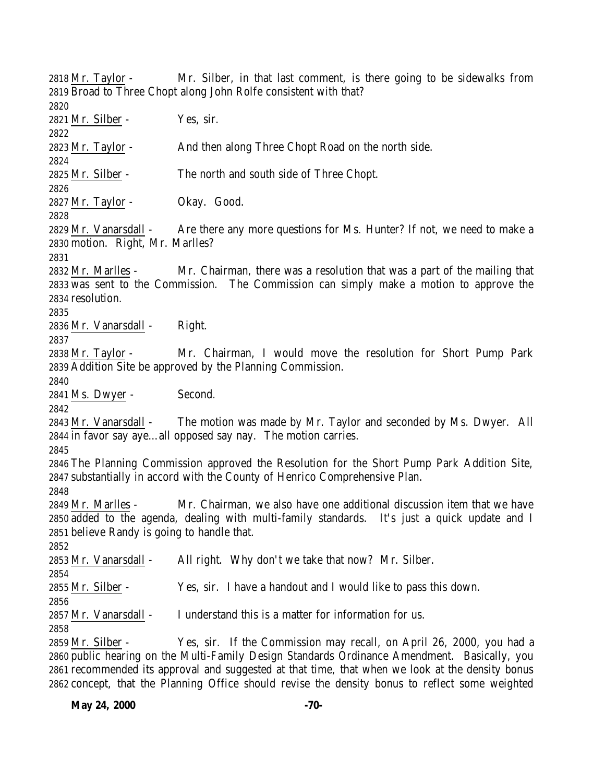Mr. Taylor - Mr. Silber, in that last comment, is there going to be sidewalks from Broad to Three Chopt along John Rolfe consistent with that? Mr. Silber - Yes, sir. Mr. Taylor - And then along Three Chopt Road on the north side. Mr. Silber - The north and south side of Three Chopt. Mr. Taylor - Okay. Good. Mr. Vanarsdall - Are there any more questions for Ms. Hunter? If not, we need to make a motion. Right, Mr. Marlles? Mr. Marlles - Mr. Chairman, there was a resolution that was a part of the mailing that was sent to the Commission. The Commission can simply make a motion to approve the resolution. Mr. Vanarsdall - Right. Mr. Taylor - Mr. Chairman, I would move the resolution for Short Pump Park Addition Site be approved by the Planning Commission. Ms. Dwyer - Second. Mr. Vanarsdall - The motion was made by Mr. Taylor and seconded by Ms. Dwyer. All in favor say aye…all opposed say nay. The motion carries. The Planning Commission approved the Resolution for the Short Pump Park Addition Site, substantially in accord with the County of Henrico Comprehensive Plan. Mr. Marlles - Mr. Chairman, we also have one additional discussion item that we have added to the agenda, dealing with multi-family standards. It's just a quick update and I believe Randy is going to handle that. Mr. Vanarsdall - All right. Why don't we take that now? Mr. Silber. Mr. Silber - Yes, sir. I have a handout and I would like to pass this down. 2857 Mr. Vanarsdall - I understand this is a matter for information for us. Mr. Silber - Yes, sir. If the Commission may recall, on April 26, 2000, you had a public hearing on the Multi-Family Design Standards Ordinance Amendment. Basically, you recommended its approval and suggested at that time, that when we look at the density bonus

concept, that the Planning Office should revise the density bonus to reflect some weighted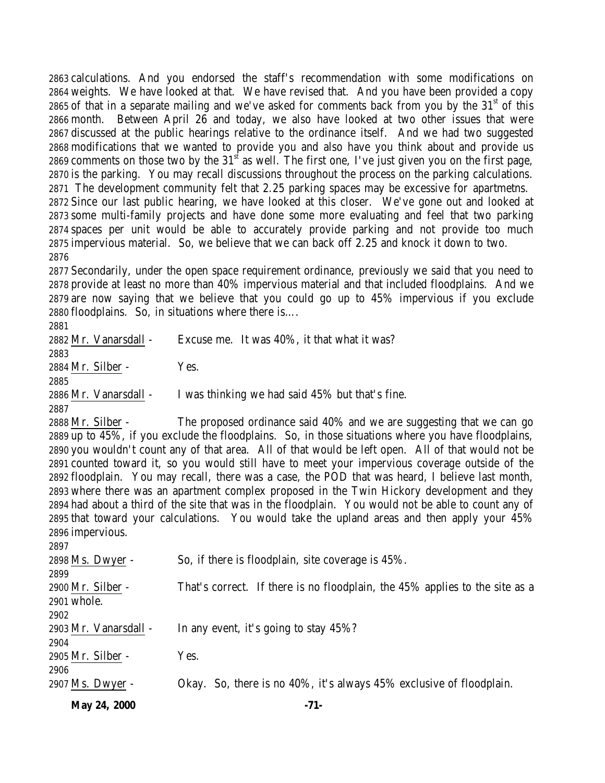calculations. And you endorsed the staff's recommendation with some modifications on weights. We have looked at that. We have revised that. And you have been provided a copy 2865 of that in a separate mailing and we've asked for comments back from you by the  $31<sup>st</sup>$  of this month. Between April 26 and today, we also have looked at two other issues that were discussed at the public hearings relative to the ordinance itself. And we had two suggested modifications that we wanted to provide you and also have you think about and provide us 2869 comments on those two by the  $31<sup>st</sup>$  as well. The first one, I've just given you on the first page, is the parking. You may recall discussions throughout the process on the parking calculations. The development community felt that 2.25 parking spaces may be excessive for apartmetns. Since our last public hearing, we have looked at this closer. We've gone out and looked at some multi-family projects and have done some more evaluating and feel that two parking spaces per unit would be able to accurately provide parking and not provide too much impervious material. So, we believe that we can back off 2.25 and knock it down to two. 

 Secondarily, under the open space requirement ordinance, previously we said that you need to provide at least no more than 40% impervious material and that included floodplains. And we are now saying that we believe that you could go up to 45% impervious if you exclude floodplains. So, in situations where there is….

## 

 Mr. Vanarsdall - Excuse me. It was 40%, it that what it was? Mr. Silber - Yes. Mr. Vanarsdall - I was thinking we had said 45% but that's fine. 

 Mr. Silber - The proposed ordinance said 40% and we are suggesting that we can go up to 45%, if you exclude the floodplains. So, in those situations where you have floodplains, you wouldn't count any of that area. All of that would be left open. All of that would not be counted toward it, so you would still have to meet your impervious coverage outside of the floodplain. You may recall, there was a case, the POD that was heard, I believe last month, where there was an apartment complex proposed in the Twin Hickory development and they had about a third of the site that was in the floodplain. You would not be able to count any of that toward your calculations. You would take the upland areas and then apply your 45% impervious.

| 2897                  |                                                                             |
|-----------------------|-----------------------------------------------------------------------------|
| 2898 Ms. Dwyer -      | So, if there is floodplain, site coverage is 45%.                           |
| 2899                  |                                                                             |
| 2900 Mr. Silber -     | That's correct. If there is no floodplain, the 45% applies to the site as a |
| 2901 whole.           |                                                                             |
| 2902                  |                                                                             |
| 2903 Mr. Vanarsdall - | In any event, it's going to stay 45%?                                       |
| 2904                  |                                                                             |
| 2905 Mr. Silber -     | Yes.                                                                        |
| 2906                  |                                                                             |
| 2907 Ms. Dwyer -      | Okay. So, there is no 40%, it's always 45% exclusive of floodplain.         |
|                       |                                                                             |

**May 24, 2000 -71-**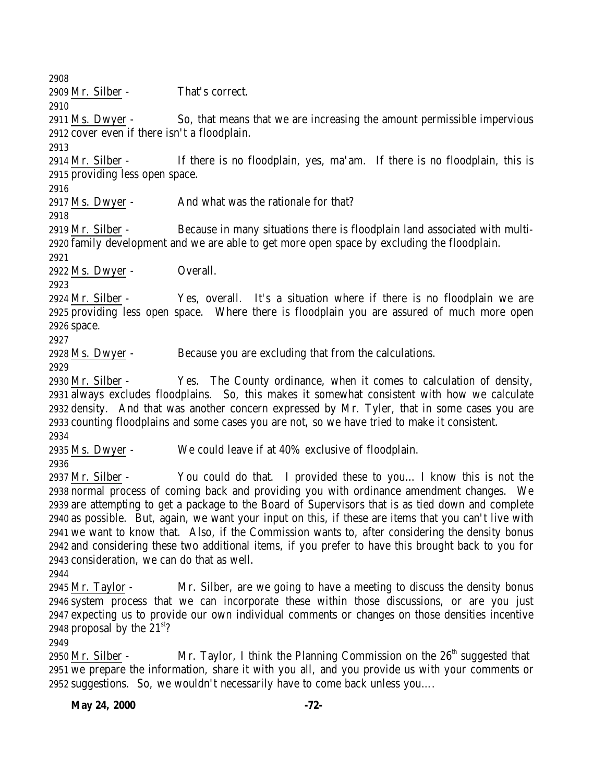Mr. Silber - That's correct. Ms. Dwyer - So, that means that we are increasing the amount permissible impervious cover even if there isn't a floodplain. Mr. Silber - If there is no floodplain, yes, ma'am. If there is no floodplain, this is providing less open space. 2917 Ms. Dwyer - And what was the rationale for that? Mr. Silber - Because in many situations there is floodplain land associated with multi- family development and we are able to get more open space by excluding the floodplain. Ms. Dwyer - Overall. Mr. Silber - Yes, overall. It's a situation where if there is no floodplain we are providing less open space. Where there is floodplain you are assured of much more open space. Ms. Dwyer - Because you are excluding that from the calculations. Mr. Silber - Yes. The County ordinance, when it comes to calculation of density, always excludes floodplains. So, this makes it somewhat consistent with how we calculate density. And that was another concern expressed by Mr. Tyler, that in some cases you are counting floodplains and some cases you are not, so we have tried to make it consistent. Ms. Dwyer - We could leave if at 40% exclusive of floodplain. Mr. Silber - You could do that. I provided these to you… I know this is not the normal process of coming back and providing you with ordinance amendment changes. We are attempting to get a package to the Board of Supervisors that is as tied down and complete as possible. But, again, we want your input on this, if these are items that you can't live with we want to know that. Also, if the Commission wants to, after considering the density bonus and considering these two additional items, if you prefer to have this brought back to you for consideration, we can do that as well.

 Mr. Taylor - Mr. Silber, are we going to have a meeting to discuss the density bonus system process that we can incorporate these within those discussions, or are you just expecting us to provide our own individual comments or changes on those densities incentive 2948 proposal by the  $21<sup>st</sup>$ ?

2950 Mr. Silber - Mr. Taylor, I think the Planning Commission on the  $26<sup>th</sup>$  suggested that we prepare the information, share it with you all, and you provide us with your comments or suggestions. So, we wouldn't necessarily have to come back unless you….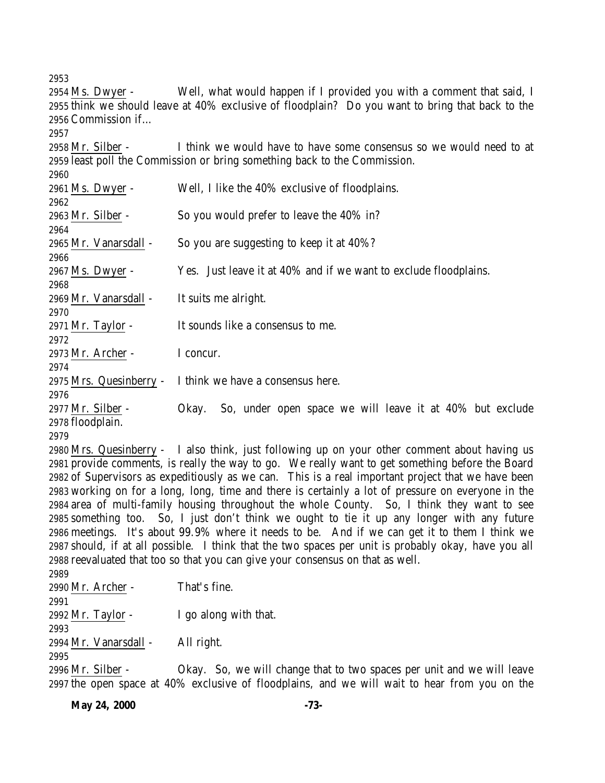Ms. Dwyer - Well, what would happen if I provided you with a comment that said, I think we should leave at 40% exclusive of floodplain? Do you want to bring that back to the Commission if… Mr. Silber - I think we would have to have some consensus so we would need to at least poll the Commission or bring something back to the Commission. Ms. Dwyer - Well, I like the 40% exclusive of floodplains. Mr. Silber - So you would prefer to leave the 40% in? Mr. Vanarsdall - So you are suggesting to keep it at 40%? Ms. Dwyer - Yes. Just leave it at 40% and if we want to exclude floodplains. Mr. Vanarsdall - It suits me alright. Mr. Taylor - It sounds like a consensus to me. Mr. Archer - I concur. Mrs. Quesinberry - I think we have a consensus here. Mr. Silber - Okay. So, under open space we will leave it at 40% but exclude floodplain. Mrs. Quesinberry - I also think, just following up on your other comment about having us provide comments, is really the way to go. We really want to get something before the Board of Supervisors as expeditiously as we can. This is a real important project that we have been working on for a long, long, time and there is certainly a lot of pressure on everyone in the area of multi-family housing throughout the whole County. So, I think they want to see something too. So, I just don't think we ought to tie it up any longer with any future meetings. It's about 99.9% where it needs to be. And if we can get it to them I think we should, if at all possible. I think that the two spaces per unit is probably okay, have you all reevaluated that too so that you can give your consensus on that as well. Mr. Archer - That's fine. 

2992 Mr. Taylor -  $\qquad \qquad$  I go along with that. 

Mr. Vanarsdall - All right.

 Mr. Silber - Okay. So, we will change that to two spaces per unit and we will leave the open space at 40% exclusive of floodplains, and we will wait to hear from you on the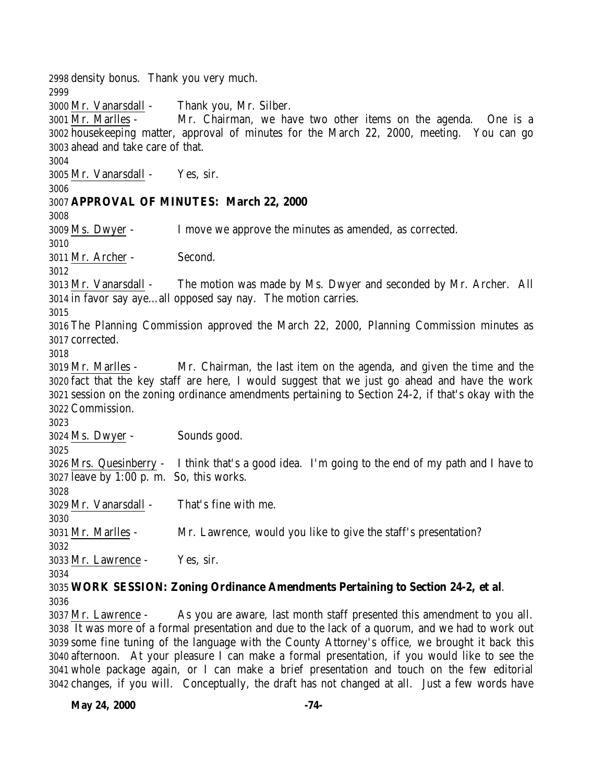density bonus. Thank you very much. Mr. Vanarsdall - Thank you, Mr. Silber. Mr. Marlles - Mr. Chairman, we have two other items on the agenda. One is a housekeeping matter, approval of minutes for the March 22, 2000, meeting. You can go ahead and take care of that. Mr. Vanarsdall - Yes, sir. **APPROVAL OF MINUTES: March 22, 2000** Ms. Dwyer - I move we approve the minutes as amended, as corrected. Mr. Archer - Second. Mr. Vanarsdall - The motion was made by Ms. Dwyer and seconded by Mr. Archer. All in favor say aye…all opposed say nay. The motion carries. The Planning Commission approved the March 22, 2000, Planning Commission minutes as corrected. Mr. Marlles - Mr. Chairman, the last item on the agenda, and given the time and the fact that the key staff are here, I would suggest that we just go ahead and have the work session on the zoning ordinance amendments pertaining to Section 24-2, if that's okay with the Commission. Ms. Dwyer - Sounds good. Mrs. Quesinberry - I think that's a good idea. I'm going to the end of my path and I have to leave by 1:00 p. m. So, this works. Mr. Vanarsdall - That's fine with me. Mr. Marlles - Mr. Lawrence, would you like to give the staff's presentation? Mr. Lawrence - Yes, sir. **WORK SESSION: Zoning Ordinance Amendments Pertaining to Section 24-2, et al**. Mr. Lawrence - As you are aware, last month staff presented this amendment to you all.

 It was more of a formal presentation and due to the lack of a quorum, and we had to work out some fine tuning of the language with the County Attorney's office, we brought it back this afternoon. At your pleasure I can make a formal presentation, if you would like to see the whole package again, or I can make a brief presentation and touch on the few editorial changes, if you will. Conceptually, the draft has not changed at all. Just a few words have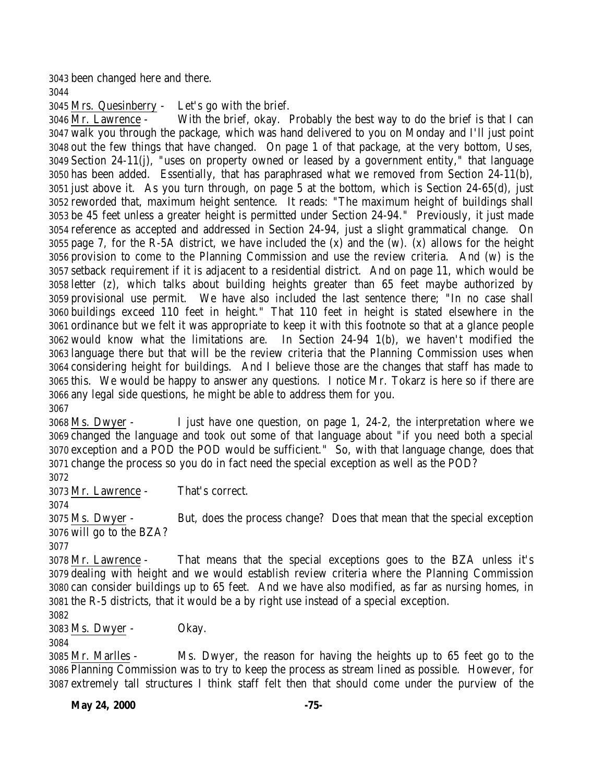been changed here and there.

Mrs. Quesinberry - Let's go with the brief.

 Mr. Lawrence - With the brief, okay. Probably the best way to do the brief is that I can walk you through the package, which was hand delivered to you on Monday and I'll just point out the few things that have changed. On page 1 of that package, at the very bottom, Uses, Section 24-11(j), "uses on property owned or leased by a government entity," that language has been added. Essentially, that has paraphrased what we removed from Section 24-11(b), just above it. As you turn through, on page 5 at the bottom, which is Section 24-65(d), just reworded that, maximum height sentence. It reads: "The maximum height of buildings shall be 45 feet unless a greater height is permitted under Section 24-94." Previously, it just made reference as accepted and addressed in Section 24-94, just a slight grammatical change. On page 7, for the R-5A district, we have included the (x) and the (w). (x) allows for the height provision to come to the Planning Commission and use the review criteria. And (w) is the setback requirement if it is adjacent to a residential district. And on page 11, which would be letter (z), which talks about building heights greater than 65 feet maybe authorized by provisional use permit. We have also included the last sentence there; "In no case shall buildings exceed 110 feet in height." That 110 feet in height is stated elsewhere in the ordinance but we felt it was appropriate to keep it with this footnote so that at a glance people would know what the limitations are. In Section 24-94 1(b), we haven't modified the language there but that will be the review criteria that the Planning Commission uses when considering height for buildings. And I believe those are the changes that staff has made to this. We would be happy to answer any questions. I notice Mr. Tokarz is here so if there are any legal side questions, he might be able to address them for you. 

 Ms. Dwyer - I just have one question, on page 1, 24-2, the interpretation where we changed the language and took out some of that language about "if you need both a special exception and a POD the POD would be sufficient." So, with that language change, does that change the process so you do in fact need the special exception as well as the POD?

Mr. Lawrence - That's correct.

 Ms. Dwyer - But, does the process change? Does that mean that the special exception will go to the BZA?

 Mr. Lawrence - That means that the special exceptions goes to the BZA unless it's dealing with height and we would establish review criteria where the Planning Commission can consider buildings up to 65 feet. And we have also modified, as far as nursing homes, in the R-5 districts, that it would be a by right use instead of a special exception.

Ms. Dwyer - Okay.

 Mr. Marlles - Ms. Dwyer, the reason for having the heights up to 65 feet go to the Planning Commission was to try to keep the process as stream lined as possible. However, for extremely tall structures I think staff felt then that should come under the purview of the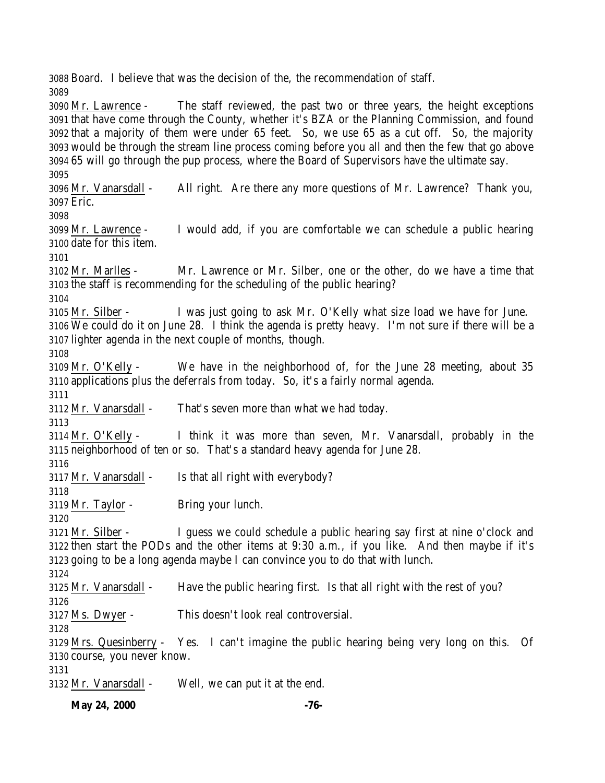Board. I believe that was the decision of the, the recommendation of staff. 

 Mr. Lawrence - The staff reviewed, the past two or three years, the height exceptions that have come through the County, whether it's BZA or the Planning Commission, and found that a majority of them were under 65 feet. So, we use 65 as a cut off. So, the majority would be through the stream line process coming before you all and then the few that go above 65 will go through the pup process, where the Board of Supervisors have the ultimate say.

 Mr. Vanarsdall - All right. Are there any more questions of Mr. Lawrence? Thank you, Eric. 

 Mr. Lawrence - I would add, if you are comfortable we can schedule a public hearing date for this item.

 Mr. Marlles - Mr. Lawrence or Mr. Silber, one or the other, do we have a time that the staff is recommending for the scheduling of the public hearing?

 Mr. Silber - I was just going to ask Mr. O'Kelly what size load we have for June. We could do it on June 28. I think the agenda is pretty heavy. I'm not sure if there will be a

lighter agenda in the next couple of months, though.

 Mr. O'Kelly - We have in the neighborhood of, for the June 28 meeting, about 35 applications plus the deferrals from today. So, it's a fairly normal agenda.

Mr. Vanarsdall - That's seven more than what we had today.

 Mr. O'Kelly - I think it was more than seven, Mr. Vanarsdall, probably in the neighborhood of ten or so. That's a standard heavy agenda for June 28.

Mr. Vanarsdall - Is that all right with everybody?

Mr. Taylor - Bring your lunch.

 Mr. Silber - I guess we could schedule a public hearing say first at nine o'clock and then start the PODs and the other items at 9:30 a.m., if you like. And then maybe if it's going to be a long agenda maybe I can convince you to do that with lunch.

 Mr. Vanarsdall - Have the public hearing first. Is that all right with the rest of you? 

Ms. Dwyer - This doesn't look real controversial.

 Mrs. Quesinberry - Yes. I can't imagine the public hearing being very long on this. Of course, you never know.

Mr. Vanarsdall - Well, we can put it at the end.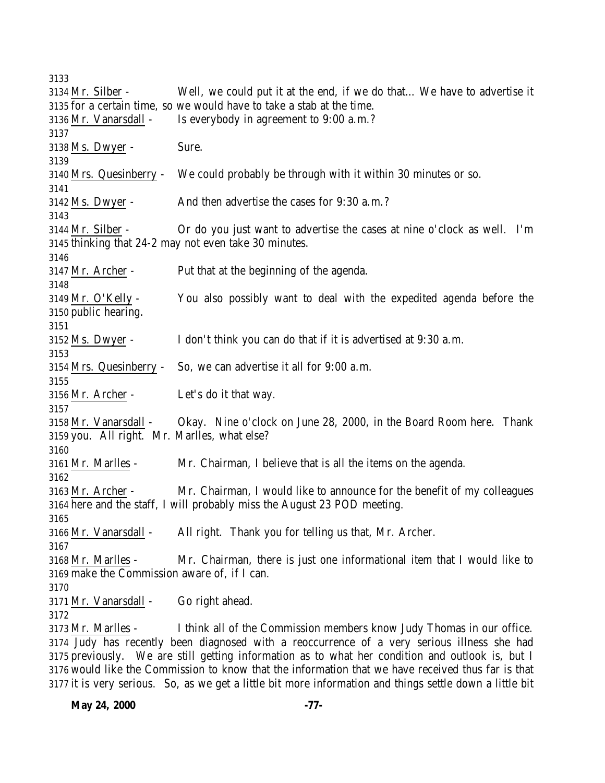Mr. Silber - Well, we could put it at the end, if we do that… We have to advertise it for a certain time, so we would have to take a stab at the time. Mr. Vanarsdall - Is everybody in agreement to 9:00 a.m.? Ms. Dwyer - Sure. Mrs. Quesinberry - We could probably be through with it within 30 minutes or so. Ms. Dwyer - And then advertise the cases for 9:30 a.m.? Mr. Silber - Or do you just want to advertise the cases at nine o'clock as well. I'm thinking that 24-2 may not even take 30 minutes. Mr. Archer - Put that at the beginning of the agenda. Mr. O'Kelly - You also possibly want to deal with the expedited agenda before the public hearing. Ms. Dwyer - I don't think you can do that if it is advertised at 9:30 a.m. Mrs. Quesinberry - So, we can advertise it all for 9:00 a.m. Mr. Archer - Let's do it that way. Mr. Vanarsdall - Okay. Nine o'clock on June 28, 2000, in the Board Room here. Thank you. All right. Mr. Marlles, what else? Mr. Marlles - Mr. Chairman, I believe that is all the items on the agenda. Mr. Archer - Mr. Chairman, I would like to announce for the benefit of my colleagues here and the staff, I will probably miss the August 23 POD meeting. Mr. Vanarsdall - All right. Thank you for telling us that, Mr. Archer. Mr. Marlles - Mr. Chairman, there is just one informational item that I would like to make the Commission aware of, if I can. Mr. Vanarsdall - Go right ahead. Mr. Marlles - I think all of the Commission members know Judy Thomas in our office. Judy has recently been diagnosed with a reoccurrence of a very serious illness she had previously. We are still getting information as to what her condition and outlook is, but I

 would like the Commission to know that the information that we have received thus far is that it is very serious. So, as we get a little bit more information and things settle down a little bit